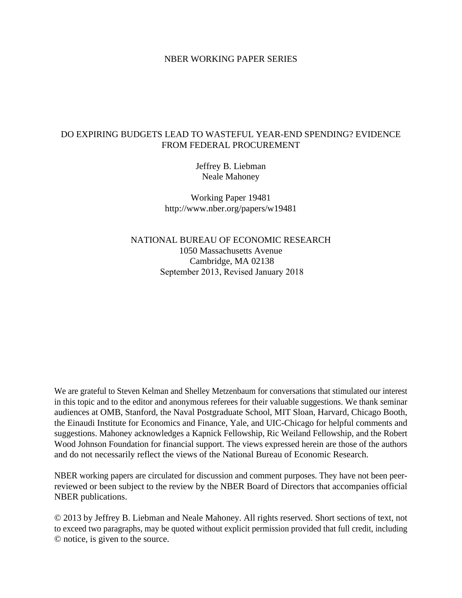### NBER WORKING PAPER SERIES

### DO EXPIRING BUDGETS LEAD TO WASTEFUL YEAR-END SPENDING? EVIDENCE FROM FEDERAL PROCUREMENT

Jeffrey B. Liebman Neale Mahoney

Working Paper 19481 http://www.nber.org/papers/w19481

NATIONAL BUREAU OF ECONOMIC RESEARCH 1050 Massachusetts Avenue Cambridge, MA 02138 September 2013, Revised January 2018

We are grateful to Steven Kelman and Shelley Metzenbaum for conversations that stimulated our interest in this topic and to the editor and anonymous referees for their valuable suggestions. We thank seminar audiences at OMB, Stanford, the Naval Postgraduate School, MIT Sloan, Harvard, Chicago Booth, the Einaudi Institute for Economics and Finance, Yale, and UIC-Chicago for helpful comments and suggestions. Mahoney acknowledges a Kapnick Fellowship, Ric Weiland Fellowship, and the Robert Wood Johnson Foundation for financial support. The views expressed herein are those of the authors and do not necessarily reflect the views of the National Bureau of Economic Research.

NBER working papers are circulated for discussion and comment purposes. They have not been peerreviewed or been subject to the review by the NBER Board of Directors that accompanies official NBER publications.

© 2013 by Jeffrey B. Liebman and Neale Mahoney. All rights reserved. Short sections of text, not to exceed two paragraphs, may be quoted without explicit permission provided that full credit, including © notice, is given to the source.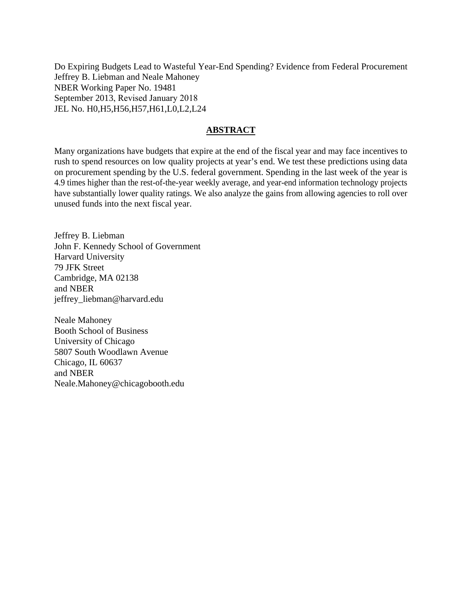Do Expiring Budgets Lead to Wasteful Year-End Spending? Evidence from Federal Procurement Jeffrey B. Liebman and Neale Mahoney NBER Working Paper No. 19481 September 2013, Revised January 2018 JEL No. H0,H5,H56,H57,H61,L0,L2,L24

### **ABSTRACT**

Many organizations have budgets that expire at the end of the fiscal year and may face incentives to rush to spend resources on low quality projects at year's end. We test these predictions using data on procurement spending by the U.S. federal government. Spending in the last week of the year is 4.9 times higher than the rest-of-the-year weekly average, and year-end information technology projects have substantially lower quality ratings. We also analyze the gains from allowing agencies to roll over unused funds into the next fiscal year.

Jeffrey B. Liebman John F. Kennedy School of Government Harvard University 79 JFK Street Cambridge, MA 02138 and NBER jeffrey\_liebman@harvard.edu

Neale Mahoney Booth School of Business University of Chicago 5807 South Woodlawn Avenue Chicago, IL 60637 and NBER Neale.Mahoney@chicagobooth.edu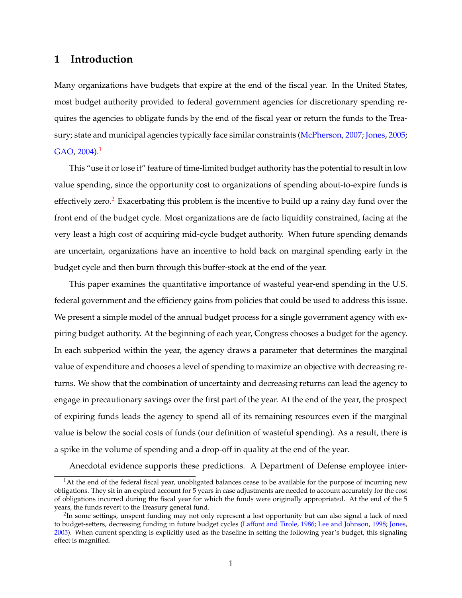## **1 Introduction**

Many organizations have budgets that expire at the end of the fiscal year. In the United States, most budget authority provided to federal government agencies for discretionary spending requires the agencies to obligate funds by the end of the fiscal year or return the funds to the Treasury; state and municipal agencies typically face similar constraints [\(McPherson,](#page-37-0) [2007;](#page-37-0) [Jones,](#page-36-0) [2005;](#page-36-0)  $GAO$ , [2004\)](#page-36-1).<sup>[1](#page-2-0)</sup>

This "use it or lose it" feature of time-limited budget authority has the potential to result in low value spending, since the opportunity cost to organizations of spending about-to-expire funds is effectively zero.<sup>[2](#page-2-1)</sup> Exacerbating this problem is the incentive to build up a rainy day fund over the front end of the budget cycle. Most organizations are de facto liquidity constrained, facing at the very least a high cost of acquiring mid-cycle budget authority. When future spending demands are uncertain, organizations have an incentive to hold back on marginal spending early in the budget cycle and then burn through this buffer-stock at the end of the year.

This paper examines the quantitative importance of wasteful year-end spending in the U.S. federal government and the efficiency gains from policies that could be used to address this issue. We present a simple model of the annual budget process for a single government agency with expiring budget authority. At the beginning of each year, Congress chooses a budget for the agency. In each subperiod within the year, the agency draws a parameter that determines the marginal value of expenditure and chooses a level of spending to maximize an objective with decreasing returns. We show that the combination of uncertainty and decreasing returns can lead the agency to engage in precautionary savings over the first part of the year. At the end of the year, the prospect of expiring funds leads the agency to spend all of its remaining resources even if the marginal value is below the social costs of funds (our definition of wasteful spending). As a result, there is a spike in the volume of spending and a drop-off in quality at the end of the year.

Anecdotal evidence supports these predictions. A Department of Defense employee inter-

<span id="page-2-0"></span> $<sup>1</sup>$ At the end of the federal fiscal year, unobligated balances cease to be available for the purpose of incurring new</sup> obligations. They sit in an expired account for 5 years in case adjustments are needed to account accurately for the cost of obligations incurred during the fiscal year for which the funds were originally appropriated. At the end of the 5 years, the funds revert to the Treasury general fund.

<span id="page-2-1"></span> $2$ In some settings, unspent funding may not only represent a lost opportunity but can also signal a lack of need to budget-setters, decreasing funding in future budget cycles [\(Laffont and Tirole,](#page-37-1) [1986;](#page-37-1) [Lee and Johnson,](#page-37-2) [1998;](#page-37-2) [Jones,](#page-36-0) [2005\)](#page-36-0). When current spending is explicitly used as the baseline in setting the following year's budget, this signaling effect is magnified.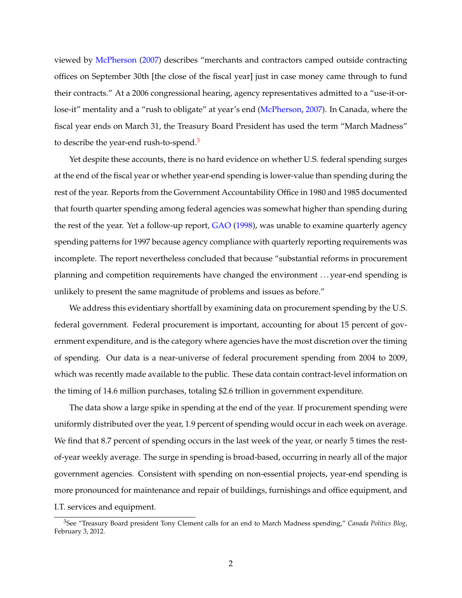viewed by [McPherson](#page-37-0) [\(2007\)](#page-37-0) describes "merchants and contractors camped outside contracting offices on September 30th [the close of the fiscal year] just in case money came through to fund their contracts." At a 2006 congressional hearing, agency representatives admitted to a "use-it-orlose-it" mentality and a "rush to obligate" at year's end [\(McPherson,](#page-37-0) [2007\)](#page-37-0). In Canada, where the fiscal year ends on March 31, the Treasury Board President has used the term "March Madness" to describe the year-end rush-to-spend.<sup>[3](#page-3-0)</sup>

Yet despite these accounts, there is no hard evidence on whether U.S. federal spending surges at the end of the fiscal year or whether year-end spending is lower-value than spending during the rest of the year. Reports from the Government Accountability Office in 1980 and 1985 documented that fourth quarter spending among federal agencies was somewhat higher than spending during the rest of the year. Yet a follow-up report, [GAO](#page-36-2) [\(1998\)](#page-36-2), was unable to examine quarterly agency spending patterns for 1997 because agency compliance with quarterly reporting requirements was incomplete. The report nevertheless concluded that because "substantial reforms in procurement planning and competition requirements have changed the environment . . . year-end spending is unlikely to present the same magnitude of problems and issues as before."

We address this evidentiary shortfall by examining data on procurement spending by the U.S. federal government. Federal procurement is important, accounting for about 15 percent of government expenditure, and is the category where agencies have the most discretion over the timing of spending. Our data is a near-universe of federal procurement spending from 2004 to 2009, which was recently made available to the public. These data contain contract-level information on the timing of 14.6 million purchases, totaling \$2.6 trillion in government expenditure.

The data show a large spike in spending at the end of the year. If procurement spending were uniformly distributed over the year, 1.9 percent of spending would occur in each week on average. We find that 8.7 percent of spending occurs in the last week of the year, or nearly 5 times the restof-year weekly average. The surge in spending is broad-based, occurring in nearly all of the major government agencies. Consistent with spending on non-essential projects, year-end spending is more pronounced for maintenance and repair of buildings, furnishings and office equipment, and I.T. services and equipment.

<span id="page-3-0"></span><sup>3</sup>See "Treasury Board president Tony Clement calls for an end to March Madness spending," *Canada Politics Blog*, February 3, 2012.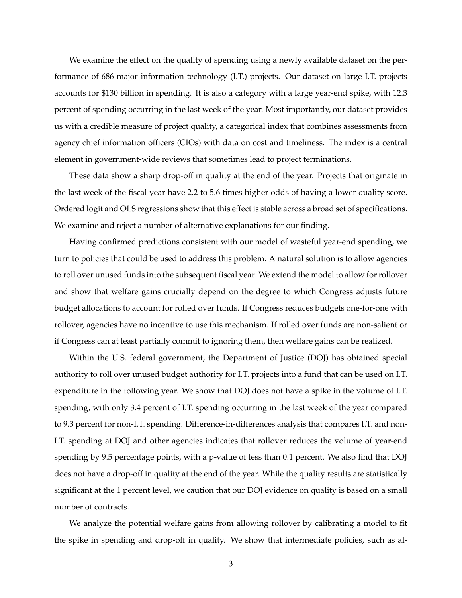We examine the effect on the quality of spending using a newly available dataset on the performance of 686 major information technology (I.T.) projects. Our dataset on large I.T. projects accounts for \$130 billion in spending. It is also a category with a large year-end spike, with 12.3 percent of spending occurring in the last week of the year. Most importantly, our dataset provides us with a credible measure of project quality, a categorical index that combines assessments from agency chief information officers (CIOs) with data on cost and timeliness. The index is a central element in government-wide reviews that sometimes lead to project terminations.

These data show a sharp drop-off in quality at the end of the year. Projects that originate in the last week of the fiscal year have 2.2 to 5.6 times higher odds of having a lower quality score. Ordered logit and OLS regressions show that this effect is stable across a broad set of specifications. We examine and reject a number of alternative explanations for our finding.

Having confirmed predictions consistent with our model of wasteful year-end spending, we turn to policies that could be used to address this problem. A natural solution is to allow agencies to roll over unused funds into the subsequent fiscal year. We extend the model to allow for rollover and show that welfare gains crucially depend on the degree to which Congress adjusts future budget allocations to account for rolled over funds. If Congress reduces budgets one-for-one with rollover, agencies have no incentive to use this mechanism. If rolled over funds are non-salient or if Congress can at least partially commit to ignoring them, then welfare gains can be realized.

Within the U.S. federal government, the Department of Justice (DOJ) has obtained special authority to roll over unused budget authority for I.T. projects into a fund that can be used on I.T. expenditure in the following year. We show that DOJ does not have a spike in the volume of I.T. spending, with only 3.4 percent of I.T. spending occurring in the last week of the year compared to 9.3 percent for non-I.T. spending. Difference-in-differences analysis that compares I.T. and non-I.T. spending at DOJ and other agencies indicates that rollover reduces the volume of year-end spending by 9.5 percentage points, with a p-value of less than 0.1 percent. We also find that DOJ does not have a drop-off in quality at the end of the year. While the quality results are statistically significant at the 1 percent level, we caution that our DOJ evidence on quality is based on a small number of contracts.

We analyze the potential welfare gains from allowing rollover by calibrating a model to fit the spike in spending and drop-off in quality. We show that intermediate policies, such as al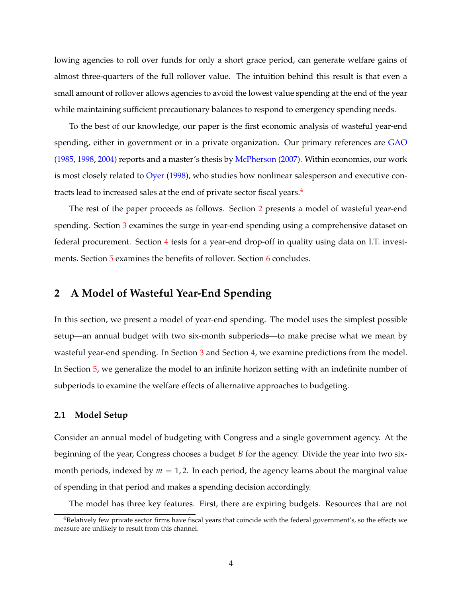lowing agencies to roll over funds for only a short grace period, can generate welfare gains of almost three-quarters of the full rollover value. The intuition behind this result is that even a small amount of rollover allows agencies to avoid the lowest value spending at the end of the year while maintaining sufficient precautionary balances to respond to emergency spending needs.

To the best of our knowledge, our paper is the first economic analysis of wasteful year-end spending, either in government or in a private organization. Our primary references are [GAO](#page-36-3) [\(1985,](#page-36-3) [1998,](#page-36-2) [2004\)](#page-36-1) reports and a master's thesis by [McPherson](#page-37-0) [\(2007\)](#page-37-0). Within economics, our work is most closely related to [Oyer](#page-37-3) [\(1998\)](#page-37-3), who studies how nonlinear salesperson and executive con-tracts lead to increased sales at the end of private sector fiscal years.<sup>[4](#page-5-0)</sup>

The rest of the paper proceeds as follows. Section [2](#page-5-1) presents a model of wasteful year-end spending. Section [3](#page-9-0) examines the surge in year-end spending using a comprehensive dataset on federal procurement. Section [4](#page-14-0) tests for a year-end drop-off in quality using data on I.T. invest-ments. Section [5](#page-27-0) examines the benefits of rollover. Section [6](#page-34-0) concludes.

## <span id="page-5-1"></span>**2 A Model of Wasteful Year-End Spending**

In this section, we present a model of year-end spending. The model uses the simplest possible setup—an annual budget with two six-month subperiods—to make precise what we mean by wasteful year-end spending. In Section [3](#page-9-0) and Section [4,](#page-14-0) we examine predictions from the model. In Section [5,](#page-27-0) we generalize the model to an infinite horizon setting with an indefinite number of subperiods to examine the welfare effects of alternative approaches to budgeting.

### **2.1 Model Setup**

Consider an annual model of budgeting with Congress and a single government agency. At the beginning of the year, Congress chooses a budget *B* for the agency. Divide the year into two sixmonth periods, indexed by  $m = 1, 2$ . In each period, the agency learns about the marginal value of spending in that period and makes a spending decision accordingly.

The model has three key features. First, there are expiring budgets. Resources that are not

<span id="page-5-0"></span><sup>4</sup>Relatively few private sector firms have fiscal years that coincide with the federal government's, so the effects we measure are unlikely to result from this channel.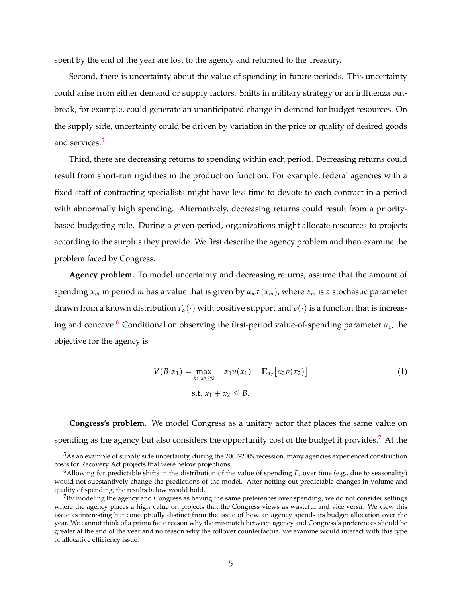spent by the end of the year are lost to the agency and returned to the Treasury.

Second, there is uncertainty about the value of spending in future periods. This uncertainty could arise from either demand or supply factors. Shifts in military strategy or an influenza outbreak, for example, could generate an unanticipated change in demand for budget resources. On the supply side, uncertainty could be driven by variation in the price or quality of desired goods and services.<sup>[5](#page-6-0)</sup>

Third, there are decreasing returns to spending within each period. Decreasing returns could result from short-run rigidities in the production function. For example, federal agencies with a fixed staff of contracting specialists might have less time to devote to each contract in a period with abnormally high spending. Alternatively, decreasing returns could result from a prioritybased budgeting rule. During a given period, organizations might allocate resources to projects according to the surplus they provide. We first describe the agency problem and then examine the problem faced by Congress.

**Agency problem.** To model uncertainty and decreasing returns, assume that the amount of spending  $x_m$  in period *m* has a value that is given by  $\alpha_m v(x_m)$ , where  $\alpha_m$  is a stochastic parameter drawn from a known distribution  $F_\alpha(\cdot)$  with positive support and  $v(\cdot)$  is a function that is increas-ing and concave.<sup>[6](#page-6-1)</sup> Conditional on observing the first-period value-of-spending parameter  $\alpha_1$ , the objective for the agency is

$$
V(B|\alpha_1) = \max_{x_1, x_2 \ge 0} \alpha_1 v(x_1) + \mathbb{E}_{\alpha_2} [\alpha_2 v(x_2)]
$$
\n
$$
\text{s.t. } x_1 + x_2 \le B.
$$
\n
$$
(1)
$$

**Congress's problem.** We model Congress as a unitary actor that places the same value on spending as the agency but also considers the opportunity cost of the budget it provides.<sup>[7](#page-6-2)</sup> At the

<span id="page-6-0"></span><sup>&</sup>lt;sup>5</sup>As an example of supply side uncertainty, during the 2007-2009 recession, many agencies experienced construction costs for Recovery Act projects that were below projections.

<span id="page-6-1"></span><sup>&</sup>lt;sup>6</sup>Allowing for predictable shifts in the distribution of the value of spending  $F_\alpha$  over time (e.g., due to seasonality) would not substantively change the predictions of the model. After netting out predictable changes in volume and quality of spending, the results below would hold.

<span id="page-6-2"></span><sup>&</sup>lt;sup>7</sup>By modeling the agency and Congress as having the same preferences over spending, we do not consider settings where the agency places a high value on projects that the Congress views as wasteful and vice versa. We view this issue as interesting but conceptually distinct from the issue of how an agency spends its budget allocation over the year. We cannot think of a prima facie reason why the mismatch between agency and Congress's preferences should be greater at the end of the year and no reason why the rollover counterfactual we examine would interact with this type of allocative efficiency issue.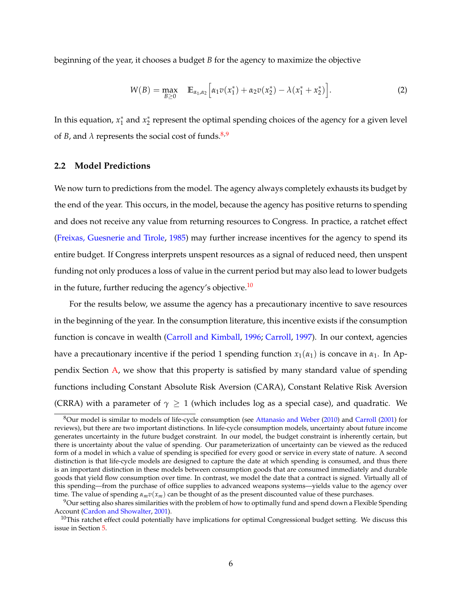beginning of the year, it chooses a budget *B* for the agency to maximize the objective

$$
W(B) = \max_{B \ge 0} \mathbb{E}_{\alpha_1, \alpha_2} \Big[ \alpha_1 v(x_1^*) + \alpha_2 v(x_2^*) - \lambda (x_1^* + x_2^*) \Big]. \tag{2}
$$

In this equation,  $x_1^*$  and  $x_2^*$  represent the optimal spending choices of the agency for a given level of *B*, and  $\lambda$  represents the social cost of funds.<sup>[8,](#page-7-0)[9](#page-7-1)</sup>

### **2.2 Model Predictions**

We now turn to predictions from the model. The agency always completely exhausts its budget by the end of the year. This occurs, in the model, because the agency has positive returns to spending and does not receive any value from returning resources to Congress. In practice, a ratchet effect [\(Freixas, Guesnerie and Tirole,](#page-36-4) [1985\)](#page-36-4) may further increase incentives for the agency to spend its entire budget. If Congress interprets unspent resources as a signal of reduced need, then unspent funding not only produces a loss of value in the current period but may also lead to lower budgets in the future, further reducing the agency's objective. $10$ 

For the results below, we assume the agency has a precautionary incentive to save resources in the beginning of the year. In the consumption literature, this incentive exists if the consumption function is concave in wealth [\(Carroll and Kimball,](#page-36-5) [1996;](#page-36-5) [Carroll,](#page-36-6) [1997\)](#page-36-6). In our context, agencies have a precautionary incentive if the period 1 spending function  $x_1(\alpha_1)$  is concave in  $\alpha_1$ . In Appendix Section [A,](#page-47-0) we show that this property is satisfied by many standard value of spending functions including Constant Absolute Risk Aversion (CARA), Constant Relative Risk Aversion (CRRA) with a parameter of  $\gamma \geq 1$  (which includes log as a special case), and quadratic. We

<span id="page-7-0"></span><sup>8</sup>Our model is similar to models of life-cycle consumption (see [Attanasio and Weber](#page-36-7) [\(2010\)](#page-36-7) and [Carroll](#page-36-8) [\(2001\)](#page-36-8) for reviews), but there are two important distinctions. In life-cycle consumption models, uncertainty about future income generates uncertainty in the future budget constraint. In our model, the budget constraint is inherently certain, but there is uncertainty about the value of spending. Our parameterization of uncertainty can be viewed as the reduced form of a model in which a value of spending is specified for every good or service in every state of nature. A second distinction is that life-cycle models are designed to capture the date at which spending is consumed, and thus there is an important distinction in these models between consumption goods that are consumed immediately and durable goods that yield flow consumption over time. In contrast, we model the date that a contract is signed. Virtually all of this spending—from the purchase of office supplies to advanced weapons systems—yields value to the agency over time. The value of spending  $\alpha_m v(x_m)$  can be thought of as the present discounted value of these purchases.

<span id="page-7-1"></span><sup>&</sup>lt;sup>9</sup>Our setting also shares similarities with the problem of how to optimally fund and spend down a Flexible Spending Account [\(Cardon and Showalter,](#page-36-9) [2001\)](#page-36-9).

<span id="page-7-2"></span> $10$ This ratchet effect could potentially have implications for optimal Congressional budget setting. We discuss this issue in Section [5.](#page-27-0)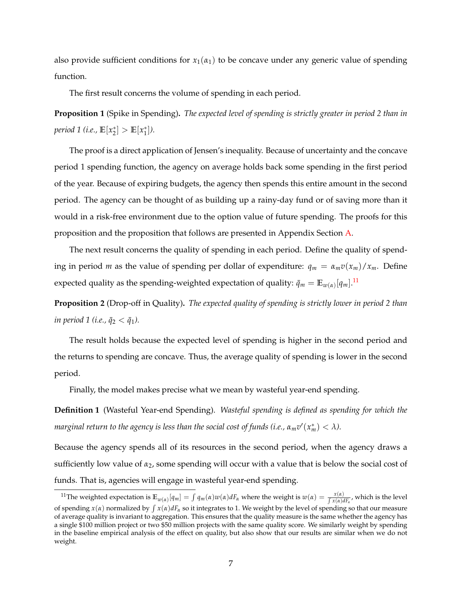also provide sufficient conditions for  $x_1(\alpha_1)$  to be concave under any generic value of spending function.

The first result concerns the volume of spending in each period.

**Proposition 1** (Spike in Spending)**.** *The expected level of spending is strictly greater in period 2 than in period* 1 (*i.e.,*  $\mathbb{E}[x_2^*] > \mathbb{E}[x_1^*]$ *).* 

The proof is a direct application of Jensen's inequality. Because of uncertainty and the concave period 1 spending function, the agency on average holds back some spending in the first period of the year. Because of expiring budgets, the agency then spends this entire amount in the second period. The agency can be thought of as building up a rainy-day fund or of saving more than it would in a risk-free environment due to the option value of future spending. The proofs for this proposition and the proposition that follows are presented in Appendix Section [A.](#page-47-0)

The next result concerns the quality of spending in each period. Define the quality of spending in period *m* as the value of spending per dollar of expenditure:  $q_m = \alpha_m v(x_m)/x_m$ . Define expected quality as the spending-weighted expectation of quality:  $\bar{q}_m = \mathbb{E}_{w(\alpha)}[q_m].^{11}$  $\bar{q}_m = \mathbb{E}_{w(\alpha)}[q_m].^{11}$  $\bar{q}_m = \mathbb{E}_{w(\alpha)}[q_m].^{11}$ 

**Proposition 2** (Drop-off in Quality)**.** *The expected quality of spending is strictly lower in period 2 than in period 1 (i.e.,*  $\bar{q}_2 < \bar{q}_1$ *).* 

The result holds because the expected level of spending is higher in the second period and the returns to spending are concave. Thus, the average quality of spending is lower in the second period.

Finally, the model makes precise what we mean by wasteful year-end spending.

**Definition 1** (Wasteful Year-end Spending). *Wasteful spending is defined as spending for which the marginal return to the agency is less than the social cost of funds (i.e.,*  $\alpha_m v'(x_m^*) < \lambda$ *).* 

Because the agency spends all of its resources in the second period, when the agency draws a sufficiently low value of  $\alpha_2$ , some spending will occur with a value that is below the social cost of funds. That is, agencies will engage in wasteful year-end spending.

<span id="page-8-0"></span><sup>&</sup>lt;sup>11</sup>The weighted expectation is  $\mathbb{E}_{w(\alpha)}[q_m] = \int q_m(\alpha)w(\alpha)dF_\alpha$  where the weight is  $w(\alpha) = \frac{x(\alpha)}{\int x(\alpha)dF_\alpha}$ , which is the level of spending  $x(\alpha)$  normalized by  $\int x(\alpha)dF_\alpha$  so it integrates to 1. We weight by the level of spending so that our measure of average quality is invariant to aggregation. This ensures that the quality measure is the same whether the agency has a single \$100 million project or two \$50 million projects with the same quality score. We similarly weight by spending in the baseline empirical analysis of the effect on quality, but also show that our results are similar when we do not weight.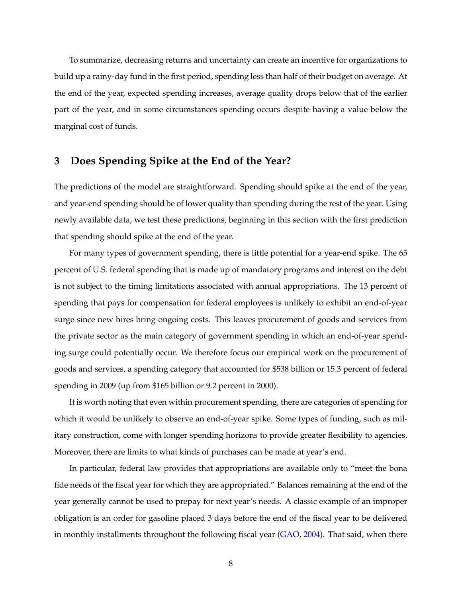To summarize, decreasing returns and uncertainty can create an incentive for organizations to build up a rainy-day fund in the first period, spending less than half of their budget on average. At the end of the year, expected spending increases, average quality drops below that of the earlier part of the year, and in some circumstances spending occurs despite having a value below the marginal cost of funds.

# <span id="page-9-0"></span>**3 Does Spending Spike at the End of the Year?**

The predictions of the model are straightforward. Spending should spike at the end of the year, and year-end spending should be of lower quality than spending during the rest of the year. Using newly available data, we test these predictions, beginning in this section with the first prediction that spending should spike at the end of the year.

For many types of government spending, there is little potential for a year-end spike. The 65 percent of U.S. federal spending that is made up of mandatory programs and interest on the debt is not subject to the timing limitations associated with annual appropriations. The 13 percent of spending that pays for compensation for federal employees is unlikely to exhibit an end-of-year surge since new hires bring ongoing costs. This leaves procurement of goods and services from the private sector as the main category of government spending in which an end-of-year spending surge could potentially occur. We therefore focus our empirical work on the procurement of goods and services, a spending category that accounted for \$538 billion or 15.3 percent of federal spending in 2009 (up from \$165 billion or 9.2 percent in 2000).

It is worth noting that even within procurement spending, there are categories of spending for which it would be unlikely to observe an end-of-year spike. Some types of funding, such as military construction, come with longer spending horizons to provide greater flexibility to agencies. Moreover, there are limits to what kinds of purchases can be made at year's end.

In particular, federal law provides that appropriations are available only to "meet the bona fide needs of the fiscal year for which they are appropriated." Balances remaining at the end of the year generally cannot be used to prepay for next year's needs. A classic example of an improper obligation is an order for gasoline placed 3 days before the end of the fiscal year to be delivered in monthly installments throughout the following fiscal year [\(GAO,](#page-36-1) [2004\)](#page-36-1). That said, when there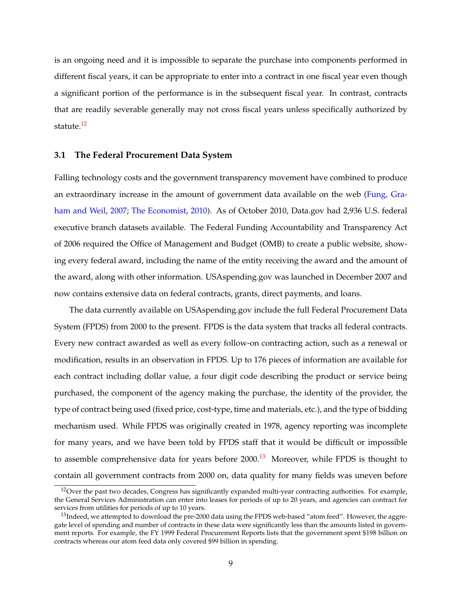is an ongoing need and it is impossible to separate the purchase into components performed in different fiscal years, it can be appropriate to enter into a contract in one fiscal year even though a significant portion of the performance is in the subsequent fiscal year. In contrast, contracts that are readily severable generally may not cross fiscal years unless specifically authorized by statute.<sup>[12](#page-10-0)</sup>

#### **3.1 The Federal Procurement Data System**

Falling technology costs and the government transparency movement have combined to produce an extraordinary increase in the amount of government data available on the web [\(Fung, Gra](#page-36-10)[ham and Weil,](#page-36-10) [2007;](#page-36-10) [The Economist,](#page-37-4) [2010\)](#page-37-4). As of October 2010, Data.gov had 2,936 U.S. federal executive branch datasets available. The Federal Funding Accountability and Transparency Act of 2006 required the Office of Management and Budget (OMB) to create a public website, showing every federal award, including the name of the entity receiving the award and the amount of the award, along with other information. USAspending.gov was launched in December 2007 and now contains extensive data on federal contracts, grants, direct payments, and loans.

The data currently available on USAspending.gov include the full Federal Procurement Data System (FPDS) from 2000 to the present. FPDS is the data system that tracks all federal contracts. Every new contract awarded as well as every follow-on contracting action, such as a renewal or modification, results in an observation in FPDS. Up to 176 pieces of information are available for each contract including dollar value, a four digit code describing the product or service being purchased, the component of the agency making the purchase, the identity of the provider, the type of contract being used (fixed price, cost-type, time and materials, etc.), and the type of bidding mechanism used. While FPDS was originally created in 1978, agency reporting was incomplete for many years, and we have been told by FPDS staff that it would be difficult or impossible to assemble comprehensive data for years before  $2000$ .<sup>[13](#page-10-1)</sup> Moreover, while FPDS is thought to contain all government contracts from 2000 on, data quality for many fields was uneven before

<span id="page-10-0"></span> $12$ Over the past two decades, Congress has significantly expanded multi-year contracting authorities. For example, the General Services Administration can enter into leases for periods of up to 20 years, and agencies can contract for services from utilities for periods of up to 10 years.

<span id="page-10-1"></span><sup>&</sup>lt;sup>13</sup>Indeed, we attempted to download the pre-2000 data using the FPDS web-based "atom feed". However, the aggregate level of spending and number of contracts in these data were significantly less than the amounts listed in government reports. For example, the FY 1999 Federal Procurement Reports lists that the government spent \$198 billion on contracts whereas our atom feed data only covered \$99 billion in spending.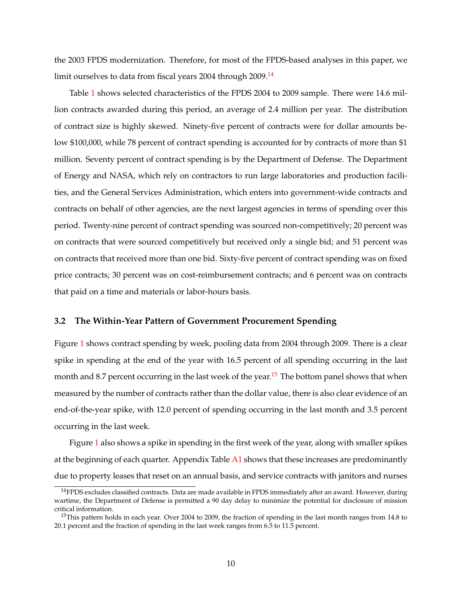the 2003 FPDS modernization. Therefore, for most of the FPDS-based analyses in this paper, we limit ourselves to data from fiscal years 2004 through 2009.<sup>[14](#page-11-0)</sup>

Table [1](#page-42-0) shows selected characteristics of the FPDS 2004 to 2009 sample. There were 14.6 million contracts awarded during this period, an average of 2.4 million per year. The distribution of contract size is highly skewed. Ninety-five percent of contracts were for dollar amounts below \$100,000, while 78 percent of contract spending is accounted for by contracts of more than \$1 million. Seventy percent of contract spending is by the Department of Defense. The Department of Energy and NASA, which rely on contractors to run large laboratories and production facilities, and the General Services Administration, which enters into government-wide contracts and contracts on behalf of other agencies, are the next largest agencies in terms of spending over this period. Twenty-nine percent of contract spending was sourced non-competitively; 20 percent was on contracts that were sourced competitively but received only a single bid; and 51 percent was on contracts that received more than one bid. Sixty-five percent of contract spending was on fixed price contracts; 30 percent was on cost-reimbursement contracts; and 6 percent was on contracts that paid on a time and materials or labor-hours basis.

#### **3.2 The Within-Year Pattern of Government Procurement Spending**

Figure [1](#page-38-0) shows contract spending by week, pooling data from 2004 through 2009. There is a clear spike in spending at the end of the year with 16.5 percent of all spending occurring in the last month and 8.7 percent occurring in the last week of the year.<sup>[15](#page-11-1)</sup> The bottom panel shows that when measured by the number of contracts rather than the dollar value, there is also clear evidence of an end-of-the-year spike, with 12.0 percent of spending occurring in the last month and 3.5 percent occurring in the last week.

Figure [1](#page-38-0) also shows a spike in spending in the first week of the year, along with smaller spikes at the beginning of each quarter. Appendix Table [A1](#page-60-0) shows that these increases are predominantly due to property leases that reset on an annual basis, and service contracts with janitors and nurses

<span id="page-11-0"></span> $14$ FPDS excludes classified contracts. Data are made available in FPDS immediately after an award. However, during wartime, the Department of Defense is permitted a 90 day delay to minimize the potential for disclosure of mission critical information.

<span id="page-11-1"></span><sup>&</sup>lt;sup>15</sup>This pattern holds in each year. Over 2004 to 2009, the fraction of spending in the last month ranges from  $14.8$  to 20.1 percent and the fraction of spending in the last week ranges from 6.5 to 11.5 percent.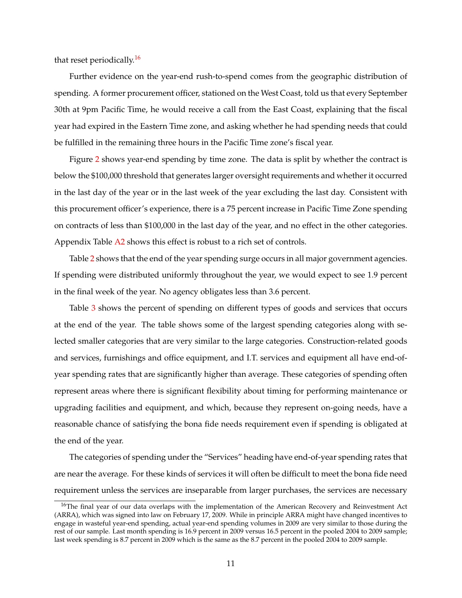that reset periodically.[16](#page-12-0)

Further evidence on the year-end rush-to-spend comes from the geographic distribution of spending. A former procurement officer, stationed on the West Coast, told us that every September 30th at 9pm Pacific Time, he would receive a call from the East Coast, explaining that the fiscal year had expired in the Eastern Time zone, and asking whether he had spending needs that could be fulfilled in the remaining three hours in the Pacific Time zone's fiscal year.

Figure [2](#page-39-0) shows year-end spending by time zone. The data is split by whether the contract is below the \$100,000 threshold that generates larger oversight requirements and whether it occurred in the last day of the year or in the last week of the year excluding the last day. Consistent with this procurement officer's experience, there is a 75 percent increase in Pacific Time Zone spending on contracts of less than \$100,000 in the last day of the year, and no effect in the other categories. Appendix Table [A2](#page-60-1) shows this effect is robust to a rich set of controls.

Table [2](#page-43-0) shows that the end of the year spending surge occurs in all major government agencies. If spending were distributed uniformly throughout the year, we would expect to see 1.9 percent in the final week of the year. No agency obligates less than 3.6 percent.

Table [3](#page-44-0) shows the percent of spending on different types of goods and services that occurs at the end of the year. The table shows some of the largest spending categories along with selected smaller categories that are very similar to the large categories. Construction-related goods and services, furnishings and office equipment, and I.T. services and equipment all have end-ofyear spending rates that are significantly higher than average. These categories of spending often represent areas where there is significant flexibility about timing for performing maintenance or upgrading facilities and equipment, and which, because they represent on-going needs, have a reasonable chance of satisfying the bona fide needs requirement even if spending is obligated at the end of the year.

The categories of spending under the "Services" heading have end-of-year spending rates that are near the average. For these kinds of services it will often be difficult to meet the bona fide need requirement unless the services are inseparable from larger purchases, the services are necessary

<span id="page-12-0"></span><sup>&</sup>lt;sup>16</sup>The final year of our data overlaps with the implementation of the American Recovery and Reinvestment Act (ARRA), which was signed into law on February 17, 2009. While in principle ARRA might have changed incentives to engage in wasteful year-end spending, actual year-end spending volumes in 2009 are very similar to those during the rest of our sample. Last month spending is 16.9 percent in 2009 versus 16.5 percent in the pooled 2004 to 2009 sample; last week spending is 8.7 percent in 2009 which is the same as the 8.7 percent in the pooled 2004 to 2009 sample.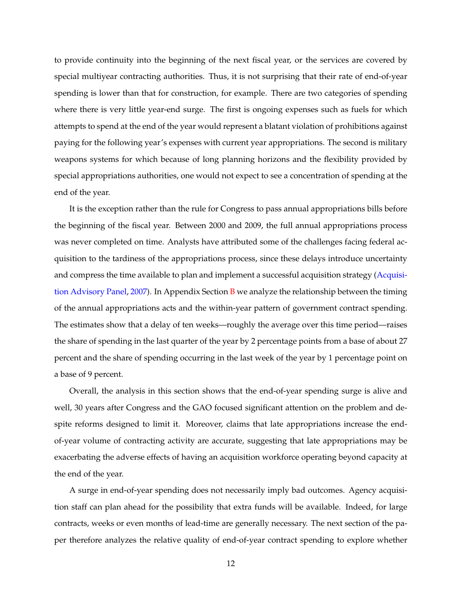to provide continuity into the beginning of the next fiscal year, or the services are covered by special multiyear contracting authorities. Thus, it is not surprising that their rate of end-of-year spending is lower than that for construction, for example. There are two categories of spending where there is very little year-end surge. The first is ongoing expenses such as fuels for which attempts to spend at the end of the year would represent a blatant violation of prohibitions against paying for the following year's expenses with current year appropriations. The second is military weapons systems for which because of long planning horizons and the flexibility provided by special appropriations authorities, one would not expect to see a concentration of spending at the end of the year.

It is the exception rather than the rule for Congress to pass annual appropriations bills before the beginning of the fiscal year. Between 2000 and 2009, the full annual appropriations process was never completed on time. Analysts have attributed some of the challenges facing federal acquisition to the tardiness of the appropriations process, since these delays introduce uncertainty and compress the time available to plan and implement a successful acquisition strategy [\(Acquisi](#page-36-11)[tion Advisory Panel,](#page-36-11) [2007\)](#page-36-11). In Appendix Section [B](#page-50-0) we analyze the relationship between the timing of the annual appropriations acts and the within-year pattern of government contract spending. The estimates show that a delay of ten weeks—roughly the average over this time period—raises the share of spending in the last quarter of the year by 2 percentage points from a base of about 27 percent and the share of spending occurring in the last week of the year by 1 percentage point on a base of 9 percent.

Overall, the analysis in this section shows that the end-of-year spending surge is alive and well, 30 years after Congress and the GAO focused significant attention on the problem and despite reforms designed to limit it. Moreover, claims that late appropriations increase the endof-year volume of contracting activity are accurate, suggesting that late appropriations may be exacerbating the adverse effects of having an acquisition workforce operating beyond capacity at the end of the year.

A surge in end-of-year spending does not necessarily imply bad outcomes. Agency acquisition staff can plan ahead for the possibility that extra funds will be available. Indeed, for large contracts, weeks or even months of lead-time are generally necessary. The next section of the paper therefore analyzes the relative quality of end-of-year contract spending to explore whether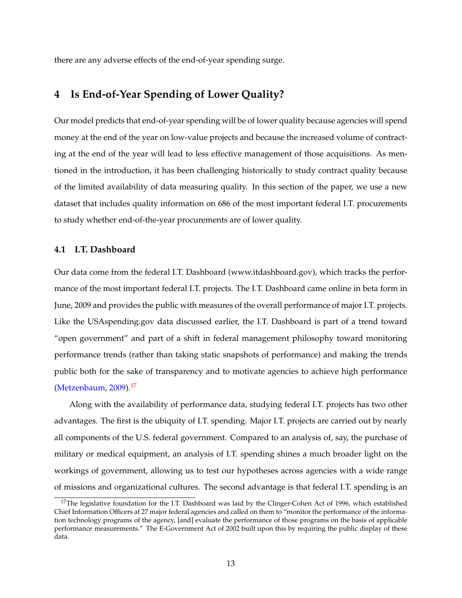there are any adverse effects of the end-of-year spending surge.

## <span id="page-14-0"></span>**4 Is End-of-Year Spending of Lower Quality?**

Our model predicts that end-of-year spending will be of lower quality because agencies will spend money at the end of the year on low-value projects and because the increased volume of contracting at the end of the year will lead to less effective management of those acquisitions. As mentioned in the introduction, it has been challenging historically to study contract quality because of the limited availability of data measuring quality. In this section of the paper, we use a new dataset that includes quality information on 686 of the most important federal I.T. procurements to study whether end-of-the-year procurements are of lower quality.

### **4.1 I.T. Dashboard**

Our data come from the federal I.T. Dashboard (www.itdashboard.gov), which tracks the performance of the most important federal I.T. projects. The I.T. Dashboard came online in beta form in June, 2009 and provides the public with measures of the overall performance of major I.T. projects. Like the USAspending.gov data discussed earlier, the I.T. Dashboard is part of a trend toward "open government" and part of a shift in federal management philosophy toward monitoring performance trends (rather than taking static snapshots of performance) and making the trends public both for the sake of transparency and to motivate agencies to achieve high performance [\(Metzenbaum,](#page-37-5)  $2009$ ).<sup>[17](#page-14-1)</sup>

Along with the availability of performance data, studying federal I.T. projects has two other advantages. The first is the ubiquity of I.T. spending. Major I.T. projects are carried out by nearly all components of the U.S. federal government. Compared to an analysis of, say, the purchase of military or medical equipment, an analysis of I.T. spending shines a much broader light on the workings of government, allowing us to test our hypotheses across agencies with a wide range of missions and organizational cultures. The second advantage is that federal I.T. spending is an

<span id="page-14-1"></span><sup>&</sup>lt;sup>17</sup>The legislative foundation for the I.T. Dashboard was laid by the Clinger-Cohen Act of 1996, which established Chief Information Officers at 27 major federal agencies and called on them to "monitor the performance of the information technology programs of the agency, [and] evaluate the performance of those programs on the basis of applicable performance measurements." The E-Government Act of 2002 built upon this by requiring the public display of these data.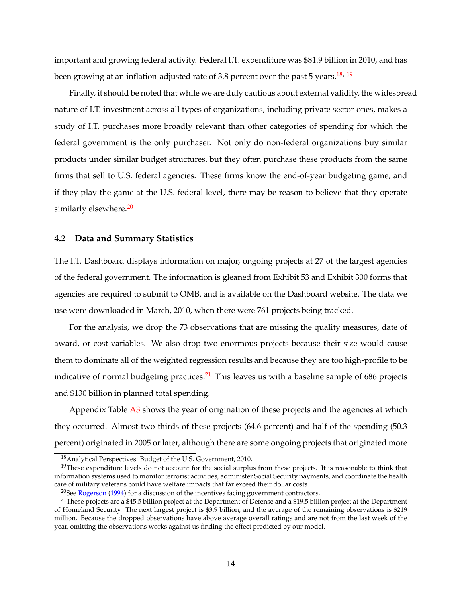important and growing federal activity. Federal I.T. expenditure was \$81.9 billion in 2010, and has been growing at an inflation-adjusted rate of 3.8 percent over the past 5 years.<sup>[18,](#page-15-0) [19](#page-15-1)</sup>

Finally, it should be noted that while we are duly cautious about external validity, the widespread nature of I.T. investment across all types of organizations, including private sector ones, makes a study of I.T. purchases more broadly relevant than other categories of spending for which the federal government is the only purchaser. Not only do non-federal organizations buy similar products under similar budget structures, but they often purchase these products from the same firms that sell to U.S. federal agencies. These firms know the end-of-year budgeting game, and if they play the game at the U.S. federal level, there may be reason to believe that they operate similarly elsewhere.<sup>[20](#page-15-2)</sup>

#### **4.2 Data and Summary Statistics**

The I.T. Dashboard displays information on major, ongoing projects at 27 of the largest agencies of the federal government. The information is gleaned from Exhibit 53 and Exhibit 300 forms that agencies are required to submit to OMB, and is available on the Dashboard website. The data we use were downloaded in March, 2010, when there were 761 projects being tracked.

For the analysis, we drop the 73 observations that are missing the quality measures, date of award, or cost variables. We also drop two enormous projects because their size would cause them to dominate all of the weighted regression results and because they are too high-profile to be indicative of normal budgeting practices. $^{21}$  $^{21}$  $^{21}$  This leaves us with a baseline sample of 686 projects and \$130 billion in planned total spending.

Appendix Table [A3](#page-61-0) shows the year of origination of these projects and the agencies at which they occurred. Almost two-thirds of these projects (64.6 percent) and half of the spending (50.3 percent) originated in 2005 or later, although there are some ongoing projects that originated more

<span id="page-15-1"></span><span id="page-15-0"></span><sup>18</sup>Analytical Perspectives: Budget of the U.S. Government, 2010.

 $19$ These expenditure levels do not account for the social surplus from these projects. It is reasonable to think that information systems used to monitor terrorist activities, administer Social Security payments, and coordinate the health care of military veterans could have welfare impacts that far exceed their dollar costs.

<span id="page-15-3"></span><span id="page-15-2"></span> $20$ See [Rogerson](#page-37-6) [\(1994\)](#page-37-6) for a discussion of the incentives facing government contractors.

<sup>&</sup>lt;sup>21</sup>These projects are a \$45.5 billion project at the Department of Defense and a \$19.5 billion project at the Department of Homeland Security. The next largest project is \$3.9 billion, and the average of the remaining observations is \$219 million. Because the dropped observations have above average overall ratings and are not from the last week of the year, omitting the observations works against us finding the effect predicted by our model.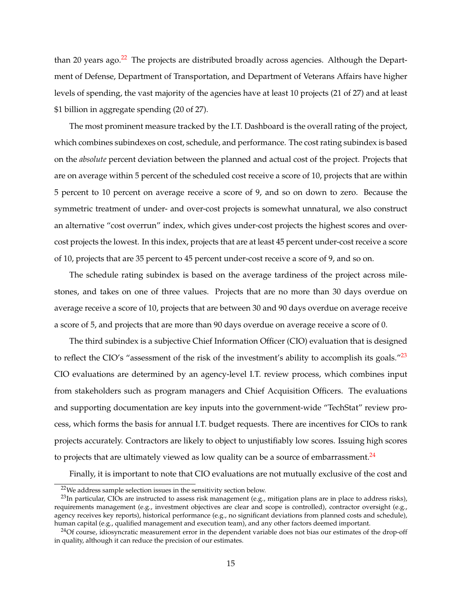than 20 years ago. $^{22}$  $^{22}$  $^{22}$  The projects are distributed broadly across agencies. Although the Department of Defense, Department of Transportation, and Department of Veterans Affairs have higher levels of spending, the vast majority of the agencies have at least 10 projects (21 of 27) and at least \$1 billion in aggregate spending (20 of 27).

The most prominent measure tracked by the I.T. Dashboard is the overall rating of the project, which combines subindexes on cost, schedule, and performance. The cost rating subindex is based on the *absolute* percent deviation between the planned and actual cost of the project. Projects that are on average within 5 percent of the scheduled cost receive a score of 10, projects that are within 5 percent to 10 percent on average receive a score of 9, and so on down to zero. Because the symmetric treatment of under- and over-cost projects is somewhat unnatural, we also construct an alternative "cost overrun" index, which gives under-cost projects the highest scores and overcost projects the lowest. In this index, projects that are at least 45 percent under-cost receive a score of 10, projects that are 35 percent to 45 percent under-cost receive a score of 9, and so on.

The schedule rating subindex is based on the average tardiness of the project across milestones, and takes on one of three values. Projects that are no more than 30 days overdue on average receive a score of 10, projects that are between 30 and 90 days overdue on average receive a score of 5, and projects that are more than 90 days overdue on average receive a score of 0.

The third subindex is a subjective Chief Information Officer (CIO) evaluation that is designed to reflect the CIO's "assessment of the risk of the investment's ability to accomplish its goals."<sup>[23](#page-16-1)</sup> CIO evaluations are determined by an agency-level I.T. review process, which combines input from stakeholders such as program managers and Chief Acquisition Officers. The evaluations and supporting documentation are key inputs into the government-wide "TechStat" review process, which forms the basis for annual I.T. budget requests. There are incentives for CIOs to rank projects accurately. Contractors are likely to object to unjustifiably low scores. Issuing high scores to projects that are ultimately viewed as low quality can be a source of embarrassment. $^{24}$  $^{24}$  $^{24}$ 

Finally, it is important to note that CIO evaluations are not mutually exclusive of the cost and

<span id="page-16-1"></span><span id="page-16-0"></span> $22$ We address sample selection issues in the sensitivity section below.

<sup>&</sup>lt;sup>23</sup>In particular, CIOs are instructed to assess risk management (e.g., mitigation plans are in place to address risks), requirements management (e.g., investment objectives are clear and scope is controlled), contractor oversight (e.g., agency receives key reports), historical performance (e.g., no significant deviations from planned costs and schedule), human capital (e.g., qualified management and execution team), and any other factors deemed important.

<span id="page-16-2"></span> $24$ Of course, idiosyncratic measurement error in the dependent variable does not bias our estimates of the drop-off in quality, although it can reduce the precision of our estimates.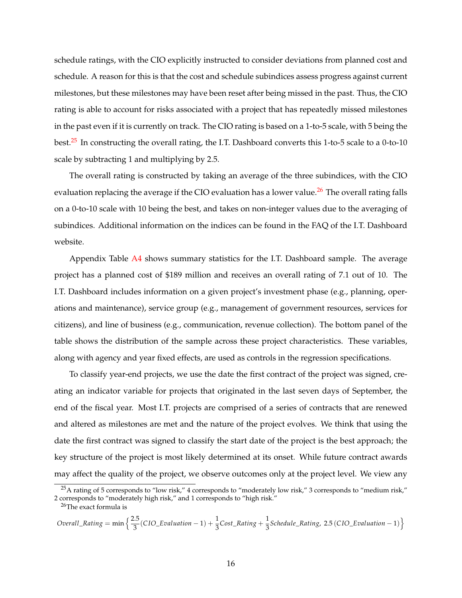schedule ratings, with the CIO explicitly instructed to consider deviations from planned cost and schedule. A reason for this is that the cost and schedule subindices assess progress against current milestones, but these milestones may have been reset after being missed in the past. Thus, the CIO rating is able to account for risks associated with a project that has repeatedly missed milestones in the past even if it is currently on track. The CIO rating is based on a 1-to-5 scale, with 5 being the best.<sup>[25](#page-17-0)</sup> In constructing the overall rating, the I.T. Dashboard converts this 1-to-5 scale to a 0-to-10 scale by subtracting 1 and multiplying by 2.5.

The overall rating is constructed by taking an average of the three subindices, with the CIO evaluation replacing the average if the CIO evaluation has a lower value.<sup>[26](#page-17-1)</sup> The overall rating falls on a 0-to-10 scale with 10 being the best, and takes on non-integer values due to the averaging of subindices. Additional information on the indices can be found in the FAQ of the I.T. Dashboard website.

Appendix Table [A4](#page-62-0) shows summary statistics for the I.T. Dashboard sample. The average project has a planned cost of \$189 million and receives an overall rating of 7.1 out of 10. The I.T. Dashboard includes information on a given project's investment phase (e.g., planning, operations and maintenance), service group (e.g., management of government resources, services for citizens), and line of business (e.g., communication, revenue collection). The bottom panel of the table shows the distribution of the sample across these project characteristics. These variables, along with agency and year fixed effects, are used as controls in the regression specifications.

To classify year-end projects, we use the date the first contract of the project was signed, creating an indicator variable for projects that originated in the last seven days of September, the end of the fiscal year. Most I.T. projects are comprised of a series of contracts that are renewed and altered as milestones are met and the nature of the project evolves. We think that using the date the first contract was signed to classify the start date of the project is the best approach; the key structure of the project is most likely determined at its onset. While future contract awards may affect the quality of the project, we observe outcomes only at the project level. We view any

Overall\_Rating = min 
$$
\left\{ \frac{2.5}{3} (CIO\_Evaluation - 1) + \frac{1}{3} Cost_Rating + \frac{1}{3} Schedule_Rating, 2.5 (CIO_Evaluation - 1) \right\}
$$

<span id="page-17-0"></span> $25A$  rating of 5 corresponds to "low risk," 4 corresponds to "moderately low risk," 3 corresponds to "medium risk," 2 corresponds to "moderately high risk," and 1 corresponds to "high risk."

<span id="page-17-1"></span><sup>26</sup>The exact formula is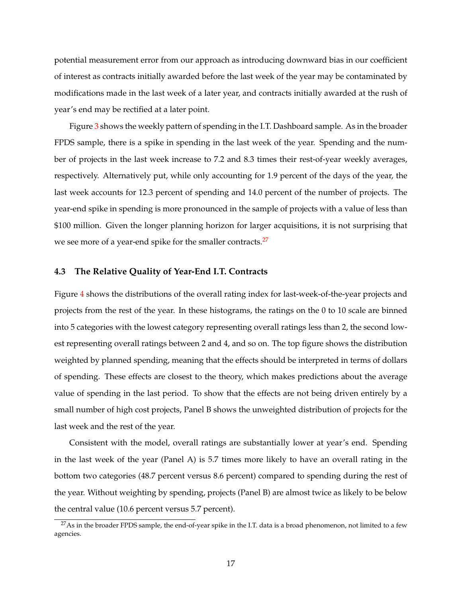potential measurement error from our approach as introducing downward bias in our coefficient of interest as contracts initially awarded before the last week of the year may be contaminated by modifications made in the last week of a later year, and contracts initially awarded at the rush of year's end may be rectified at a later point.

Figure [3](#page-40-0) shows the weekly pattern of spending in the I.T. Dashboard sample. As in the broader FPDS sample, there is a spike in spending in the last week of the year. Spending and the number of projects in the last week increase to 7.2 and 8.3 times their rest-of-year weekly averages, respectively. Alternatively put, while only accounting for 1.9 percent of the days of the year, the last week accounts for 12.3 percent of spending and 14.0 percent of the number of projects. The year-end spike in spending is more pronounced in the sample of projects with a value of less than \$100 million. Given the longer planning horizon for larger acquisitions, it is not surprising that we see more of a year-end spike for the smaller contracts. $27$ 

#### **4.3 The Relative Quality of Year-End I.T. Contracts**

Figure [4](#page-41-0) shows the distributions of the overall rating index for last-week-of-the-year projects and projects from the rest of the year. In these histograms, the ratings on the 0 to 10 scale are binned into 5 categories with the lowest category representing overall ratings less than 2, the second lowest representing overall ratings between 2 and 4, and so on. The top figure shows the distribution weighted by planned spending, meaning that the effects should be interpreted in terms of dollars of spending. These effects are closest to the theory, which makes predictions about the average value of spending in the last period. To show that the effects are not being driven entirely by a small number of high cost projects, Panel B shows the unweighted distribution of projects for the last week and the rest of the year.

Consistent with the model, overall ratings are substantially lower at year's end. Spending in the last week of the year (Panel A) is 5.7 times more likely to have an overall rating in the bottom two categories (48.7 percent versus 8.6 percent) compared to spending during the rest of the year. Without weighting by spending, projects (Panel B) are almost twice as likely to be below the central value (10.6 percent versus 5.7 percent).

<span id="page-18-0"></span> $^{27}$ As in the broader FPDS sample, the end-of-year spike in the I.T. data is a broad phenomenon, not limited to a few agencies.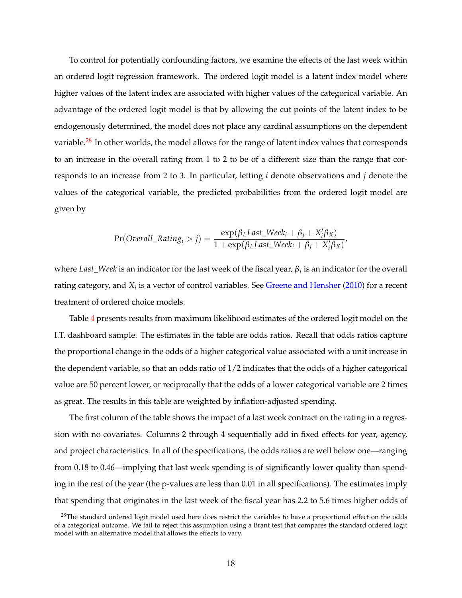To control for potentially confounding factors, we examine the effects of the last week within an ordered logit regression framework. The ordered logit model is a latent index model where higher values of the latent index are associated with higher values of the categorical variable. An advantage of the ordered logit model is that by allowing the cut points of the latent index to be endogenously determined, the model does not place any cardinal assumptions on the dependent variable.<sup>[28](#page-19-0)</sup> In other worlds, the model allows for the range of latent index values that corresponds to an increase in the overall rating from 1 to 2 to be of a different size than the range that corresponds to an increase from 2 to 3. In particular, letting *i* denote observations and *j* denote the values of the categorical variable, the predicted probabilities from the ordered logit model are given by

$$
Pr(Overall\_Rating_i > j) = \frac{\exp(\beta_L Last\_Week_i + \beta_j + X_i'\beta_X)}{1 + \exp(\beta_LLast\_Week_i + \beta_j + X_i'\beta_X)}
$$

where *Last*\_*Week* is an indicator for the last week of the fiscal year, *β<sup>j</sup>* is an indicator for the overall rating category, and *X<sup>i</sup>* is a vector of control variables. See [Greene and Hensher](#page-36-12) [\(2010\)](#page-36-12) for a recent treatment of ordered choice models.

Table [4](#page-45-0) presents results from maximum likelihood estimates of the ordered logit model on the I.T. dashboard sample. The estimates in the table are odds ratios. Recall that odds ratios capture the proportional change in the odds of a higher categorical value associated with a unit increase in the dependent variable, so that an odds ratio of 1/2 indicates that the odds of a higher categorical value are 50 percent lower, or reciprocally that the odds of a lower categorical variable are 2 times as great. The results in this table are weighted by inflation-adjusted spending.

The first column of the table shows the impact of a last week contract on the rating in a regression with no covariates. Columns 2 through 4 sequentially add in fixed effects for year, agency, and project characteristics. In all of the specifications, the odds ratios are well below one—ranging from 0.18 to 0.46—implying that last week spending is of significantly lower quality than spending in the rest of the year (the p-values are less than 0.01 in all specifications). The estimates imply that spending that originates in the last week of the fiscal year has 2.2 to 5.6 times higher odds of

<span id="page-19-0"></span><sup>&</sup>lt;sup>28</sup>The standard ordered logit model used here does restrict the variables to have a proportional effect on the odds of a categorical outcome. We fail to reject this assumption using a Brant test that compares the standard ordered logit model with an alternative model that allows the effects to vary.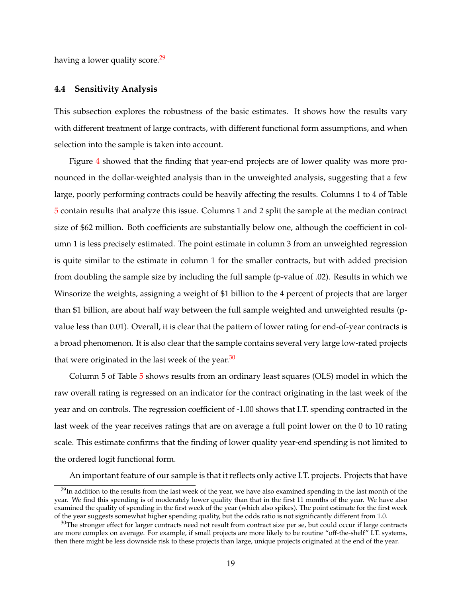having a lower quality score.<sup>[29](#page-20-0)</sup>

### **4.4 Sensitivity Analysis**

This subsection explores the robustness of the basic estimates. It shows how the results vary with different treatment of large contracts, with different functional form assumptions, and when selection into the sample is taken into account.

Figure [4](#page-41-0) showed that the finding that year-end projects are of lower quality was more pronounced in the dollar-weighted analysis than in the unweighted analysis, suggesting that a few large, poorly performing contracts could be heavily affecting the results. Columns 1 to 4 of Table [5](#page-45-1) contain results that analyze this issue. Columns 1 and 2 split the sample at the median contract size of \$62 million. Both coefficients are substantially below one, although the coefficient in column 1 is less precisely estimated. The point estimate in column 3 from an unweighted regression is quite similar to the estimate in column 1 for the smaller contracts, but with added precision from doubling the sample size by including the full sample (p-value of .02). Results in which we Winsorize the weights, assigning a weight of \$1 billion to the 4 percent of projects that are larger than \$1 billion, are about half way between the full sample weighted and unweighted results (pvalue less than 0.01). Overall, it is clear that the pattern of lower rating for end-of-year contracts is a broad phenomenon. It is also clear that the sample contains several very large low-rated projects that were originated in the last week of the year. $30$ 

Column 5 of Table [5](#page-45-1) shows results from an ordinary least squares (OLS) model in which the raw overall rating is regressed on an indicator for the contract originating in the last week of the year and on controls. The regression coefficient of -1.00 shows that I.T. spending contracted in the last week of the year receives ratings that are on average a full point lower on the 0 to 10 rating scale. This estimate confirms that the finding of lower quality year-end spending is not limited to the ordered logit functional form.

An important feature of our sample is that it reflects only active I.T. projects. Projects that have

<span id="page-20-0"></span> $29$ In addition to the results from the last week of the year, we have also examined spending in the last month of the year. We find this spending is of moderately lower quality than that in the first 11 months of the year. We have also examined the quality of spending in the first week of the year (which also spikes). The point estimate for the first week of the year suggests somewhat higher spending quality, but the odds ratio is not significantly different from 1.0.

<span id="page-20-1"></span><sup>&</sup>lt;sup>30</sup>The stronger effect for larger contracts need not result from contract size per se, but could occur if large contracts are more complex on average. For example, if small projects are more likely to be routine "off-the-shelf" I.T. systems, then there might be less downside risk to these projects than large, unique projects originated at the end of the year.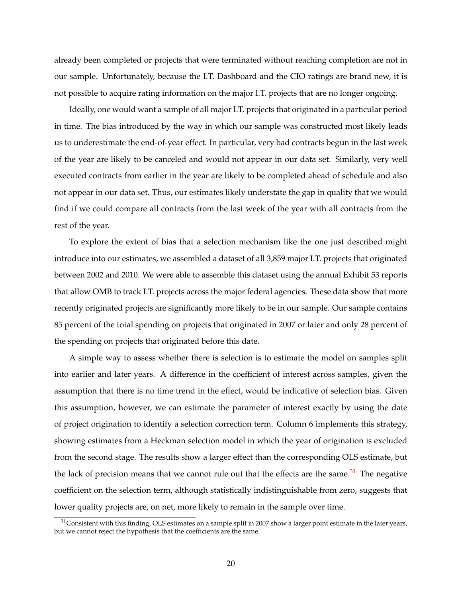already been completed or projects that were terminated without reaching completion are not in our sample. Unfortunately, because the I.T. Dashboard and the CIO ratings are brand new, it is not possible to acquire rating information on the major I.T. projects that are no longer ongoing.

Ideally, one would want a sample of all major I.T. projects that originated in a particular period in time. The bias introduced by the way in which our sample was constructed most likely leads us to underestimate the end-of-year effect. In particular, very bad contracts begun in the last week of the year are likely to be canceled and would not appear in our data set. Similarly, very well executed contracts from earlier in the year are likely to be completed ahead of schedule and also not appear in our data set. Thus, our estimates likely understate the gap in quality that we would find if we could compare all contracts from the last week of the year with all contracts from the rest of the year.

To explore the extent of bias that a selection mechanism like the one just described might introduce into our estimates, we assembled a dataset of all 3,859 major I.T. projects that originated between 2002 and 2010. We were able to assemble this dataset using the annual Exhibit 53 reports that allow OMB to track I.T. projects across the major federal agencies. These data show that more recently originated projects are significantly more likely to be in our sample. Our sample contains 85 percent of the total spending on projects that originated in 2007 or later and only 28 percent of the spending on projects that originated before this date.

A simple way to assess whether there is selection is to estimate the model on samples split into earlier and later years. A difference in the coefficient of interest across samples, given the assumption that there is no time trend in the effect, would be indicative of selection bias. Given this assumption, however, we can estimate the parameter of interest exactly by using the date of project origination to identify a selection correction term. Column 6 implements this strategy, showing estimates from a Heckman selection model in which the year of origination is excluded from the second stage. The results show a larger effect than the corresponding OLS estimate, but the lack of precision means that we cannot rule out that the effects are the same. $31$  The negative coefficient on the selection term, although statistically indistinguishable from zero, suggests that lower quality projects are, on net, more likely to remain in the sample over time.

<span id="page-21-0"></span> $31$ Consistent with this finding, OLS estimates on a sample split in 2007 show a larger point estimate in the later years, but we cannot reject the hypothesis that the coefficients are the same.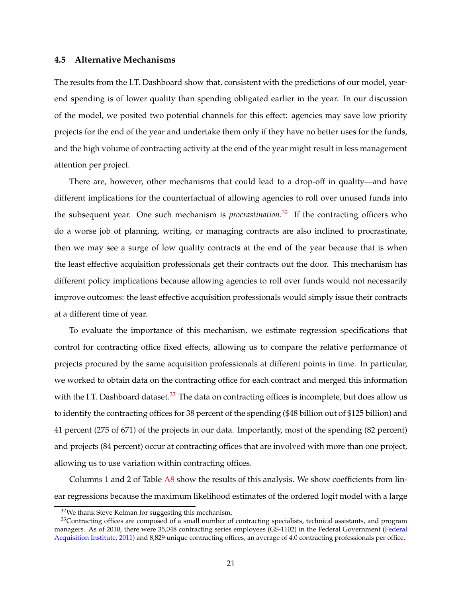#### **4.5 Alternative Mechanisms**

The results from the I.T. Dashboard show that, consistent with the predictions of our model, yearend spending is of lower quality than spending obligated earlier in the year. In our discussion of the model, we posited two potential channels for this effect: agencies may save low priority projects for the end of the year and undertake them only if they have no better uses for the funds, and the high volume of contracting activity at the end of the year might result in less management attention per project.

There are, however, other mechanisms that could lead to a drop-off in quality—and have different implications for the counterfactual of allowing agencies to roll over unused funds into the subsequent year. One such mechanism is *procrastination*. [32](#page-22-0) If the contracting officers who do a worse job of planning, writing, or managing contracts are also inclined to procrastinate, then we may see a surge of low quality contracts at the end of the year because that is when the least effective acquisition professionals get their contracts out the door. This mechanism has different policy implications because allowing agencies to roll over funds would not necessarily improve outcomes: the least effective acquisition professionals would simply issue their contracts at a different time of year.

To evaluate the importance of this mechanism, we estimate regression specifications that control for contracting office fixed effects, allowing us to compare the relative performance of projects procured by the same acquisition professionals at different points in time. In particular, we worked to obtain data on the contracting office for each contract and merged this information with the I.T. Dashboard dataset.<sup>[33](#page-22-1)</sup> The data on contracting offices is incomplete, but does allow us to identify the contracting offices for 38 percent of the spending (\$48 billion out of \$125 billion) and 41 percent (275 of 671) of the projects in our data. Importantly, most of the spending (82 percent) and projects (84 percent) occur at contracting offices that are involved with more than one project, allowing us to use variation within contracting offices.

Columns 1 and 2 of Table [A8](#page-65-0) show the results of this analysis. We show coefficients from linear regressions because the maximum likelihood estimates of the ordered logit model with a large

<span id="page-22-1"></span><span id="page-22-0"></span><sup>32</sup>We thank Steve Kelman for suggesting this mechanism.

<sup>&</sup>lt;sup>33</sup>Contracting offices are composed of a small number of contracting specialists, technical assistants, and program managers. As of 2010, there were 35,048 contracting series employees (GS-1102) in the Federal Government [\(Federal](#page-36-13) [Acquisition Institute,](#page-36-13) [2011\)](#page-36-13) and 8,829 unique contracting offices, an average of 4.0 contracting professionals per office.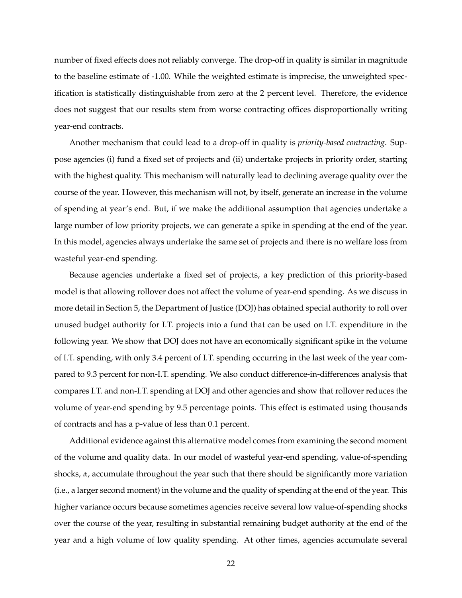number of fixed effects does not reliably converge. The drop-off in quality is similar in magnitude to the baseline estimate of -1.00. While the weighted estimate is imprecise, the unweighted specification is statistically distinguishable from zero at the 2 percent level. Therefore, the evidence does not suggest that our results stem from worse contracting offices disproportionally writing year-end contracts.

Another mechanism that could lead to a drop-off in quality is *priority-based contracting*. Suppose agencies (i) fund a fixed set of projects and (ii) undertake projects in priority order, starting with the highest quality. This mechanism will naturally lead to declining average quality over the course of the year. However, this mechanism will not, by itself, generate an increase in the volume of spending at year's end. But, if we make the additional assumption that agencies undertake a large number of low priority projects, we can generate a spike in spending at the end of the year. In this model, agencies always undertake the same set of projects and there is no welfare loss from wasteful year-end spending.

Because agencies undertake a fixed set of projects, a key prediction of this priority-based model is that allowing rollover does not affect the volume of year-end spending. As we discuss in more detail in Section 5, the Department of Justice (DOJ) has obtained special authority to roll over unused budget authority for I.T. projects into a fund that can be used on I.T. expenditure in the following year. We show that DOJ does not have an economically significant spike in the volume of I.T. spending, with only 3.4 percent of I.T. spending occurring in the last week of the year compared to 9.3 percent for non-I.T. spending. We also conduct difference-in-differences analysis that compares I.T. and non-I.T. spending at DOJ and other agencies and show that rollover reduces the volume of year-end spending by 9.5 percentage points. This effect is estimated using thousands of contracts and has a p-value of less than 0.1 percent.

Additional evidence against this alternative model comes from examining the second moment of the volume and quality data. In our model of wasteful year-end spending, value-of-spending shocks,  $\alpha$ , accumulate throughout the year such that there should be significantly more variation (i.e., a larger second moment) in the volume and the quality of spending at the end of the year. This higher variance occurs because sometimes agencies receive several low value-of-spending shocks over the course of the year, resulting in substantial remaining budget authority at the end of the year and a high volume of low quality spending. At other times, agencies accumulate several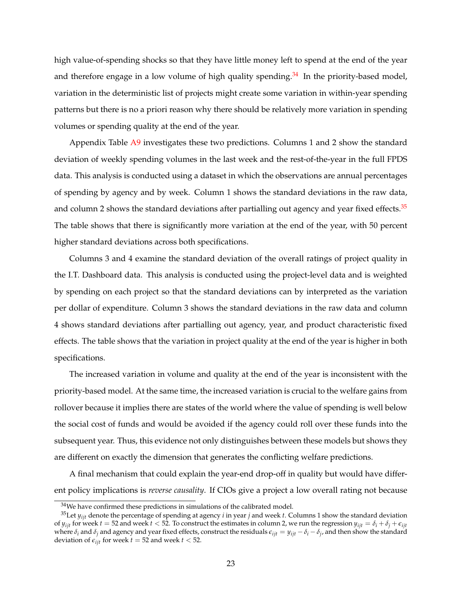high value-of-spending shocks so that they have little money left to spend at the end of the year and therefore engage in a low volume of high quality spending.<sup>[34](#page-24-0)</sup> In the priority-based model, variation in the deterministic list of projects might create some variation in within-year spending patterns but there is no a priori reason why there should be relatively more variation in spending volumes or spending quality at the end of the year.

Appendix Table [A9](#page-66-0) investigates these two predictions. Columns 1 and 2 show the standard deviation of weekly spending volumes in the last week and the rest-of-the-year in the full FPDS data. This analysis is conducted using a dataset in which the observations are annual percentages of spending by agency and by week. Column 1 shows the standard deviations in the raw data, and column 2 shows the standard deviations after partialling out agency and year fixed effects.<sup>[35](#page-24-1)</sup> The table shows that there is significantly more variation at the end of the year, with 50 percent higher standard deviations across both specifications.

Columns 3 and 4 examine the standard deviation of the overall ratings of project quality in the I.T. Dashboard data. This analysis is conducted using the project-level data and is weighted by spending on each project so that the standard deviations can by interpreted as the variation per dollar of expenditure. Column 3 shows the standard deviations in the raw data and column 4 shows standard deviations after partialling out agency, year, and product characteristic fixed effects. The table shows that the variation in project quality at the end of the year is higher in both specifications.

The increased variation in volume and quality at the end of the year is inconsistent with the priority-based model. At the same time, the increased variation is crucial to the welfare gains from rollover because it implies there are states of the world where the value of spending is well below the social cost of funds and would be avoided if the agency could roll over these funds into the subsequent year. Thus, this evidence not only distinguishes between these models but shows they are different on exactly the dimension that generates the conflicting welfare predictions.

A final mechanism that could explain the year-end drop-off in quality but would have different policy implications is *reverse causality*. If CIOs give a project a low overall rating not because

<span id="page-24-1"></span><span id="page-24-0"></span> $34$ We have confirmed these predictions in simulations of the calibrated model.

<sup>35</sup>Let *yijt* denote the percentage of spending at agency *i* in year *j* and week *t*. Columns 1 show the standard deviation of *y*<sub>*i*jt</sub> for week *t* = 52 and week *t* < 52. To construct the estimates in column 2, we run the regression  $y_{ijt} = \delta_i + \delta_j + \epsilon_{ijt}$ where  $\delta_i$  and  $\delta_j$  and agency and year fixed effects, construct the residuals  $\varepsilon_{ijt} = y_{ijt} - \delta_i - \delta_j$ , and then show the standard deviation of  $\epsilon_{i}$  for week  $t = 52$  and week  $t < 52$ .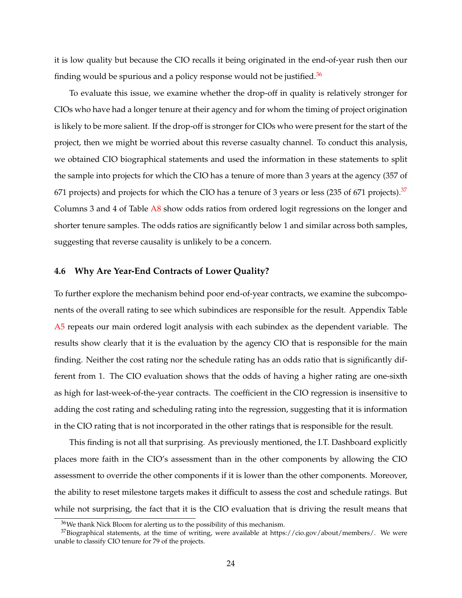it is low quality but because the CIO recalls it being originated in the end-of-year rush then our finding would be spurious and a policy response would not be justified.<sup>[36](#page-25-0)</sup>

To evaluate this issue, we examine whether the drop-off in quality is relatively stronger for CIOs who have had a longer tenure at their agency and for whom the timing of project origination is likely to be more salient. If the drop-off is stronger for CIOs who were present for the start of the project, then we might be worried about this reverse casualty channel. To conduct this analysis, we obtained CIO biographical statements and used the information in these statements to split the sample into projects for which the CIO has a tenure of more than 3 years at the agency (357 of 671 projects) and projects for which the CIO has a tenure of 3 years or less (235 of 671 projects).<sup>[37](#page-25-1)</sup> Columns 3 and 4 of Table [A8](#page-65-0) show odds ratios from ordered logit regressions on the longer and shorter tenure samples. The odds ratios are significantly below 1 and similar across both samples, suggesting that reverse causality is unlikely to be a concern.

#### **4.6 Why Are Year-End Contracts of Lower Quality?**

To further explore the mechanism behind poor end-of-year contracts, we examine the subcomponents of the overall rating to see which subindices are responsible for the result. Appendix Table [A5](#page-63-0) repeats our main ordered logit analysis with each subindex as the dependent variable. The results show clearly that it is the evaluation by the agency CIO that is responsible for the main finding. Neither the cost rating nor the schedule rating has an odds ratio that is significantly different from 1. The CIO evaluation shows that the odds of having a higher rating are one-sixth as high for last-week-of-the-year contracts. The coefficient in the CIO regression is insensitive to adding the cost rating and scheduling rating into the regression, suggesting that it is information in the CIO rating that is not incorporated in the other ratings that is responsible for the result.

This finding is not all that surprising. As previously mentioned, the I.T. Dashboard explicitly places more faith in the CIO's assessment than in the other components by allowing the CIO assessment to override the other components if it is lower than the other components. Moreover, the ability to reset milestone targets makes it difficult to assess the cost and schedule ratings. But while not surprising, the fact that it is the CIO evaluation that is driving the result means that

<span id="page-25-1"></span><span id="page-25-0"></span> $36$ We thank Nick Bloom for alerting us to the possibility of this mechanism.

 $37$ Biographical statements, at the time of writing, were available at https://cio.gov/about/members/. We were unable to classify CIO tenure for 79 of the projects.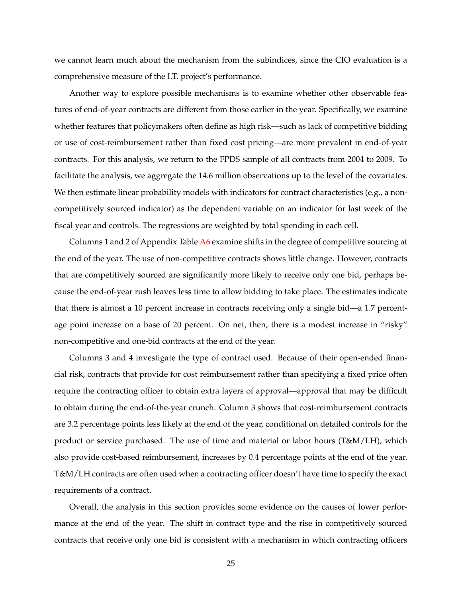we cannot learn much about the mechanism from the subindices, since the CIO evaluation is a comprehensive measure of the I.T. project's performance.

Another way to explore possible mechanisms is to examine whether other observable features of end-of-year contracts are different from those earlier in the year. Specifically, we examine whether features that policymakers often define as high risk—such as lack of competitive bidding or use of cost-reimbursement rather than fixed cost pricing—are more prevalent in end-of-year contracts. For this analysis, we return to the FPDS sample of all contracts from 2004 to 2009. To facilitate the analysis, we aggregate the 14.6 million observations up to the level of the covariates. We then estimate linear probability models with indicators for contract characteristics (e.g., a noncompetitively sourced indicator) as the dependent variable on an indicator for last week of the fiscal year and controls. The regressions are weighted by total spending in each cell.

Columns 1 and 2 of Appendix Table [A6](#page-63-1) examine shifts in the degree of competitive sourcing at the end of the year. The use of non-competitive contracts shows little change. However, contracts that are competitively sourced are significantly more likely to receive only one bid, perhaps because the end-of-year rush leaves less time to allow bidding to take place. The estimates indicate that there is almost a 10 percent increase in contracts receiving only a single bid—a 1.7 percentage point increase on a base of 20 percent. On net, then, there is a modest increase in "risky" non-competitive and one-bid contracts at the end of the year.

Columns 3 and 4 investigate the type of contract used. Because of their open-ended financial risk, contracts that provide for cost reimbursement rather than specifying a fixed price often require the contracting officer to obtain extra layers of approval—approval that may be difficult to obtain during the end-of-the-year crunch. Column 3 shows that cost-reimbursement contracts are 3.2 percentage points less likely at the end of the year, conditional on detailed controls for the product or service purchased. The use of time and material or labor hours (T&M/LH), which also provide cost-based reimbursement, increases by 0.4 percentage points at the end of the year. T&M/LH contracts are often used when a contracting officer doesn't have time to specify the exact requirements of a contract.

Overall, the analysis in this section provides some evidence on the causes of lower performance at the end of the year. The shift in contract type and the rise in competitively sourced contracts that receive only one bid is consistent with a mechanism in which contracting officers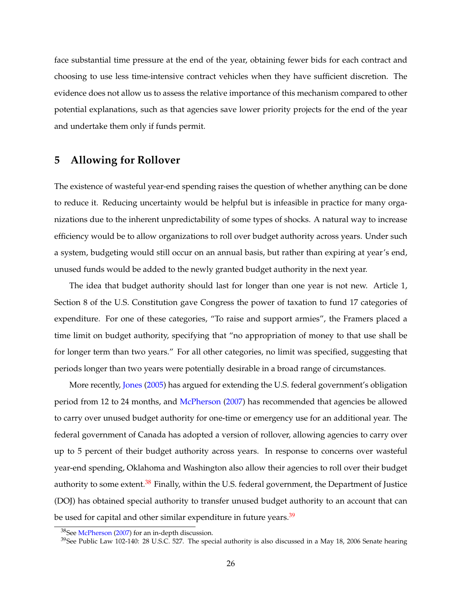face substantial time pressure at the end of the year, obtaining fewer bids for each contract and choosing to use less time-intensive contract vehicles when they have sufficient discretion. The evidence does not allow us to assess the relative importance of this mechanism compared to other potential explanations, such as that agencies save lower priority projects for the end of the year and undertake them only if funds permit.

## <span id="page-27-0"></span>**5 Allowing for Rollover**

The existence of wasteful year-end spending raises the question of whether anything can be done to reduce it. Reducing uncertainty would be helpful but is infeasible in practice for many organizations due to the inherent unpredictability of some types of shocks. A natural way to increase efficiency would be to allow organizations to roll over budget authority across years. Under such a system, budgeting would still occur on an annual basis, but rather than expiring at year's end, unused funds would be added to the newly granted budget authority in the next year.

The idea that budget authority should last for longer than one year is not new. Article 1, Section 8 of the U.S. Constitution gave Congress the power of taxation to fund 17 categories of expenditure. For one of these categories, "To raise and support armies", the Framers placed a time limit on budget authority, specifying that "no appropriation of money to that use shall be for longer term than two years." For all other categories, no limit was specified, suggesting that periods longer than two years were potentially desirable in a broad range of circumstances.

More recently, [Jones](#page-36-0) [\(2005\)](#page-36-0) has argued for extending the U.S. federal government's obligation period from 12 to 24 months, and [McPherson](#page-37-0) [\(2007\)](#page-37-0) has recommended that agencies be allowed to carry over unused budget authority for one-time or emergency use for an additional year. The federal government of Canada has adopted a version of rollover, allowing agencies to carry over up to 5 percent of their budget authority across years. In response to concerns over wasteful year-end spending, Oklahoma and Washington also allow their agencies to roll over their budget authority to some extent.<sup>[38](#page-27-1)</sup> Finally, within the U.S. federal government, the Department of Justice (DOJ) has obtained special authority to transfer unused budget authority to an account that can be used for capital and other similar expenditure in future years.<sup>[39](#page-27-2)</sup>

<span id="page-27-1"></span><sup>38</sup>See [McPherson](#page-37-0) [\(2007\)](#page-37-0) for an in-depth discussion.

<span id="page-27-2"></span><sup>&</sup>lt;sup>39</sup>See Public Law 102-140: 28 U.S.C. 527. The special authority is also discussed in a May 18, 2006 Senate hearing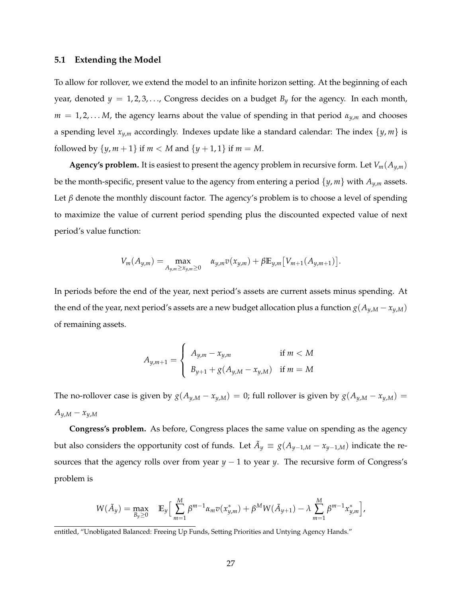#### **5.1 Extending the Model**

To allow for rollover, we extend the model to an infinite horizon setting. At the beginning of each year, denoted  $y = 1, 2, 3, \ldots$ , Congress decides on a budget  $B_y$  for the agency. In each month,  $m = 1, 2, \ldots M$ , the agency learns about the value of spending in that period  $\alpha_{y,m}$  and chooses a spending level  $x_{y,m}$  accordingly. Indexes update like a standard calendar: The index  $\{y,m\}$  is followed by  $\{y, m+1\}$  if  $m < M$  and  $\{y+1, 1\}$  if  $m = M$ .

**Agency's problem.** It is easiest to present the agency problem in recursive form. Let  $V_m(A_{y,m})$ be the month-specific, present value to the agency from entering a period  $\{y, m\}$  with  $A_{y,m}$  assets. Let *β* denote the monthly discount factor. The agency's problem is to choose a level of spending to maximize the value of current period spending plus the discounted expected value of next period's value function:

$$
V_m(A_{y,m}) = \max_{A_{y,m} \ge x_{y,m} \ge 0} \quad \alpha_{y,m} v(x_{y,m}) + \beta \mathbb{E}_{y,m} [V_{m+1}(A_{y,m+1})].
$$

In periods before the end of the year, next period's assets are current assets minus spending. At the end of the year, next period's assets are a new budget allocation plus a function  $g(A_{y,M} - x_{y,M})$ of remaining assets.

$$
A_{y,m+1} = \begin{cases} A_{y,m} - x_{y,m} & \text{if } m < M \\ B_{y+1} + g(A_{y,M} - x_{y,M}) & \text{if } m = M \end{cases}
$$

The no-rollover case is given by  $g(A_{y,M} - x_{y,M}) = 0$ ; full rollover is given by  $g(A_{y,M} - x_{y,M}) = 0$  $A_{y,M} - x_{y,M}$ 

**Congress's problem.** As before, Congress places the same value on spending as the agency but also considers the opportunity cost of funds. Let  $\tilde{A}_y \equiv g(A_{y-1,M} - x_{y-1,M})$  indicate the resources that the agency rolls over from year  $y - 1$  to year *y*. The recursive form of Congress's problem is

$$
W(\tilde{A}_y) = \max_{B_y \ge 0} \quad \mathbb{E}_y \Big[ \sum_{m=1}^M \beta^{m-1} \alpha_m v(x_{y,m}^*) + \beta^M W(\tilde{A}_{y+1}) - \lambda \sum_{m=1}^M \beta^{m-1} x_{y,m}^* \Big],
$$

entitled, "Unobligated Balanced: Freeing Up Funds, Setting Priorities and Untying Agency Hands."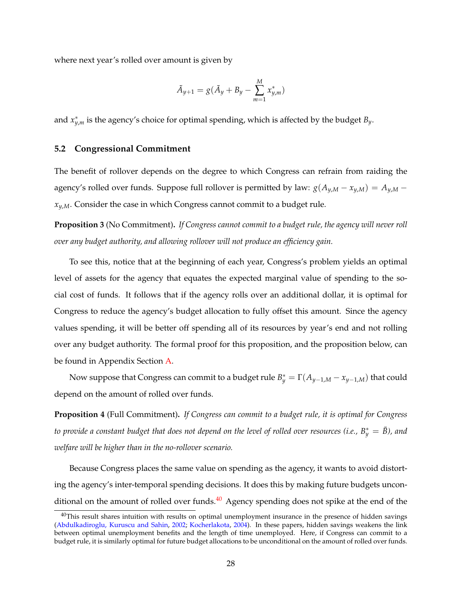where next year's rolled over amount is given by

$$
\tilde{A}_{y+1} = g(\tilde{A}_y + B_y - \sum_{m=1}^{M} x_{y,m}^*)
$$

and  $x_{y,m}^*$  is the agency's choice for optimal spending, which is affected by the budget  $B_y$ .

#### **5.2 Congressional Commitment**

The benefit of rollover depends on the degree to which Congress can refrain from raiding the agency's rolled over funds. Suppose full rollover is permitted by law:  $g(A_{y,M} - x_{y,M}) = A_{y,M}$ *xy*,*M*. Consider the case in which Congress cannot commit to a budget rule.

**Proposition 3** (No Commitment)**.** *If Congress cannot commit to a budget rule, the agency will never roll over any budget authority, and allowing rollover will not produce an efficiency gain.*

To see this, notice that at the beginning of each year, Congress's problem yields an optimal level of assets for the agency that equates the expected marginal value of spending to the social cost of funds. It follows that if the agency rolls over an additional dollar, it is optimal for Congress to reduce the agency's budget allocation to fully offset this amount. Since the agency values spending, it will be better off spending all of its resources by year's end and not rolling over any budget authority. The formal proof for this proposition, and the proposition below, can be found in Appendix Section [A.](#page-47-0)

Now suppose that Congress can commit to a budget rule  $B_y^* = \Gamma(A_{y-1,M} - x_{y-1,M})$  that could depend on the amount of rolled over funds.

**Proposition 4** (Full Commitment)**.** *If Congress can commit to a budget rule, it is optimal for Congress to provide a constant budget that does not depend on the level of rolled over resources (i.e.,*  $B_y^*=\bar{B}$ *), and welfare will be higher than in the no-rollover scenario.*

Because Congress places the same value on spending as the agency, it wants to avoid distorting the agency's inter-temporal spending decisions. It does this by making future budgets uncon-ditional on the amount of rolled over funds.<sup>[40](#page-29-0)</sup> Agency spending does not spike at the end of the

<span id="page-29-0"></span> $40$ This result shares intuition with results on optimal unemployment insurance in the presence of hidden savings [\(Abdulkadiroglu, Kuruscu and Sahin,](#page-36-14) [2002;](#page-36-14) [Kocherlakota,](#page-36-15) [2004\)](#page-36-15). In these papers, hidden savings weakens the link between optimal unemployment benefits and the length of time unemployed. Here, if Congress can commit to a budget rule, it is similarly optimal for future budget allocations to be unconditional on the amount of rolled over funds.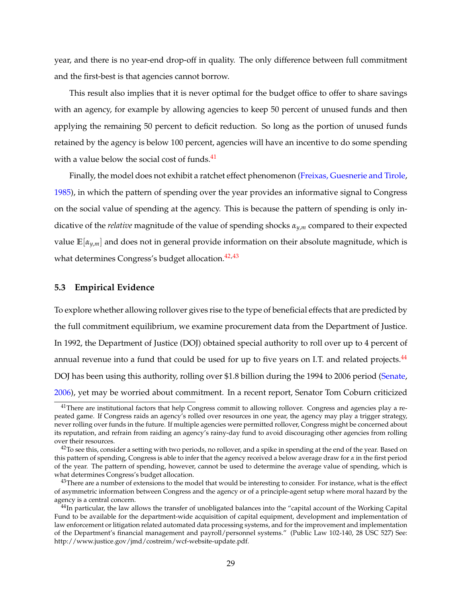year, and there is no year-end drop-off in quality. The only difference between full commitment and the first-best is that agencies cannot borrow.

This result also implies that it is never optimal for the budget office to offer to share savings with an agency, for example by allowing agencies to keep 50 percent of unused funds and then applying the remaining 50 percent to deficit reduction. So long as the portion of unused funds retained by the agency is below 100 percent, agencies will have an incentive to do some spending with a value below the social cost of funds. $41$ 

Finally, the model does not exhibit a ratchet effect phenomenon [\(Freixas, Guesnerie and Tirole,](#page-36-4) [1985\)](#page-36-4), in which the pattern of spending over the year provides an informative signal to Congress on the social value of spending at the agency. This is because the pattern of spending is only indicative of the *relative* magnitude of the value of spending shocks *αy*,*<sup>m</sup>* compared to their expected value  $\mathbb{E}[\alpha_{v,m}]$  and does not in general provide information on their absolute magnitude, which is what determines Congress's budget allocation. $42,43$  $42,43$ 

#### **5.3 Empirical Evidence**

To explore whether allowing rollover gives rise to the type of beneficial effects that are predicted by the full commitment equilibrium, we examine procurement data from the Department of Justice. In 1992, the Department of Justice (DOJ) obtained special authority to roll over up to 4 percent of annual revenue into a fund that could be used for up to five years on I.T. and related projects.<sup>[44](#page-30-3)</sup> DOJ has been using this authority, rolling over \$1.8 billion during the 1994 to 2006 period [\(Senate,](#page-37-7) [2006\)](#page-37-7), yet may be worried about commitment. In a recent report, Senator Tom Coburn criticized

<span id="page-30-0"></span><sup>&</sup>lt;sup>41</sup>There are institutional factors that help Congress commit to allowing rollover. Congress and agencies play a repeated game. If Congress raids an agency's rolled over resources in one year, the agency may play a trigger strategy, never rolling over funds in the future. If multiple agencies were permitted rollover, Congress might be concerned about its reputation, and refrain from raiding an agency's rainy-day fund to avoid discouraging other agencies from rolling over their resources.

<span id="page-30-1"></span><sup>&</sup>lt;sup>42</sup>To see this, consider a setting with two periods, no rollover, and a spike in spending at the end of the year. Based on this pattern of spending, Congress is able to infer that the agency received a below average draw for *α* in the first period of the year. The pattern of spending, however, cannot be used to determine the average value of spending, which is what determines Congress's budget allocation.

<span id="page-30-2"></span><sup>&</sup>lt;sup>43</sup>There are a number of extensions to the model that would be interesting to consider. For instance, what is the effect of asymmetric information between Congress and the agency or of a principle-agent setup where moral hazard by the agency is a central concern.

<span id="page-30-3"></span> $^{44}$ In particular, the law allows the transfer of unobligated balances into the "capital account of the Working Capital Fund to be available for the department-wide acquisition of capital equipment, development and implementation of law enforcement or litigation related automated data processing systems, and for the improvement and implementation of the Department's financial management and payroll/personnel systems." (Public Law 102-140, 28 USC 527) See: http://www.justice.gov/jmd/costreim/wcf-website-update.pdf.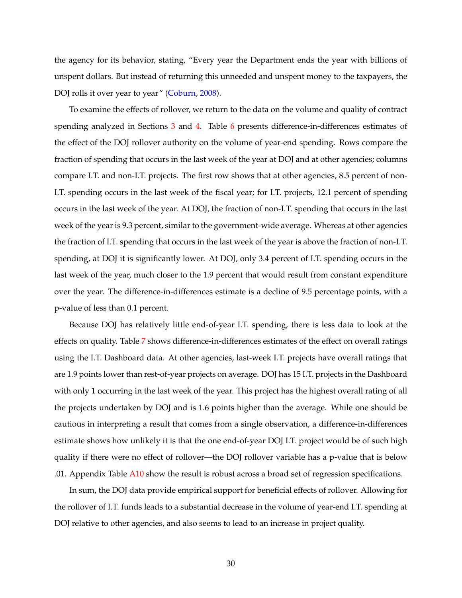the agency for its behavior, stating, "Every year the Department ends the year with billions of unspent dollars. But instead of returning this unneeded and unspent money to the taxpayers, the DOJ rolls it over year to year" [\(Coburn,](#page-36-16) [2008\)](#page-36-16).

To examine the effects of rollover, we return to the data on the volume and quality of contract spending analyzed in Sections [3](#page-9-0) and [4.](#page-14-0) Table [6](#page-46-0) presents difference-in-differences estimates of the effect of the DOJ rollover authority on the volume of year-end spending. Rows compare the fraction of spending that occurs in the last week of the year at DOJ and at other agencies; columns compare I.T. and non-I.T. projects. The first row shows that at other agencies, 8.5 percent of non-I.T. spending occurs in the last week of the fiscal year; for I.T. projects, 12.1 percent of spending occurs in the last week of the year. At DOJ, the fraction of non-I.T. spending that occurs in the last week of the year is 9.3 percent, similar to the government-wide average. Whereas at other agencies the fraction of I.T. spending that occurs in the last week of the year is above the fraction of non-I.T. spending, at DOJ it is significantly lower. At DOJ, only 3.4 percent of I.T. spending occurs in the last week of the year, much closer to the 1.9 percent that would result from constant expenditure over the year. The difference-in-differences estimate is a decline of 9.5 percentage points, with a p-value of less than 0.1 percent.

Because DOJ has relatively little end-of-year I.T. spending, there is less data to look at the effects on quality. Table [7](#page-46-1) shows difference-in-differences estimates of the effect on overall ratings using the I.T. Dashboard data. At other agencies, last-week I.T. projects have overall ratings that are 1.9 points lower than rest-of-year projects on average. DOJ has 15 I.T. projects in the Dashboard with only 1 occurring in the last week of the year. This project has the highest overall rating of all the projects undertaken by DOJ and is 1.6 points higher than the average. While one should be cautious in interpreting a result that comes from a single observation, a difference-in-differences estimate shows how unlikely it is that the one end-of-year DOJ I.T. project would be of such high quality if there were no effect of rollover—the DOJ rollover variable has a p-value that is below .01. Appendix Table [A10](#page-67-0) show the result is robust across a broad set of regression specifications.

In sum, the DOJ data provide empirical support for beneficial effects of rollover. Allowing for the rollover of I.T. funds leads to a substantial decrease in the volume of year-end I.T. spending at DOJ relative to other agencies, and also seems to lead to an increase in project quality.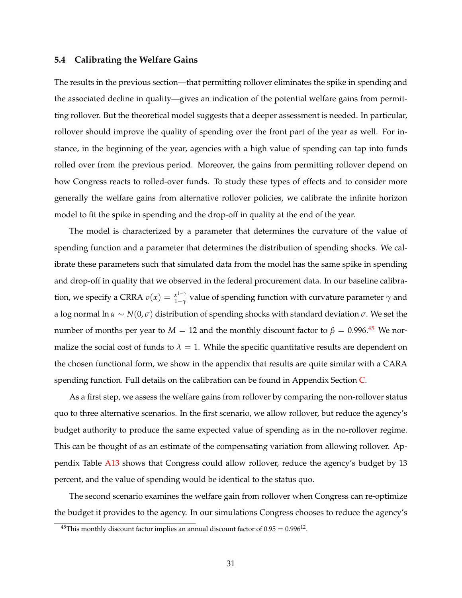#### **5.4 Calibrating the Welfare Gains**

The results in the previous section—that permitting rollover eliminates the spike in spending and the associated decline in quality—gives an indication of the potential welfare gains from permitting rollover. But the theoretical model suggests that a deeper assessment is needed. In particular, rollover should improve the quality of spending over the front part of the year as well. For instance, in the beginning of the year, agencies with a high value of spending can tap into funds rolled over from the previous period. Moreover, the gains from permitting rollover depend on how Congress reacts to rolled-over funds. To study these types of effects and to consider more generally the welfare gains from alternative rollover policies, we calibrate the infinite horizon model to fit the spike in spending and the drop-off in quality at the end of the year.

The model is characterized by a parameter that determines the curvature of the value of spending function and a parameter that determines the distribution of spending shocks. We calibrate these parameters such that simulated data from the model has the same spike in spending and drop-off in quality that we observed in the federal procurement data. In our baseline calibration, we specify a CRRA  $v(x) = \frac{x^{1-\gamma}}{1-\gamma}$ 1−*γ* value of spending function with curvature parameter *γ* and a log normal ln *α* ∼ *N*(0, *σ*) distribution of spending shocks with standard deviation *σ*. We set the number of months per year to *M* = 12 and the monthly discount factor to  $β = 0.996$ .<sup>[45](#page-32-0)</sup> We normalize the social cost of funds to  $\lambda = 1$ . While the specific quantitative results are dependent on the chosen functional form, we show in the appendix that results are quite similar with a CARA spending function. Full details on the calibration can be found in Appendix Section [C.](#page-51-0)

As a first step, we assess the welfare gains from rollover by comparing the non-rollover status quo to three alternative scenarios. In the first scenario, we allow rollover, but reduce the agency's budget authority to produce the same expected value of spending as in the no-rollover regime. This can be thought of as an estimate of the compensating variation from allowing rollover. Appendix Table [A13](#page-69-0) shows that Congress could allow rollover, reduce the agency's budget by 13 percent, and the value of spending would be identical to the status quo.

The second scenario examines the welfare gain from rollover when Congress can re-optimize the budget it provides to the agency. In our simulations Congress chooses to reduce the agency's

<span id="page-32-0"></span><sup>&</sup>lt;sup>45</sup>This monthly discount factor implies an annual discount factor of  $0.95 = 0.996^{12}$ .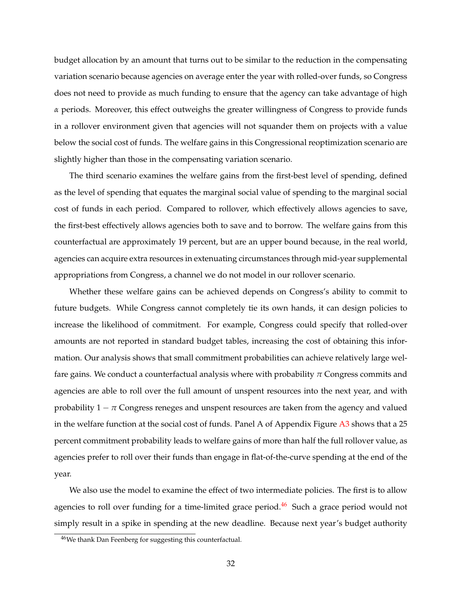budget allocation by an amount that turns out to be similar to the reduction in the compensating variation scenario because agencies on average enter the year with rolled-over funds, so Congress does not need to provide as much funding to ensure that the agency can take advantage of high *α* periods. Moreover, this effect outweighs the greater willingness of Congress to provide funds in a rollover environment given that agencies will not squander them on projects with a value below the social cost of funds. The welfare gains in this Congressional reoptimization scenario are slightly higher than those in the compensating variation scenario.

The third scenario examines the welfare gains from the first-best level of spending, defined as the level of spending that equates the marginal social value of spending to the marginal social cost of funds in each period. Compared to rollover, which effectively allows agencies to save, the first-best effectively allows agencies both to save and to borrow. The welfare gains from this counterfactual are approximately 19 percent, but are an upper bound because, in the real world, agencies can acquire extra resources in extenuating circumstances through mid-year supplemental appropriations from Congress, a channel we do not model in our rollover scenario.

Whether these welfare gains can be achieved depends on Congress's ability to commit to future budgets. While Congress cannot completely tie its own hands, it can design policies to increase the likelihood of commitment. For example, Congress could specify that rolled-over amounts are not reported in standard budget tables, increasing the cost of obtaining this information. Our analysis shows that small commitment probabilities can achieve relatively large welfare gains. We conduct a counterfactual analysis where with probability *π* Congress commits and agencies are able to roll over the full amount of unspent resources into the next year, and with probability  $1 - \pi$  Congress reneges and unspent resources are taken from the agency and valued in the welfare function at the social cost of funds. Panel A of Appendix Figure [A3](#page-59-0) shows that a 25 percent commitment probability leads to welfare gains of more than half the full rollover value, as agencies prefer to roll over their funds than engage in flat-of-the-curve spending at the end of the year.

We also use the model to examine the effect of two intermediate policies. The first is to allow agencies to roll over funding for a time-limited grace period.<sup>[46](#page-33-0)</sup> Such a grace period would not simply result in a spike in spending at the new deadline. Because next year's budget authority

<span id="page-33-0"></span><sup>46</sup>We thank Dan Feenberg for suggesting this counterfactual.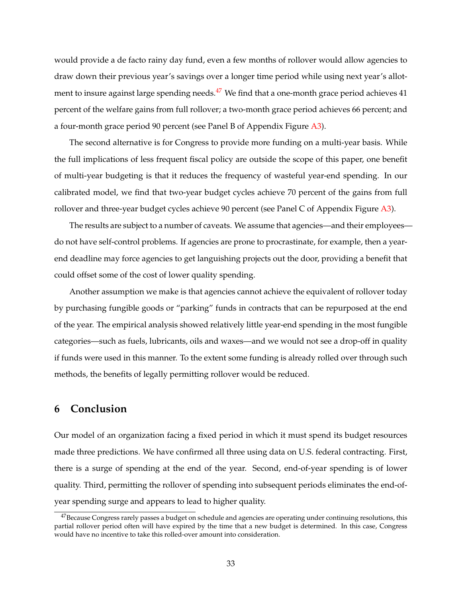would provide a de facto rainy day fund, even a few months of rollover would allow agencies to draw down their previous year's savings over a longer time period while using next year's allot-ment to insure against large spending needs.<sup>[47](#page-34-1)</sup> We find that a one-month grace period achieves 41 percent of the welfare gains from full rollover; a two-month grace period achieves 66 percent; and a four-month grace period 90 percent (see Panel B of Appendix Figure [A3\)](#page-59-0).

The second alternative is for Congress to provide more funding on a multi-year basis. While the full implications of less frequent fiscal policy are outside the scope of this paper, one benefit of multi-year budgeting is that it reduces the frequency of wasteful year-end spending. In our calibrated model, we find that two-year budget cycles achieve 70 percent of the gains from full rollover and three-year budget cycles achieve 90 percent (see Panel C of Appendix Figure [A3\)](#page-59-0).

The results are subject to a number of caveats. We assume that agencies—and their employees do not have self-control problems. If agencies are prone to procrastinate, for example, then a yearend deadline may force agencies to get languishing projects out the door, providing a benefit that could offset some of the cost of lower quality spending.

Another assumption we make is that agencies cannot achieve the equivalent of rollover today by purchasing fungible goods or "parking" funds in contracts that can be repurposed at the end of the year. The empirical analysis showed relatively little year-end spending in the most fungible categories—such as fuels, lubricants, oils and waxes—and we would not see a drop-off in quality if funds were used in this manner. To the extent some funding is already rolled over through such methods, the benefits of legally permitting rollover would be reduced.

### <span id="page-34-0"></span>**6 Conclusion**

Our model of an organization facing a fixed period in which it must spend its budget resources made three predictions. We have confirmed all three using data on U.S. federal contracting. First, there is a surge of spending at the end of the year. Second, end-of-year spending is of lower quality. Third, permitting the rollover of spending into subsequent periods eliminates the end-ofyear spending surge and appears to lead to higher quality.

<span id="page-34-1"></span><sup>&</sup>lt;sup>47</sup>Because Congress rarely passes a budget on schedule and agencies are operating under continuing resolutions, this partial rollover period often will have expired by the time that a new budget is determined. In this case, Congress would have no incentive to take this rolled-over amount into consideration.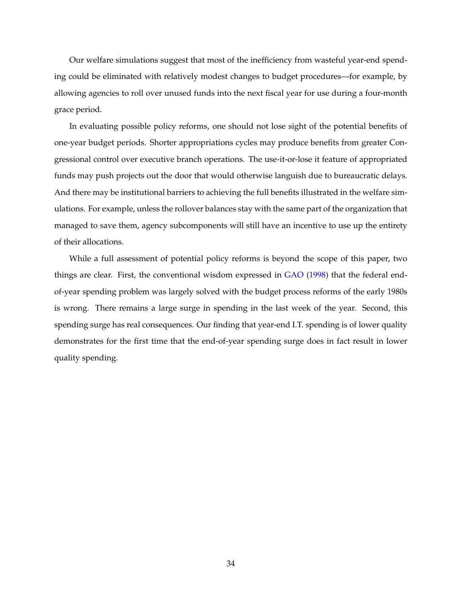Our welfare simulations suggest that most of the inefficiency from wasteful year-end spending could be eliminated with relatively modest changes to budget procedures—for example, by allowing agencies to roll over unused funds into the next fiscal year for use during a four-month grace period.

In evaluating possible policy reforms, one should not lose sight of the potential benefits of one-year budget periods. Shorter appropriations cycles may produce benefits from greater Congressional control over executive branch operations. The use-it-or-lose it feature of appropriated funds may push projects out the door that would otherwise languish due to bureaucratic delays. And there may be institutional barriers to achieving the full benefits illustrated in the welfare simulations. For example, unless the rollover balances stay with the same part of the organization that managed to save them, agency subcomponents will still have an incentive to use up the entirety of their allocations.

While a full assessment of potential policy reforms is beyond the scope of this paper, two things are clear. First, the conventional wisdom expressed in [GAO](#page-36-2) [\(1998\)](#page-36-2) that the federal endof-year spending problem was largely solved with the budget process reforms of the early 1980s is wrong. There remains a large surge in spending in the last week of the year. Second, this spending surge has real consequences. Our finding that year-end I.T. spending is of lower quality demonstrates for the first time that the end-of-year spending surge does in fact result in lower quality spending.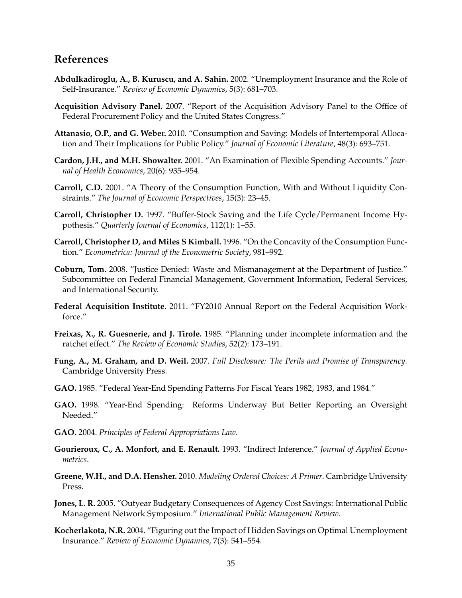# **References**

- <span id="page-36-14"></span>**Abdulkadiroglu, A., B. Kuruscu, and A. Sahin.** 2002. "Unemployment Insurance and the Role of Self-Insurance." *Review of Economic Dynamics*, 5(3): 681–703.
- <span id="page-36-11"></span>**Acquisition Advisory Panel.** 2007. "Report of the Acquisition Advisory Panel to the Office of Federal Procurement Policy and the United States Congress."
- <span id="page-36-7"></span>**Attanasio, O.P., and G. Weber.** 2010. "Consumption and Saving: Models of Intertemporal Allocation and Their Implications for Public Policy." *Journal of Economic Literature*, 48(3): 693–751.
- <span id="page-36-9"></span>**Cardon, J.H., and M.H. Showalter.** 2001. "An Examination of Flexible Spending Accounts." *Journal of Health Economics*, 20(6): 935–954.
- <span id="page-36-8"></span>**Carroll, C.D.** 2001. "A Theory of the Consumption Function, With and Without Liquidity Constraints." *The Journal of Economic Perspectives*, 15(3): 23–45.
- <span id="page-36-6"></span>**Carroll, Christopher D.** 1997. "Buffer-Stock Saving and the Life Cycle/Permanent Income Hypothesis." *Quarterly Journal of Economics*, 112(1): 1–55.
- <span id="page-36-5"></span>**Carroll, Christopher D, and Miles S Kimball.** 1996. "On the Concavity of the Consumption Function." *Econometrica: Journal of the Econometric Society*, 981–992.
- <span id="page-36-16"></span>**Coburn, Tom.** 2008. "Justice Denied: Waste and Mismanagement at the Department of Justice." Subcommittee on Federal Financial Management, Government Information, Federal Services, and International Security.
- <span id="page-36-13"></span>**Federal Acquisition Institute.** 2011. "FY2010 Annual Report on the Federal Acquisition Workforce."
- <span id="page-36-4"></span>**Freixas, X., R. Guesnerie, and J. Tirole.** 1985. "Planning under incomplete information and the ratchet effect." *The Review of Economic Studies*, 52(2): 173–191.
- <span id="page-36-10"></span>**Fung, A., M. Graham, and D. Weil.** 2007. *Full Disclosure: The Perils and Promise of Transparency.* Cambridge University Press.
- <span id="page-36-3"></span>**GAO.** 1985. "Federal Year-End Spending Patterns For Fiscal Years 1982, 1983, and 1984."
- <span id="page-36-2"></span>**GAO.** 1998. "Year-End Spending: Reforms Underway But Better Reporting an Oversight Needed."
- <span id="page-36-1"></span>**GAO.** 2004. *Principles of Federal Appropriations Law.*
- <span id="page-36-17"></span>**Gourieroux, C., A. Monfort, and E. Renault.** 1993. "Indirect Inference." *Journal of Applied Econometrics*.
- <span id="page-36-12"></span>**Greene, W.H., and D.A. Hensher.** 2010. *Modeling Ordered Choices: A Primer.* Cambridge University Press.
- <span id="page-36-0"></span>**Jones, L. R.** 2005. "Outyear Budgetary Consequences of Agency Cost Savings: International Public Management Network Symposium." *International Public Management Review*.
- <span id="page-36-15"></span>**Kocherlakota, N.R.** 2004. "Figuring out the Impact of Hidden Savings on Optimal Unemployment Insurance." *Review of Economic Dynamics*, 7(3): 541–554.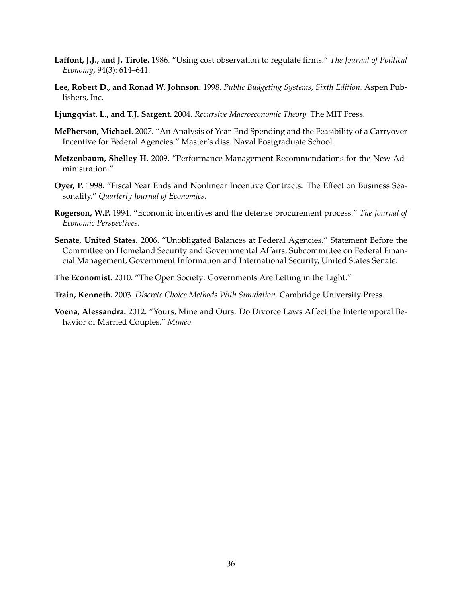- <span id="page-37-1"></span>**Laffont, J.J., and J. Tirole.** 1986. "Using cost observation to regulate firms." *The Journal of Political Economy*, 94(3): 614–641.
- <span id="page-37-2"></span>**Lee, Robert D., and Ronad W. Johnson.** 1998. *Public Budgeting Systems, Sixth Edition.* Aspen Publishers, Inc.
- <span id="page-37-10"></span>**Ljungqvist, L., and T.J. Sargent.** 2004. *Recursive Macroeconomic Theory.* The MIT Press.
- <span id="page-37-0"></span>**McPherson, Michael.** 2007. "An Analysis of Year-End Spending and the Feasibility of a Carryover Incentive for Federal Agencies." Master's diss. Naval Postgraduate School.
- <span id="page-37-5"></span>**Metzenbaum, Shelley H.** 2009. "Performance Management Recommendations for the New Administration."
- <span id="page-37-3"></span>**Oyer, P.** 1998. "Fiscal Year Ends and Nonlinear Incentive Contracts: The Effect on Business Seasonality." *Quarterly Journal of Economics*.
- <span id="page-37-6"></span>**Rogerson, W.P.** 1994. "Economic incentives and the defense procurement process." *The Journal of Economic Perspectives*.
- <span id="page-37-7"></span>**Senate, United States.** 2006. "Unobligated Balances at Federal Agencies." Statement Before the Committee on Homeland Security and Governmental Affairs, Subcommittee on Federal Financial Management, Government Information and International Security, United States Senate.
- <span id="page-37-4"></span>**The Economist.** 2010. "The Open Society: Governments Are Letting in the Light."
- <span id="page-37-9"></span>**Train, Kenneth.** 2003. *Discrete Choice Methods With Simulation.* Cambridge University Press.
- <span id="page-37-8"></span>**Voena, Alessandra.** 2012. "Yours, Mine and Ours: Do Divorce Laws Affect the Intertemporal Behavior of Married Couples." *Mimeo*.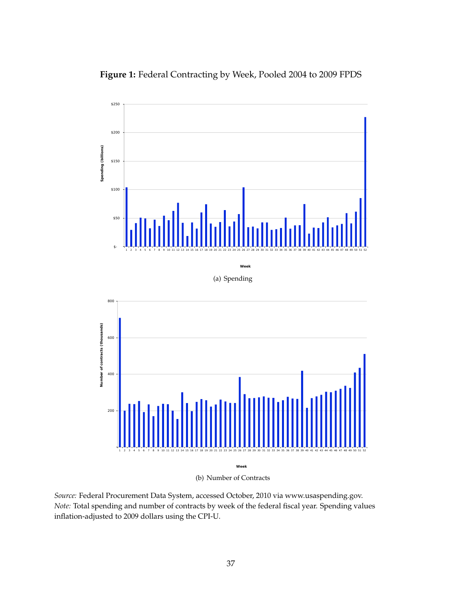## <span id="page-38-0"></span>**Figure 1:** Federal Contracting by Week, Pooled 2004 to 2009 FPDS



(b) Number of Contracts

*Source:* Federal Procurement Data System, accessed October, 2010 via www.usaspending.gov. *Note:* Total spending and number of contracts by week of the federal fiscal year. Spending values inflation-adjusted to 2009 dollars using the CPI-U.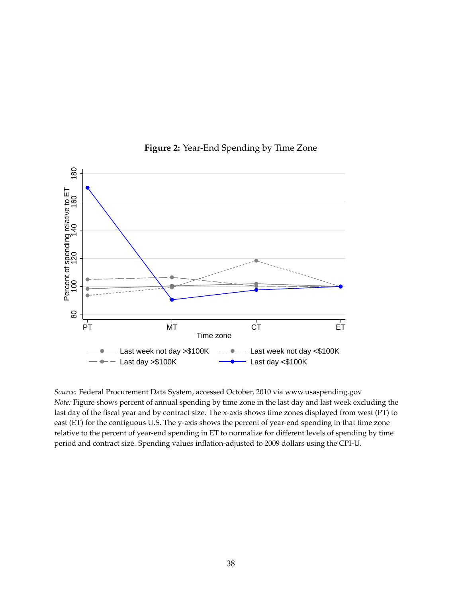<span id="page-39-0"></span>

## **Figure 2:** Year-End Spending by Time Zone

*Source:* Federal Procurement Data System, accessed October, 2010 via www.usaspending.gov *Note:* Figure shows percent of annual spending by time zone in the last day and last week excluding the last day of the fiscal year and by contract size. The x-axis shows time zones displayed from west (PT) to east (ET) for the contiguous U.S. The y-axis shows the percent of year-end spending in that time zone relative to the percent of year-end spending in ET to normalize for different levels of spending by time period and contract size. Spending values inflation-adjusted to 2009 dollars using the CPI-U.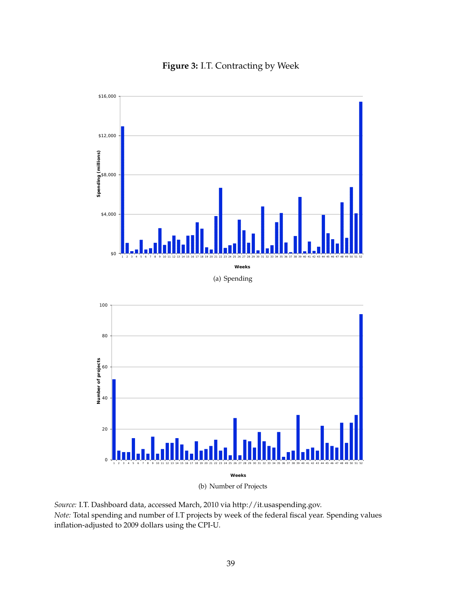

<span id="page-40-0"></span>

(b) Number of Projects

*Source:* I.T. Dashboard data, accessed March, 2010 via http://it.usaspending.gov. *Note:* Total spending and number of I.T projects by week of the federal fiscal year. Spending values inflation-adjusted to 2009 dollars using the CPI-U.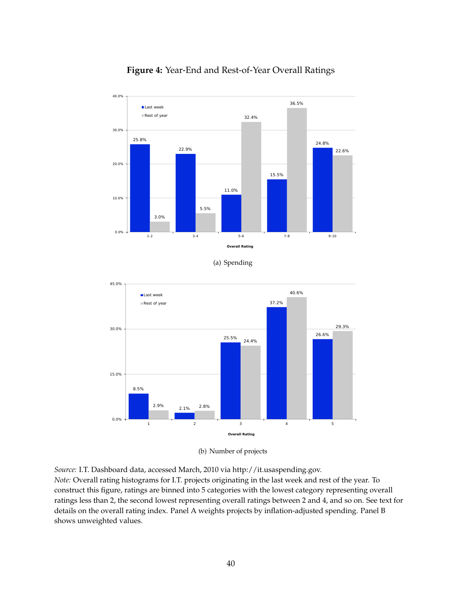<span id="page-41-0"></span>

## **Figure 4:** Year-End and Rest-of-Year Overall Ratings







*Source:* I.T. Dashboard data, accessed March, 2010 via http://it.usaspending.gov. *Note:* Overall rating histograms for I.T. projects originating in the last week and rest of the year. To construct this figure, ratings are binned into 5 categories with the lowest category representing overall ratings less than 2, the second lowest representing overall ratings between 2 and 4, and so on. See text for details on the overall rating index. Panel A weights projects by inflation-adjusted spending. Panel B shows unweighted values.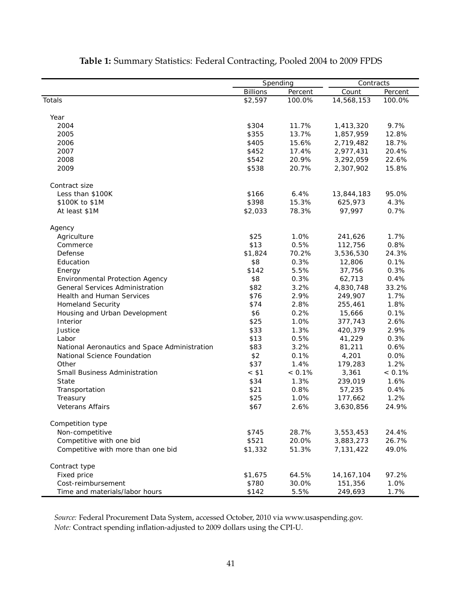|                                               |                 | Spending  | Contracts    |         |  |
|-----------------------------------------------|-----------------|-----------|--------------|---------|--|
|                                               | <b>Billions</b> | Percent   | Count        | Percent |  |
| Totals                                        | \$2,597         | 100.0%    | 14,568,153   | 100.0%  |  |
| Year                                          |                 |           |              |         |  |
| 2004                                          | \$304           | 11.7%     | 1,413,320    | 9.7%    |  |
| 2005                                          | \$355           | 13.7%     | 1,857,959    | 12.8%   |  |
| 2006                                          | \$405           | 15.6%     | 2,719,482    | 18.7%   |  |
| 2007                                          | \$452           | 17.4%     | 2,977,431    | 20.4%   |  |
| 2008                                          | \$542           | 20.9%     | 3,292,059    | 22.6%   |  |
| 2009                                          | \$538           | 20.7%     | 2,307,902    | 15.8%   |  |
| Contract size                                 |                 |           |              |         |  |
| Less than \$100K                              | \$166           | 6.4%      | 13,844,183   | 95.0%   |  |
| \$100K to \$1M                                | \$398           | 15.3%     | 625,973      | 4.3%    |  |
| At least \$1M                                 | \$2,033         | 78.3%     | 97,997       | 0.7%    |  |
| Agency                                        |                 |           |              |         |  |
| Agriculture                                   | \$25            | 1.0%      | 241,626      | 1.7%    |  |
| Commerce                                      | \$13            | 0.5%      | 112,756      | 0.8%    |  |
| Defense                                       | \$1,824         | 70.2%     | 3,536,530    | 24.3%   |  |
| Education                                     | \$8             | 0.3%      | 12,806       | 0.1%    |  |
| Energy                                        | \$142           | 5.5%      | 37,756       | 0.3%    |  |
| <b>Environmental Protection Agency</b>        | \$8             | 0.3%      | 62,713       | 0.4%    |  |
| General Services Administration               | \$82            | 3.2%      | 4,830,748    | 33.2%   |  |
| Health and Human Services                     | \$76            | 2.9%      | 249,907      | 1.7%    |  |
| <b>Homeland Security</b>                      | \$74            | 2.8%      | 255,461      | 1.8%    |  |
| Housing and Urban Development                 | \$6             | 0.2%      | 15,666       | 0.1%    |  |
| Interior                                      | \$25            | 1.0%      | 377,743      | 2.6%    |  |
| Justice                                       | \$33            | 1.3%      | 420,379      | 2.9%    |  |
| Labor                                         | \$13            | 0.5%      | 41,229       | 0.3%    |  |
| National Aeronautics and Space Administration | \$83            | 3.2%      | 81,211       | 0.6%    |  |
| National Science Foundation                   | \$2             | 0.1%      | 4,201        | 0.0%    |  |
| Other                                         | \$37            | 1.4%      | 179,283      | 1.2%    |  |
| Small Business Administration                 | $<$ \$1         | $< 0.1\%$ | 3,361        | < 0.1%  |  |
| State                                         | \$34            | 1.3%      | 239,019      | 1.6%    |  |
| Transportation                                | \$21            | 0.8%      | 57,235       | 0.4%    |  |
| Treasury                                      | \$25            | 1.0%      | 177,662      | 1.2%    |  |
| <b>Veterans Affairs</b>                       | \$67            | 2.6%      | 3,630,856    | 24.9%   |  |
| Competition type                              |                 |           |              |         |  |
| Non-competitive                               | \$745           | 28.7%     | 3,553,453    | 24.4%   |  |
| Competitive with one bid                      | \$521           | 20.0%     | 3,883,273    | 26.7%   |  |
| Competitive with more than one bid            | \$1,332         | 51.3%     | 7,131,422    | 49.0%   |  |
| Contract type                                 |                 |           |              |         |  |
| Fixed price                                   | \$1,675         | 64.5%     | 14, 167, 104 | 97.2%   |  |
| Cost-reimbursement                            | \$780           | 30.0%     | 151,356      | 1.0%    |  |
| Time and materials/labor hours                | \$142           | 5.5%      | 249,693      | 1.7%    |  |

## <span id="page-42-0"></span>**Table 1:** Summary Statistics: Federal Contracting, Pooled 2004 to 2009 FPDS

*Source:* Federal Procurement Data System, accessed October, 2010 via www.usaspending.gov. *Note:* Contract spending inflation-adjusted to 2009 dollars using the CPI-U.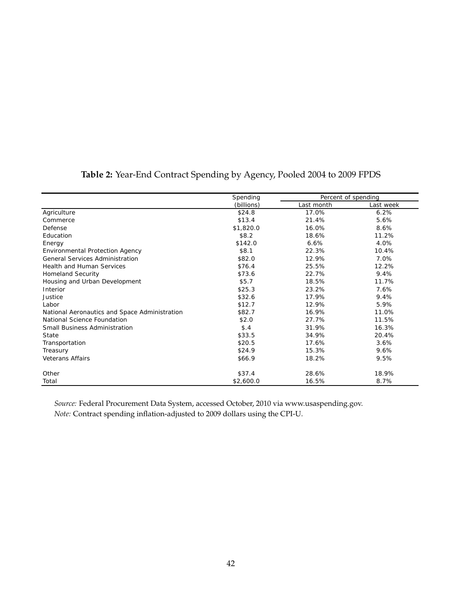|                                               | Spending   | Percent of spending |           |
|-----------------------------------------------|------------|---------------------|-----------|
|                                               | (billions) | Last month          | Last week |
| Agriculture                                   | \$24.8     | 17.0%               | 6.2%      |
| Commerce                                      | \$13.4     | 21.4%               | 5.6%      |
| Defense                                       | \$1,820.0  | 16.0%               | 8.6%      |
| Education                                     | \$8.2      | 18.6%               | 11.2%     |
| Energy                                        | \$142.0    | 6.6%                | 4.0%      |
| <b>Environmental Protection Agency</b>        | \$8.1      | 22.3%               | 10.4%     |
| <b>General Services Administration</b>        | \$82.0     | 12.9%               | 7.0%      |
| Health and Human Services                     | \$76.4     | 25.5%               | 12.2%     |
| <b>Homeland Security</b>                      | \$73.6     | 22.7%               | 9.4%      |
| Housing and Urban Development                 | \$5.7      | 18.5%               | 11.7%     |
| Interior                                      | \$25.3     | 23.2%               | 7.6%      |
| Justice                                       | \$32.6     | 17.9%               | 9.4%      |
| Labor                                         | \$12.7     | 12.9%               | 5.9%      |
| National Aeronautics and Space Administration | \$82.7     | 16.9%               | 11.0%     |
| National Science Foundation                   | \$2.0      | 27.7%               | 11.5%     |
| Small Business Administration                 | \$.4       | 31.9%               | 16.3%     |
| State                                         | \$33.5     | 34.9%               | 20.4%     |
| Transportation                                | \$20.5     | 17.6%               | 3.6%      |
| Treasury                                      | \$24.9     | 15.3%               | 9.6%      |
| <b>Veterans Affairs</b>                       | \$66.9     | 18.2%               | 9.5%      |
| Other                                         | \$37.4     | 28.6%               | 18.9%     |
| Total                                         | \$2,600.0  | 16.5%               | 8.7%      |

# <span id="page-43-0"></span>**Table 2:** Year-End Contract Spending by Agency, Pooled 2004 to 2009 FPDS

*Source:* Federal Procurement Data System, accessed October, 2010 via www.usaspending.gov. *Note:* Contract spending inflation-adjusted to 2009 dollars using the CPI-U.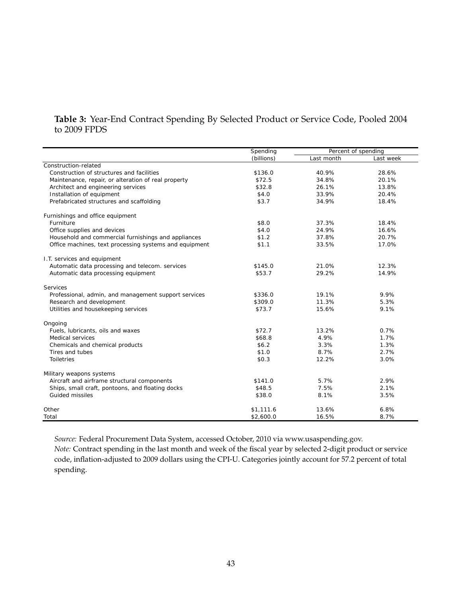## <span id="page-44-0"></span>**Table 3:** Year-End Contract Spending By Selected Product or Service Code, Pooled 2004 to 2009 FPDS

|                                                        | Spending   | Percent of spending |           |
|--------------------------------------------------------|------------|---------------------|-----------|
|                                                        | (billions) | Last month          | Last week |
| Construction-related                                   |            |                     |           |
| Construction of structures and facilities              | \$136.0    | 40.9%               | 28.6%     |
| Maintenance, repair, or alteration of real property    | \$72.5     | 34.8%               | 20.1%     |
| Architect and engineering services                     | \$32.8     | 26.1%               | 13.8%     |
| Installation of equipment                              | \$4.0      | 33.9%               | 20.4%     |
| Prefabricated structures and scaffolding               | \$3.7      | 34.9%               | 18.4%     |
| Furnishings and office equipment                       |            |                     |           |
| Furniture                                              | \$8.0      | 37.3%               | 18.4%     |
| Office supplies and devices                            | \$4.0      | 24.9%               | 16.6%     |
| Household and commercial furnishings and appliances    | \$1.2      | 37.8%               | 20.7%     |
| Office machines, text processing systems and equipment | \$1.1      | 33.5%               | 17.0%     |
| I.T. services and equipment                            |            |                     |           |
| Automatic data processing and telecom. services        | \$145.0    | 21.0%               | 12.3%     |
| Automatic data processing equipment                    | \$53.7     | 29.2%               | 14.9%     |
| Services                                               |            |                     |           |
| Professional, admin, and management support services   | \$336.0    | 19.1%               | 9.9%      |
| Research and development                               | \$309.0    | 11.3%               | 5.3%      |
| Utilities and housekeeping services                    | \$73.7     | 15.6%               | 9.1%      |
| Ongoing                                                |            |                     |           |
| Fuels, lubricants, oils and waxes                      | \$72.7     | 13.2%               | 0.7%      |
| Medical services                                       | \$68.8     | 4.9%                | 1.7%      |
| Chemicals and chemical products                        | \$6.2\$    | 3.3%                | 1.3%      |
| Tires and tubes                                        | \$1.0      | 8.7%                | 2.7%      |
| Toiletries                                             | \$0.3      | 12.2%               | 3.0%      |
| Military weapons systems                               |            |                     |           |
| Aircraft and airframe structural components            | \$141.0    | 5.7%                | 2.9%      |
| Ships, small craft, pontoons, and floating docks       | \$48.5     | 7.5%                | 2.1%      |
| Guided missiles                                        | \$38.0     | 8.1%                | 3.5%      |
| Other                                                  | \$1,111.6  | 13.6%               | 6.8%      |
| Total                                                  | \$2,600.0  | 16.5%               | 8.7%      |

*Source:* Federal Procurement Data System, accessed October, 2010 via www.usaspending.gov.

*Note:* Contract spending in the last month and week of the fiscal year by selected 2-digit product or service code, inflation-adjusted to 2009 dollars using the CPI-U. Categories jointly account for 57.2 percent of total spending.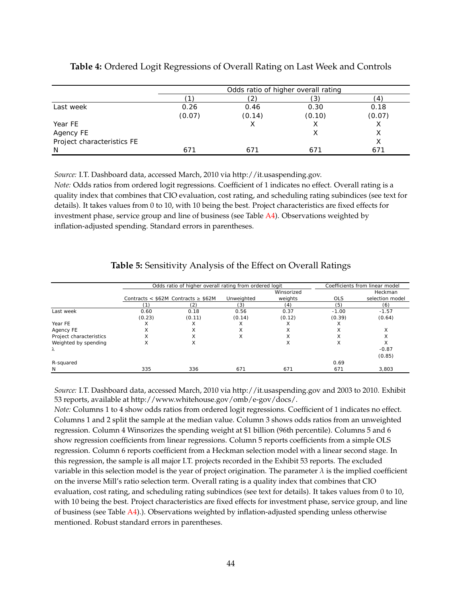|                            | Odds ratio of higher overall rating |        |        |        |  |
|----------------------------|-------------------------------------|--------|--------|--------|--|
|                            |                                     |        | ు      | 4)     |  |
| Last week                  | 0.26                                | 0.46   | 0.30   | 0.18   |  |
|                            | (0.07)                              | (0.14) | (0.10) | (0.07) |  |
| Year FE                    |                                     |        |        | ∧      |  |
| Agency FE                  |                                     |        |        |        |  |
| Project characteristics FE |                                     |        |        | Χ      |  |
| $\mathsf{N}$               | 671                                 | 671    | 671    | 671    |  |

### <span id="page-45-0"></span>**Table 4:** Ordered Logit Regressions of Overall Rating on Last Week and Controls

*Source:* I.T. Dashboard data, accessed March, 2010 via http://it.usaspending.gov *Notes:* Odds ratios from ordered logit regressions. Overall rating is a quality index that *Source:* I.T. Dashboard data, accessed March, 2010 via http://it.usaspending.gov.

*Note:* Odds ratios from ordered logit regressions. Coefficient of 1 indicates no effect. Overall rating is a quality index that combines that CIO evaluation, cost rating, and scheduling rating subindices (see text for details). It takes values from 0 to 10, with 10 being the best. Project characteristics are fixed effects for investment phase, service group and line of business (see Table A4). Observations weighted by inflation-adjusted spending. Standard errors in parentheses.

<span id="page-45-1"></span>

|                         |        | Odds ratio of higher overall rating from ordered logit |            |            |            | Coefficients from linear model |
|-------------------------|--------|--------------------------------------------------------|------------|------------|------------|--------------------------------|
|                         |        |                                                        |            | Winsorized |            | Heckman                        |
|                         |        | Contracts < $$62M$ Contracts $\geq$ \$62M              | Unweighted | weights    | <b>OLS</b> | selection model                |
|                         |        | 2)                                                     | (3)        | (4)        | (5)        | (6)                            |
| Last week               | 0.60   | 0.18                                                   | 0.56       | 0.37       | $-1.00$    | $-1.57$                        |
|                         | (0.23) | (0.11)                                                 | (0.14)     | (0.12)     | (0.39)     | (0.64)                         |
| Year FE                 |        |                                                        | ⋏          | ⋏          | X          |                                |
| Agency FE               | л      |                                                        | ∧          | Χ          | л.         | X                              |
| Project characteristics | X      | X                                                      | X          | x          | X          | X                              |
| Weighted by spending    | X      | X                                                      |            | Χ          | X          | X                              |
| λ                       |        |                                                        |            |            |            | $-0.87$                        |
|                         |        |                                                        |            |            |            | (0.85)                         |
| R-squared               |        |                                                        |            |            | 0.69       |                                |
| N                       | 335    | 336                                                    | 671        | 671        | 671        | 3.803                          |

### **Table 5:** Sensitivity Analysis of the Effect on Overall Ratings

*Source:* I.T. Dashboard data, accessed March, 2010 via http://it.usaspending.gov and 2003 to 2010. Exhibit 53 reports, available at http://www.whitehouse.gov/omb/e-gov/docs/.

*Note:* Columns 1 to 4 show odds ratios from ordered logit regressions. Coefficient of 1 indicates no effect. Columns 1 and 2 split the sample at the median value. Column 3 shows odds ratios from an unweighted regression. Column 4 Winsorizes the spending weight at \$1 billion (96th percentile). Columns 5 and 6 show regression coefficients from linear regressions. Column 5 reports coefficients from a simple OLS regression. Column 6 reports coefficient from a Heckman selection model with a linear second stage. In this regression, the sample is all major I.T. projects recorded in the Exhibit 53 reports. The excluded variable in this selection model is the year of project origination. The parameter  $\lambda$  is the implied coefficient on the inverse Mill's ratio selection term. Overall rating is a quality index that combines that CIO evaluation, cost rating, and scheduling rating subindices (see text for details). It takes values from 0 to 10, with 10 being the best. Project characteristics are fixed effects for investment phase, service group, and line of business (see Table [A4\)](#page-62-0).). Observations weighted by inflation-adjusted spending unless otherwise mentioned. Robust standard errors in parentheses.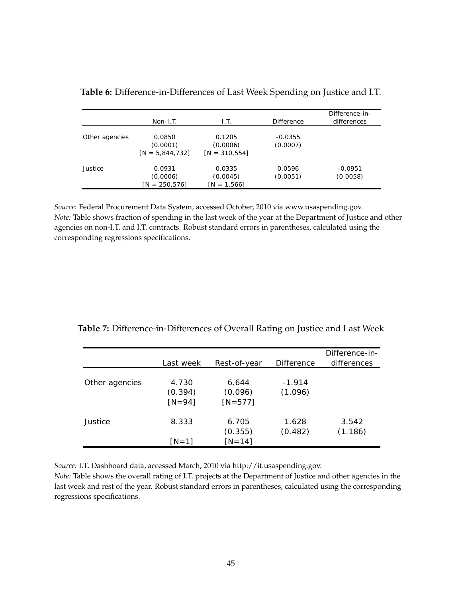|                | $Non-I.T.$                              | I.T.                                   | <b>Difference</b>     | Difference-in-<br>differences |
|----------------|-----------------------------------------|----------------------------------------|-----------------------|-------------------------------|
| Other agencies | 0.0850<br>(0.0001)<br>$[N = 5.844.732]$ | 0.1205<br>(0.0006)<br>$[N = 310, 554]$ | $-0.0355$<br>(0.0007) |                               |
| Justice        | 0.0931<br>(0.0006)<br>$[N = 250, 576]$  | 0.0335<br>(0.0045)<br>$[N = 1, 566]$   | 0.0596<br>(0.0051)    | $-0.0951$<br>(0.0058)         |

<span id="page-46-0"></span>**Table 6:** Difference-in-Differences of Last Week Spending on Justice and I.T.

*Source:* Federal Procurement Data System, accessed October, 2010 via www.usaspending.gov. *Note:* Table shows fraction of spending in the last week of the year at the Department of Justice and other agencies on non-I.T. and I.T. contracts. Robust standard errors in parentheses, calculated using the corresponding regressions specifications.

|                | Last week                    | Rest-of-year                  | <b>Difference</b>   | Difference-in-<br>differences |
|----------------|------------------------------|-------------------------------|---------------------|-------------------------------|
| Other agencies | 4.730<br>(0.394)<br>$[N=94]$ | 6.644<br>(0.096)<br>$[N=577]$ | $-1.914$<br>(1.096) |                               |
| Justice        | 8.333<br>[N=1]               | 6.705<br>(0.355)<br>$[N=14]$  | 1.628<br>(0.482)    | 3.542<br>(1.186)              |

<span id="page-46-1"></span>**Table 7:** Difference-in-Differences of Overall Rating on Justice and Last Week

*Source:* I.T. Dashboard data, accessed March, 2010 via http://it.usaspending.gov.

*Note:* Table shows the overall rating of I.T. projects at the Department of Justice and other agencies in the last week and rest of the year. Robust standard errors in parentheses, calculated using the corresponding regressions specifications.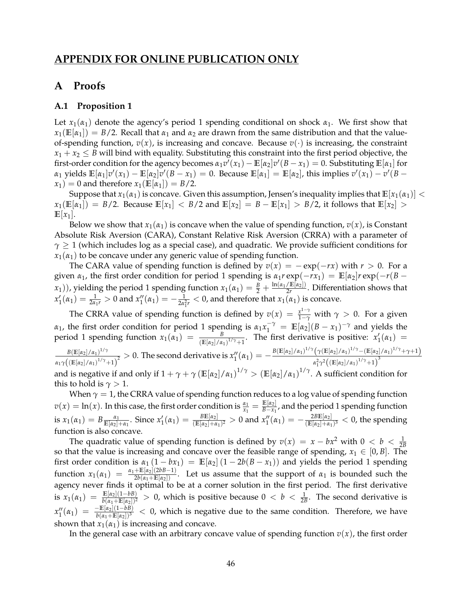# **APPENDIX FOR ONLINE PUBLICATION ONLY**

## <span id="page-47-0"></span>**A Proofs**

### **A.1 Proposition 1**

Let  $x_1(\alpha_1)$  denote the agency's period 1 spending conditional on shock  $\alpha_1$ . We first show that  $x_1(E[\alpha_1]) = B/2$ . Recall that  $\alpha_1$  and  $\alpha_2$  are drawn from the same distribution and that the valueof-spending function,  $v(x)$ , is increasing and concave. Because  $v(\cdot)$  is increasing, the constraint  $x_1 + x_2 \leq B$  will bind with equality. Substituting this constraint into the first period objective, the first-order condition for the agency becomes  $\alpha_1 v'(x_1) - \mathbb{E}[\alpha_2]v'(B-x_1) = 0$ . Substituting  $\mathbb{E}[\alpha_1]$  for  $\alpha_1$  yields  $\mathbb{E}[\alpha_1]v'(x_1) - \mathbb{E}[\alpha_2]v'(B - x_1) = 0$ . Because  $\mathbb{E}[\alpha_1] = \mathbb{E}[\alpha_2]$ , this implies  $v'(x_1) - v'(B - x_1)$  $x_1$ ) = 0 and therefore  $x_1$ (**E**[ $\alpha_1$ ]) = *B*/2.

Suppose that  $x_1(\alpha_1)$  is concave. Given this assumption, Jensen's inequality implies that  $\mathbb{E}[x_1(\alpha_1)] <$  $x_1(\mathbb{E}[\alpha_1]) = B/2$ . Because  $\mathbb{E}[x_1] < B/2$  and  $\mathbb{E}[x_2] = B - \mathbb{E}[x_1] > B/2$ , it follows that  $\mathbb{E}[x_2] >$  $\mathbb{E}[x_1]$ .

Below we show that  $x_1(\alpha_1)$  is concave when the value of spending function,  $v(x)$ , is Constant Absolute Risk Aversion (CARA), Constant Relative Risk Aversion (CRRA) with a parameter of *γ* ≥ 1 (which includes log as a special case), and quadratic. We provide sufficient conditions for  $x_1(\alpha_1)$  to be concave under any generic value of spending function.

The CARA value of spending function is defined by  $v(x) = -\exp(-rx)$  with  $r > 0$ . For a given  $\alpha_1$ , the first order condition for period 1 spending is  $\alpha_1 r \exp(-r x_1) = \mathbb{E}[\alpha_2] r \exp(-r(B$ *x*<sub>1</sub>)), yielding the period 1 spending function  $x_1(\alpha_1) = \frac{B}{2} + \frac{\ln(\alpha_1 / \mathbb{E}[\alpha_2])}{2r}$  $\frac{2r}{2r}$ . Differentiation shows that  $x_1'(\alpha_1) = \frac{1}{2\alpha_1 r} > 0$  and  $x_1''(\alpha_1) = -\frac{1}{2\alpha_1^2 r} < 0$ , and therefore that  $x_1(\alpha_1)$  is concave.

The CRRA value of spending function is defined by  $v(x) = \frac{x^{1-\gamma}}{1-\gamma}$  with  $\gamma > 0$ . For a given *α*<sub>1</sub>, the first order condition for period 1 spending is  $\alpha_1 x_1^{-\gamma} = \mathbb{E}[\alpha_2] (B - x_1)^{-\gamma}$  and yields the period 1 spending function  $x_1(\alpha_1) = \frac{B}{(\mathbb{E}[\alpha_2]/\alpha_1)^{1/\gamma}+1}$ . The first derivative is positive:  $x'_1(\alpha_1) =$ 

*B*(**E**[*α*<sub>2</sub>]/*α*<sub>1</sub>)<sup>1/γ</sup>  $\frac{B(\mathbb{E}[\alpha_2]/\alpha_1)^{1/\gamma}}{\alpha_1\gamma\big((\mathbb{E}[\alpha_2]/\alpha_1)^{1/\gamma}+1\big)^2}>0.$  The second derivative is  $x_1''(\alpha_1)=-\frac{B(\mathbb{E}[\alpha_2]/\alpha_1)^{1/\gamma}\big(\gamma(\mathbb{E}[\alpha_2]/\alpha_1)^{1/\gamma}-(\mathbb{E}[\alpha_2]/\alpha_1)^{1/\gamma}+\gamma+1\big)}{\alpha_1^2\gamma^2\big((\mathbb{E}[\alpha_2]/\alpha_1)^{1/\gamma}+1\big)^3$ *α*<sup>2</sup><sub>1</sub> $\gamma$ <sup>2</sup> ((**E**[*α*<sub>2</sub>]/*α*<sub>1</sub>)<sup>1/γ</sup>+1)<sup>3</sup> 1 and is negative if and only if  $1+\gamma+\gamma\left(\Bbb{E}[\alpha_2]/\alpha_1\right)^{1/\gamma}>\left(\Bbb{E}[\alpha_2]/\alpha_1\right)^{1/\gamma}$ . A sufficient condition for this to hold is  $\gamma > 1$ .

When  $\gamma = 1$ , the CRRA value of spending function reduces to a log value of spending function  $v(x) = \ln(x)$ . In this case, the first order condition is  $\frac{\alpha_1}{x_1} = \frac{\mathbb{E}[a_2]}{B-x_1}$ *B*−*x*<sub>1</sub></sub>, and the period 1 spending function is  $x_1(\alpha_1)=B\frac{\alpha_1}{\mathbb{E}[\alpha_2]+\alpha_1}.$  Since  $x_1'(\alpha_1)=\frac{B\mathbb{E}[\alpha_2]}{(\mathbb{E}[\alpha_2]+\alpha_1)^2}>0$  and  $x_1''(\alpha_1)=-\frac{2B\mathbb{E}[\alpha_2]}{(\mathbb{E}[\alpha_2]+\alpha_1)^2}$  $\frac{2B \mathbb{E}[\alpha_2]}{(\mathbb{E}[\alpha_2]+\alpha_1)^3} < 0$ , the spending function is also concave.

The quadratic value of spending function is defined by  $v(x) = x - bx^2$  with  $0 \lt b \lt \frac{1}{2B}$ so that the value is increasing and concave over the feasible range of spending,  $x_1 \in [0, B]$ . The first order condition is  $\alpha_1 (1 - bx_1) = \mathbb{E}[\alpha_2] (1 - 2b(B - x_1))$  and yields the period 1 spending function  $x_1(\alpha_1) = \frac{\alpha_1 + \mathbb{E}[\alpha_2](2b \beta - 1)}{2b(\alpha_1 + \mathbb{E}[\alpha_2])}$ . Let us assume that the support of  $\alpha_1$  is bounded such the agency never finds it optimal to be at a corner solution in the first period. The first derivative is  $x_1(\alpha_1) = \frac{\mathbb{E}[\alpha_2](1-bB)}{b(\alpha_1 + \mathbb{E}[\alpha_2])^2} > 0$ , which is positive because  $0 < b < \frac{1}{2B}$ . The second derivative is  $x_1''(\alpha_1) = \frac{-E[\alpha_2](1-bB)}{b(\alpha_1+E[\alpha_2])^3} < 0$ , which is negative due to the same condition. Therefore, we have shown that  $x_1(\alpha_1)$  is increasing and concave.

In the general case with an arbitrary concave value of spending function  $v(x)$ , the first order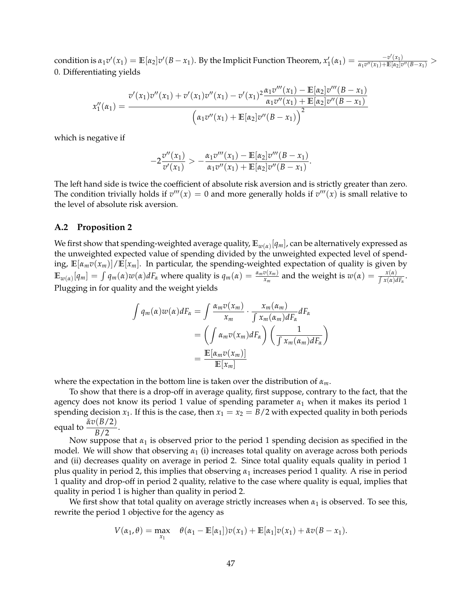condition is  $\alpha_1 v'(x_1) = \mathbb{E}[\alpha_2]v'(B-x_1)$ . By the Implicit Function Theorem,  $x'_1(\alpha_1) = \frac{-v'(x_1)}{\alpha_1 v''(x_1) + \mathbb{E}[\alpha_2]v''(B-x_1)}$  $\frac{-v(x_1)}{a_1v''(x_1)+\mathbb{E}[a_2]v''(B-x_1)}$  > 0. Differentiating yields

$$
x_1''(\alpha_1) = \frac{v'(x_1)v''(x_1) + v'(x_1)v''(x_1) - v'(x_1)^2 \frac{\alpha_1 v'''(x_1) - \mathbb{E}[\alpha_2]v'''(B - x_1)}{\alpha_1 v''(x_1) + \mathbb{E}[\alpha_2]v''(B - x_1)}}{\left(\alpha_1 v''(x_1) + \mathbb{E}[\alpha_2]v''(B - x_1)\right)^2}
$$

which is negative if

$$
-2\frac{v''(x_1)}{v'(x_1)} > -\frac{\alpha_1v'''(x_1) - \mathbb{E}[\alpha_2]v'''(B-x_1)}{\alpha_1v''(x_1) + \mathbb{E}[\alpha_2]v''(B-x_1)}.
$$

The left hand side is twice the coefficient of absolute risk aversion and is strictly greater than zero. The condition trivially holds if  $v'''(x) = 0$  and more generally holds if  $v'''(x)$  is small relative to the level of absolute risk aversion.

#### **A.2 Proposition 2**

We first show that spending-weighted average quality,  $\mathbb{E}_{w(\alpha)}[q_m]$ , can be alternatively expressed as the unweighted expected value of spending divided by the unweighted expected level of spending,  $\mathbb{E}[\alpha_m v(x_m)] / \mathbb{E}[x_m]$ . In particular, the spending-weighted expectation of quality is given by  $\mathbb{E}_{w(\alpha)}[q_m] = \int q_m(\alpha) w(\alpha) dF_\alpha$  where quality is  $q_m(\alpha) = \frac{\alpha_m v(x_m)}{x_m}$  and the weight is  $w(\alpha) = \frac{x(\alpha)}{\int x(\alpha) dF_\alpha}$ . Plugging in for quality and the weight yields

$$
\int q_m(\alpha)w(\alpha)dF_{\alpha} = \int \frac{\alpha_m v(x_m)}{x_m} \cdot \frac{x_m(\alpha_m)}{\int x_m(\alpha_m)dF_{\alpha}}dF_{\alpha}
$$

$$
= \left(\int \alpha_m v(x_m)dF_{\alpha}\right)\left(\frac{1}{\int x_m(\alpha_m)dF_{\alpha}}\right)
$$

$$
= \frac{\mathbb{E}[\alpha_m v(x_m)]}{\mathbb{E}[x_m]}
$$

where the expectation in the bottom line is taken over the distribution of *αm*.

To show that there is a drop-off in average quality, first suppose, contrary to the fact, that the agency does not know its period 1 value of spending parameter *α*<sup>1</sup> when it makes its period 1 spending decision  $x_1$ . If this is the case, then  $x_1 = x_2 = B/2$  with expected quality in both periods equal to  $\frac{\bar{\alpha}v(B/2)}{B/2}$ .

Now suppose that  $\alpha_1$  is observed prior to the period 1 spending decision as specified in the model. We will show that observing *α*<sup>1</sup> (i) increases total quality on average across both periods and (ii) decreases quality on average in period 2. Since total quality equals quality in period 1 plus quality in period 2, this implies that observing *α*<sup>1</sup> increases period 1 quality. A rise in period 1 quality and drop-off in period 2 quality, relative to the case where quality is equal, implies that quality in period 1 is higher than quality in period 2.

We first show that total quality on average strictly increases when  $\alpha_1$  is observed. To see this, rewrite the period 1 objective for the agency as

$$
V(\alpha_1,\theta)=\max_{x_1}\quad \theta(\alpha_1-\mathbb{E}[\alpha_1])v(x_1)+\mathbb{E}[\alpha_1]v(x_1)+\bar{\alpha}v(B-x_1).
$$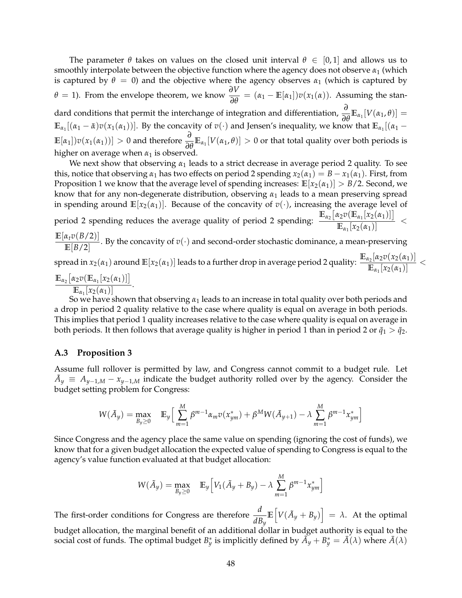The parameter  $\theta$  takes on values on the closed unit interval  $\theta \in [0,1]$  and allows us to smoothly interpolate between the objective function where the agency does not observe *α*<sup>1</sup> (which is captured by  $\theta = 0$ ) and the objective where the agency observes  $\alpha_1$  (which is captured by *θ* = 1). From the envelope theorem, we know  $\frac{\partial V}{\partial \theta} = (\alpha_1 - \mathbb{E}[\alpha_1])v(x_1(\alpha))$ . Assuming the standard conditions that permit the interchange of integration and differentiation,  $\frac{\partial}{\partial \theta} \mathbb{E}_{\alpha_1} [V(\alpha_1, \theta)] =$  $\mathbb{E}_{\alpha_1}[(\alpha_1 - \bar{\alpha})v(x_1(\alpha_1))]$ . By the concavity of  $v(\cdot)$  and Jensen's inequality, we know that  $\mathbb{E}_{\alpha_1}[(\alpha_1 - \bar{\alpha})v(x_1(\alpha_1))]$ .  $\mathbb{E}[\alpha_1]$ ) $v(x_1(\alpha_1))] > 0$  and therefore  $\frac{\partial}{\partial \theta_1} \mathbb{E}_{\alpha_1}[V(\alpha_1, \theta)] > 0$  or that total quality over both periods is higher on average when *α*<sup>1</sup> is observed.

We next show that observing  $\alpha_1$  leads to a strict decrease in average period 2 quality. To see this, notice that observing  $\alpha_1$  has two effects on period 2 spending  $x_2(\alpha_1) = B - x_1(\alpha_1)$ . First, from Proposition 1 we know that the average level of spending increases:  $\mathbb{E}[x_2(\alpha_1)] > B/2$ . Second, we know that for any non-degenerate distribution, observing *α*<sup>1</sup> leads to a mean preserving spread in spending around  $\mathbb{E}[x_2(\alpha_1)]$ . Because of the concavity of  $v(\cdot)$ , increasing the average level of period 2 spending reduces the average quality of period 2 spending:  $\frac{\mathbb{E}_{\alpha_2} [\alpha_2 v(\mathbb{E}_{\alpha_1}[x_2(\alpha_1)]]}{\mathbb{E}_{\alpha_2}[x_1(\alpha_1)]}$  $\frac{\mathbb{E}_{\alpha_1}[x_2(\alpha_1)]}{\mathbb{E}_{\alpha_1}[x_2(\alpha_1)]}$  <  $\mathbb{E}[\alpha_t v(B/2)]$  $\frac{\mu_t v_1 (B/2)}{\mathbb{E}[B/2]}$ . By the concavity of  $v(\cdot)$  and second-order stochastic dominance, a mean-preserving

 $\sup$  spread in  $x_2(\alpha_1)$  around  $\mathbb{E}[x_2(\alpha_1)]$  leads to a further drop in average period 2 quality:  $\frac{\mathbb{E}_{\alpha_2}[\alpha_2v(x_2(\alpha_1)]}{\mathbb{E}_{\alpha_2}[\alpha_2(v_1)]}$  $\frac{\mathbb{E}_{2}[\alpha_{2} \in (x_{2}(\alpha_{1}))]}{\mathbb{E}_{\alpha_{1}}[x_{2}(\alpha_{1})]}$  <  $\mathbb{E}_{\alpha_2} \big[ \alpha_2 v(\mathbb{E}_{\alpha_1}[x_2(\alpha_1)] \big]$ 

 $\frac{E_{\alpha_1}[x_2(\alpha_1)]}{E_{\alpha_1}[x_2(\alpha_1)]}$ .

So we have shown that observing  $\alpha_1$  leads to an increase in total quality over both periods and a drop in period 2 quality relative to the case where quality is equal on average in both periods. This implies that period 1 quality increases relative to the case where quality is equal on average in both periods. It then follows that average quality is higher in period 1 than in period 2 or  $\bar{q}_1 > \bar{q}_2$ .

### **A.3 Proposition 3**

Assume full rollover is permitted by law, and Congress cannot commit to a budget rule. Let  $\tilde{A}_y \equiv A_{y-1,M} - x_{y-1,M}$  indicate the budget authority rolled over by the agency. Consider the budget setting problem for Congress:

$$
W(\tilde{A}_y) = \max_{B_y \ge 0} \quad \mathbb{E}_y \Big[ \sum_{m=1}^M \beta^{m-1} \alpha_m v(x_{ym}^*) + \beta^M W(\tilde{A}_{y+1}) - \lambda \sum_{m=1}^M \beta^{m-1} x_{ym}^* \Big]
$$

Since Congress and the agency place the same value on spending (ignoring the cost of funds), we know that for a given budget allocation the expected value of spending to Congress is equal to the agency's value function evaluated at that budget allocation:

$$
W(\tilde{A}_y) = \max_{B_y \ge 0} \mathbb{E}_y \Big[ V_1(\tilde{A}_y + B_y) - \lambda \sum_{m=1}^M \beta^{m-1} x_{ym}^* \Big]
$$

The first-order conditions for Congress are therefore  $\frac{d}{dt}$ *dB<sup>y</sup>*  $\mathbb{E}\left[V(\tilde{A}_y + B_y)\right] \ = \ \lambda.$  At the optimal budget allocation, the marginal benefit of an additional dollar in budget authority is equal to the social cost of funds. The optimal budget  $B_y^*$  is implicitly defined by  $\tilde{A_y} + B_y^* = \tilde{A}(\lambda)$  where  $\tilde{A}(\lambda)$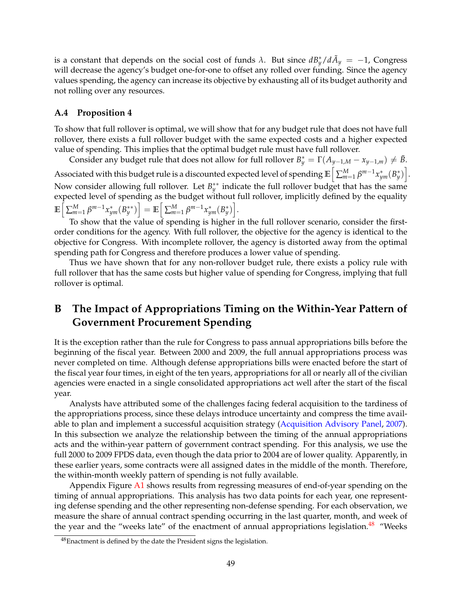is a constant that depends on the social cost of funds  $\lambda$ . But since  $d B_y^* / d \tilde{A}_y = -1$ , Congress will decrease the agency's budget one-for-one to offset any rolled over funding. Since the agency values spending, the agency can increase its objective by exhausting all of its budget authority and not rolling over any resources.

#### **A.4 Proposition 4**

To show that full rollover is optimal, we will show that for any budget rule that does not have full rollover, there exists a full rollover budget with the same expected costs and a higher expected value of spending. This implies that the optimal budget rule must have full rollover.

Consider any budget rule that does not allow for full rollover  $B_y^* = \Gamma(A_{y-1,M} - x_{y-1,m}) \neq \bar{B}$ . Associated with this budget rule is a discounted expected level of spending  $\mathbb{E}\Big[\sum_{m=1}^M\beta^{m-1}x^*_{ym}(B^*_y)\Big].$ Now consider allowing full rollover. Let  $B_y^{**}$  indicate the full rollover budget that has the same expected level of spending as the budget without full rollover, implicitly defined by the equality  $\mathbb{E}\Big[\sum_{m=1}^M\beta^{m-1}x^*_{ym}(B^{**}_y)\Big]=\mathbb{E}\Big[\sum_{m=1}^M\beta^{m-1}x^*_{ym}(B^{*}_y)\Big].$ 

To show that the value of spending is higher in the full rollover scenario, consider the firstorder conditions for the agency. With full rollover, the objective for the agency is identical to the objective for Congress. With incomplete rollover, the agency is distorted away from the optimal spending path for Congress and therefore produces a lower value of spending.

Thus we have shown that for any non-rollover budget rule, there exists a policy rule with full rollover that has the same costs but higher value of spending for Congress, implying that full rollover is optimal.

# <span id="page-50-0"></span>**B The Impact of Appropriations Timing on the Within-Year Pattern of Government Procurement Spending**

It is the exception rather than the rule for Congress to pass annual appropriations bills before the beginning of the fiscal year. Between 2000 and 2009, the full annual appropriations process was never completed on time. Although defense appropriations bills were enacted before the start of the fiscal year four times, in eight of the ten years, appropriations for all or nearly all of the civilian agencies were enacted in a single consolidated appropriations act well after the start of the fiscal year.

Analysts have attributed some of the challenges facing federal acquisition to the tardiness of the appropriations process, since these delays introduce uncertainty and compress the time available to plan and implement a successful acquisition strategy [\(Acquisition Advisory Panel,](#page-36-11) [2007\)](#page-36-11). In this subsection we analyze the relationship between the timing of the annual appropriations acts and the within-year pattern of government contract spending. For this analysis, we use the full 2000 to 2009 FPDS data, even though the data prior to 2004 are of lower quality. Apparently, in these earlier years, some contracts were all assigned dates in the middle of the month. Therefore, the within-month weekly pattern of spending is not fully available.

Appendix Figure [A1](#page-57-0) shows results from regressing measures of end-of-year spending on the timing of annual appropriations. This analysis has two data points for each year, one representing defense spending and the other representing non-defense spending. For each observation, we measure the share of annual contract spending occurring in the last quarter, month, and week of the year and the "weeks late" of the enactment of annual appropriations legislation. $48$  "Weeks

<span id="page-50-1"></span><sup>&</sup>lt;sup>48</sup>Enactment is defined by the date the President signs the legislation.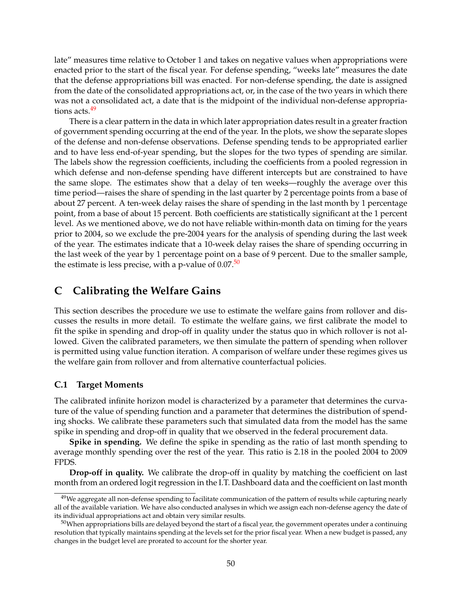late" measures time relative to October 1 and takes on negative values when appropriations were enacted prior to the start of the fiscal year. For defense spending, "weeks late" measures the date that the defense appropriations bill was enacted. For non-defense spending, the date is assigned from the date of the consolidated appropriations act, or, in the case of the two years in which there was not a consolidated act, a date that is the midpoint of the individual non-defense appropria-tions acts.<sup>[49](#page-51-1)</sup>

There is a clear pattern in the data in which later appropriation dates result in a greater fraction of government spending occurring at the end of the year. In the plots, we show the separate slopes of the defense and non-defense observations. Defense spending tends to be appropriated earlier and to have less end-of-year spending, but the slopes for the two types of spending are similar. The labels show the regression coefficients, including the coefficients from a pooled regression in which defense and non-defense spending have different intercepts but are constrained to have the same slope. The estimates show that a delay of ten weeks—roughly the average over this time period—raises the share of spending in the last quarter by 2 percentage points from a base of about 27 percent. A ten-week delay raises the share of spending in the last month by 1 percentage point, from a base of about 15 percent. Both coefficients are statistically significant at the 1 percent level. As we mentioned above, we do not have reliable within-month data on timing for the years prior to 2004, so we exclude the pre-2004 years for the analysis of spending during the last week of the year. The estimates indicate that a 10-week delay raises the share of spending occurring in the last week of the year by 1 percentage point on a base of 9 percent. Due to the smaller sample, the estimate is less precise, with a p-value of  $0.07<sup>50</sup>$  $0.07<sup>50</sup>$  $0.07<sup>50</sup>$ 

# <span id="page-51-0"></span>**C Calibrating the Welfare Gains**

This section describes the procedure we use to estimate the welfare gains from rollover and discusses the results in more detail. To estimate the welfare gains, we first calibrate the model to fit the spike in spending and drop-off in quality under the status quo in which rollover is not allowed. Given the calibrated parameters, we then simulate the pattern of spending when rollover is permitted using value function iteration. A comparison of welfare under these regimes gives us the welfare gain from rollover and from alternative counterfactual policies.

### **C.1 Target Moments**

The calibrated infinite horizon model is characterized by a parameter that determines the curvature of the value of spending function and a parameter that determines the distribution of spending shocks. We calibrate these parameters such that simulated data from the model has the same spike in spending and drop-off in quality that we observed in the federal procurement data.

**Spike in spending.** We define the spike in spending as the ratio of last month spending to average monthly spending over the rest of the year. This ratio is 2.18 in the pooled 2004 to 2009 FPDS.

**Drop-off in quality.** We calibrate the drop-off in quality by matching the coefficient on last month from an ordered logit regression in the I.T. Dashboard data and the coefficient on last month

<span id="page-51-1"></span><sup>&</sup>lt;sup>49</sup>We aggregate all non-defense spending to facilitate communication of the pattern of results while capturing nearly all of the available variation. We have also conducted analyses in which we assign each non-defense agency the date of its individual appropriations act and obtain very similar results.

<span id="page-51-2"></span> $50$ When appropriations bills are delayed beyond the start of a fiscal year, the government operates under a continuing resolution that typically maintains spending at the levels set for the prior fiscal year. When a new budget is passed, any changes in the budget level are prorated to account for the shorter year.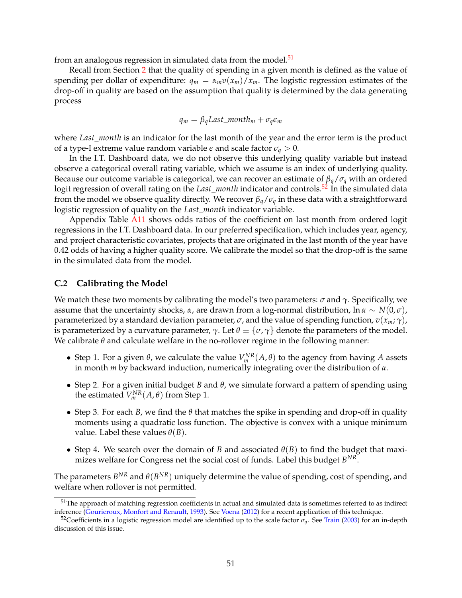from an analogous regression in simulated data from the model.<sup>[51](#page-52-0)</sup>

Recall from Section [2](#page-5-1) that the quality of spending in a given month is defined as the value of spending per dollar of expenditure:  $q_m = \alpha_m v(x_m)/x_m$ . The logistic regression estimates of the drop-off in quality are based on the assumption that quality is determined by the data generating process

$$
q_m = \beta_q Last\_month_m + \sigma_q \epsilon_m
$$

where *Last*\_*month* is an indicator for the last month of the year and the error term is the product of a type-I extreme value random variable  $\epsilon$  and scale factor  $\sigma_q > 0$ .

In the I.T. Dashboard data, we do not observe this underlying quality variable but instead observe a categorical overall rating variable, which we assume is an index of underlying quality. Because our outcome variable is categorical, we can recover an estimate of *βq*/*σ<sup>q</sup>* with an ordered logit regression of overall rating on the *Last\_month* indicator and controls.<sup>[52](#page-52-1)</sup> In the simulated data from the model we observe quality directly. We recover *βq*/*σ<sup>q</sup>* in these data with a straightforward logistic regression of quality on the *Last*\_*month* indicator variable.

Appendix Table [A11](#page-68-0) shows odds ratios of the coefficient on last month from ordered logit regressions in the I.T. Dashboard data. In our preferred specification, which includes year, agency, and project characteristic covariates, projects that are originated in the last month of the year have 0.42 odds of having a higher quality score. We calibrate the model so that the drop-off is the same in the simulated data from the model.

#### **C.2 Calibrating the Model**

We match these two moments by calibrating the model's two parameters: *σ* and *γ*. Specifically, we assume that the uncertainty shocks,  $\alpha$ , are drawn from a log-normal distribution, ln  $\alpha \sim N(0,\sigma)$ , parameterized by a standard deviation parameter,  $\sigma$ , and the value of spending function,  $v(x_m; \gamma)$ , is parameterized by a curvature parameter, *γ*. Let  $\theta \equiv \{\sigma, \gamma\}$  denote the parameters of the model. We calibrate  $\theta$  and calculate welfare in the no-rollover regime in the following manner:

- Step 1. For a given  $\theta$ , we calculate the value  $V_m^{NR}(A,\theta)$  to the agency from having A assets in month *m* by backward induction, numerically integrating over the distribution of *α*.
- Step 2. For a given initial budget *B* and *θ*, we simulate forward a pattern of spending using the estimated  $V_m^{NR}(A,\theta)$  from Step 1.
- Step 3. For each *B*, we find the *θ* that matches the spike in spending and drop-off in quality moments using a quadratic loss function. The objective is convex with a unique minimum value. Label these values  $\theta$ (*B*).
- Step 4. We search over the domain of *B* and associated  $\theta(B)$  to find the budget that maximizes welfare for Congress net the social cost of funds. Label this budget *B NR*.

The parameters  $B^{NR}$  and  $\theta(B^{NR})$  uniquely determine the value of spending, cost of spending, and welfare when rollover is not permitted.

<span id="page-52-0"></span><sup>&</sup>lt;sup>51</sup>The approach of matching regression coefficients in actual and simulated data is sometimes referred to as indirect inference [\(Gourieroux, Monfort and Renault,](#page-36-17) [1993\)](#page-36-17). See [Voena](#page-37-8) [\(2012\)](#page-37-8) for a recent application of this technique.

<span id="page-52-1"></span><sup>&</sup>lt;sup>52</sup>Coefficients in a logistic regression model are identified up to the scale factor  $\sigma_q$ . See [Train](#page-37-9) [\(2003\)](#page-37-9) for an in-depth discussion of this issue.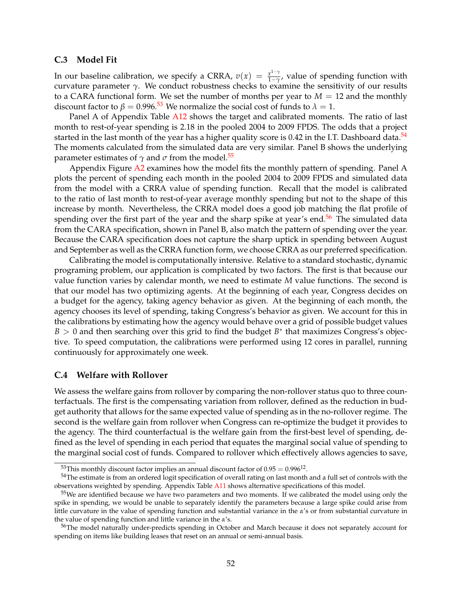#### **C.3 Model Fit**

In our baseline calibration, we specify a CRRA,  $v(x) = \frac{x^{1-\gamma}}{1-\gamma}$  $\frac{x^2}{1-\gamma}$ , value of spending function with curvature parameter *γ*. We conduct robustness checks to examine the sensitivity of our results to a CARA functional form. We set the number of months per year to  $M = 12$  and the monthly discount factor to  $\beta = 0.996$ .<sup>[53](#page-53-0)</sup> We normalize the social cost of funds to  $\lambda = 1$ .

Panel A of Appendix Table [A12](#page-69-1) shows the target and calibrated moments. The ratio of last month to rest-of-year spending is 2.18 in the pooled 2004 to 2009 FPDS. The odds that a project started in the last month of the year has a higher quality score is 0.42 in the I.T. Dashboard data.<sup>[54](#page-53-1)</sup> The moments calculated from the simulated data are very similar. Panel B shows the underlying parameter estimates of  $\gamma$  and  $\sigma$  from the model.<sup>[55](#page-53-2)</sup>

Appendix Figure [A2](#page-58-0) examines how the model fits the monthly pattern of spending. Panel A plots the percent of spending each month in the pooled 2004 to 2009 FPDS and simulated data from the model with a CRRA value of spending function. Recall that the model is calibrated to the ratio of last month to rest-of-year average monthly spending but not to the shape of this increase by month. Nevertheless, the CRRA model does a good job matching the flat profile of spending over the first part of the year and the sharp spike at year's end.<sup>[56](#page-53-3)</sup> The simulated data from the CARA specification, shown in Panel B, also match the pattern of spending over the year. Because the CARA specification does not capture the sharp uptick in spending between August and September as well as the CRRA function form, we choose CRRA as our preferred specification.

Calibrating the model is computationally intensive. Relative to a standard stochastic, dynamic programing problem, our application is complicated by two factors. The first is that because our value function varies by calendar month, we need to estimate *M* value functions. The second is that our model has two optimizing agents. At the beginning of each year, Congress decides on a budget for the agency, taking agency behavior as given. At the beginning of each month, the agency chooses its level of spending, taking Congress's behavior as given. We account for this in the calibrations by estimating how the agency would behave over a grid of possible budget values  $B > 0$  and then searching over this grid to find the budget  $B^*$  that maximizes Congress's objective. To speed computation, the calibrations were performed using 12 cores in parallel, running continuously for approximately one week.

#### **C.4 Welfare with Rollover**

We assess the welfare gains from rollover by comparing the non-rollover status quo to three counterfactuals. The first is the compensating variation from rollover, defined as the reduction in budget authority that allows for the same expected value of spending as in the no-rollover regime. The second is the welfare gain from rollover when Congress can re-optimize the budget it provides to the agency. The third counterfactual is the welfare gain from the first-best level of spending, defined as the level of spending in each period that equates the marginal social value of spending to the marginal social cost of funds. Compared to rollover which effectively allows agencies to save,

<span id="page-53-1"></span><span id="page-53-0"></span> $^{53}$ This monthly discount factor implies an annual discount factor of  $0.95 = 0.996^{12}$ .

<sup>&</sup>lt;sup>54</sup>The estimate is from an ordered logit specification of overall rating on last month and a full set of controls with the observations weighted by spending. Appendix Table [A11](#page-68-0) shows alternative specifications of this model.

<span id="page-53-2"></span><sup>&</sup>lt;sup>55</sup>We are identified because we have two parameters and two moments. If we calibrated the model using only the spike in spending, we would be unable to separately identify the parameters because a large spike could arise from little curvature in the value of spending function and substantial variance in the *α*'s or from substantial curvature in the value of spending function and little variance in the *α*'s.

<span id="page-53-3"></span><sup>&</sup>lt;sup>56</sup>The model naturally under-predicts spending in October and March because it does not separately account for spending on items like building leases that reset on an annual or semi-annual basis.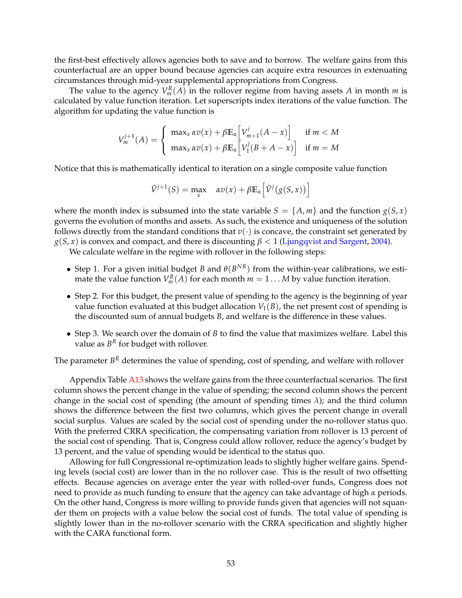the first-best effectively allows agencies both to save and to borrow. The welfare gains from this counterfactual are an upper bound because agencies can acquire extra resources in extenuating circumstances through mid-year supplemental appropriations from Congress.

The value to the agency  $V_m^R(A)$  in the rollover regime from having assets  $A$  in month  $m$  is calculated by value function iteration. Let superscripts index iterations of the value function. The algorithm for updating the value function is

$$
V_m^{j+1}(A) = \begin{cases} \max_x \alpha v(x) + \beta \mathbb{E}_{\alpha} \left[ V_{m+1}^j(A-x) \right] & \text{if } m < M \\ \max_x \alpha v(x) + \beta \mathbb{E}_{\alpha} \left[ V_1^j(B+A-x) \right] & \text{if } m = M \end{cases}
$$

Notice that this is mathematically identical to iteration on a single composite value function

$$
\tilde{V}^{j+1}(S) = \max_{x} \quad \alpha v(x) + \beta \mathbb{E}_{\alpha} \left[ \tilde{V}^{j}(g(S, x)) \right]
$$

where the month index is subsumed into the state variable  $S = \{A, m\}$  and the function  $g(S, x)$ governs the evolution of months and assets. As such, the existence and uniqueness of the solution follows directly from the standard conditions that  $v(\cdot)$  is concave, the constraint set generated by  $g(S, x)$  is convex and compact, and there is discounting  $\beta < 1$  [\(Ljungqvist and Sargent,](#page-37-10) [2004\)](#page-37-10).

We calculate welfare in the regime with rollover in the following steps:

- Step 1. For a given initial budget *B* and  $\theta(B^{NR})$  from the within-year calibrations, we estimate the value function  $V_m^R(A)$  for each month  $m = 1 \dots M$  by value function iteration.
- Step 2. For this budget, the present value of spending to the agency is the beginning of year value function evaluated at this budget allocation  $V_1(B)$ , the net present cost of spending is the discounted sum of annual budgets *B*, and welfare is the difference in these values.
- Step 3. We search over the domain of *B* to find the value that maximizes welfare. Label this value as  $B^R$  for budget with rollover.

The parameter  $B^R$  determines the value of spending, cost of spending, and welfare with rollover

Appendix Table [A13](#page-69-0) shows the welfare gains from the three counterfactual scenarios. The first column shows the percent change in the value of spending; the second column shows the percent change in the social cost of spending (the amount of spending times  $\lambda$ ); and the third column shows the difference between the first two columns, which gives the percent change in overall social surplus. Values are scaled by the social cost of spending under the no-rollover status quo. With the preferred CRRA specification, the compensating variation from rollover is 13 percent of the social cost of spending. That is, Congress could allow rollover, reduce the agency's budget by 13 percent, and the value of spending would be identical to the status quo.

Allowing for full Congressional re-optimization leads to slightly higher welfare gains. Spending levels (social cost) are lower than in the no rollover case. This is the result of two offsetting effects. Because agencies on average enter the year with rolled-over funds, Congress does not need to provide as much funding to ensure that the agency can take advantage of high *α* periods. On the other hand, Congress is more willing to provide funds given that agencies will not squander them on projects with a value below the social cost of funds. The total value of spending is slightly lower than in the no-rollover scenario with the CRRA specification and slightly higher with the CARA functional form.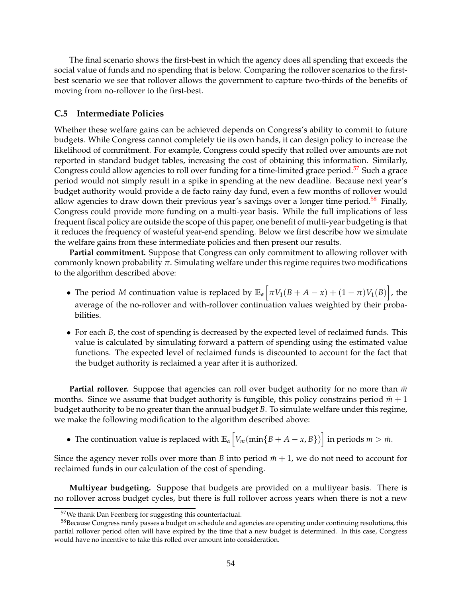The final scenario shows the first-best in which the agency does all spending that exceeds the social value of funds and no spending that is below. Comparing the rollover scenarios to the firstbest scenario we see that rollover allows the government to capture two-thirds of the benefits of moving from no-rollover to the first-best.

#### **C.5 Intermediate Policies**

Whether these welfare gains can be achieved depends on Congress's ability to commit to future budgets. While Congress cannot completely tie its own hands, it can design policy to increase the likelihood of commitment. For example, Congress could specify that rolled over amounts are not reported in standard budget tables, increasing the cost of obtaining this information. Similarly, Congress could allow agencies to roll over funding for a time-limited grace period.<sup>[57](#page-55-0)</sup> Such a grace period would not simply result in a spike in spending at the new deadline. Because next year's budget authority would provide a de facto rainy day fund, even a few months of rollover would allow agencies to draw down their previous year's savings over a longer time period.<sup>[58](#page-55-1)</sup> Finally, Congress could provide more funding on a multi-year basis. While the full implications of less frequent fiscal policy are outside the scope of this paper, one benefit of multi-year budgeting is that it reduces the frequency of wasteful year-end spending. Below we first describe how we simulate the welfare gains from these intermediate policies and then present our results.

**Partial commitment.** Suppose that Congress can only commitment to allowing rollover with commonly known probability  $\pi$ . Simulating welfare under this regime requires two modifications to the algorithm described above:

- The period *M* continuation value is replaced by  $\mathbb{E}_{\alpha} \left[ \pi V_1(B + A x) + (1 \pi)V_1(B) \right]$ , the average of the no-rollover and with-rollover continuation values weighted by their probabilities.
- For each *B*, the cost of spending is decreased by the expected level of reclaimed funds. This value is calculated by simulating forward a pattern of spending using the estimated value functions. The expected level of reclaimed funds is discounted to account for the fact that the budget authority is reclaimed a year after it is authorized.

**Partial rollover.** Suppose that agencies can roll over budget authority for no more than  $\bar{m}$ months. Since we assume that budget authority is fungible, this policy constrains period  $\bar{m}+1$ budget authority to be no greater than the annual budget *B*. To simulate welfare under this regime, we make the following modification to the algorithm described above:

• The continuation value is replaced with  $\mathbb{E}_{\alpha} \left[ V_m(\min\{B+A-x,B\}) \right]$  in periods  $m > m$ .

Since the agency never rolls over more than *B* into period  $\bar{m}+1$ , we do not need to account for reclaimed funds in our calculation of the cost of spending.

**Multiyear budgeting.** Suppose that budgets are provided on a multiyear basis. There is no rollover across budget cycles, but there is full rollover across years when there is not a new

<span id="page-55-1"></span><span id="page-55-0"></span><sup>57</sup>We thank Dan Feenberg for suggesting this counterfactual.

<sup>58</sup> Because Congress rarely passes a budget on schedule and agencies are operating under continuing resolutions, this partial rollover period often will have expired by the time that a new budget is determined. In this case, Congress would have no incentive to take this rolled over amount into consideration.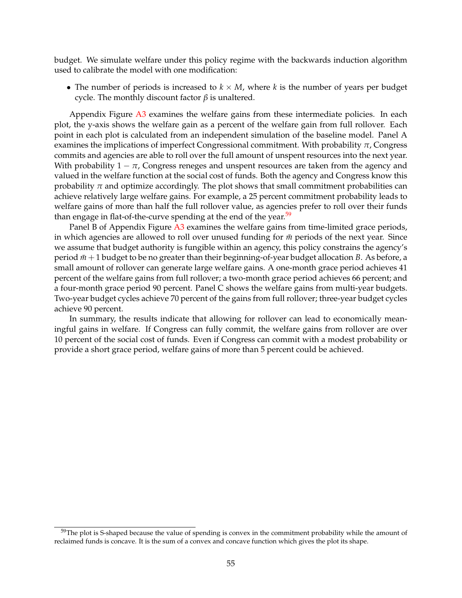budget. We simulate welfare under this policy regime with the backwards induction algorithm used to calibrate the model with one modification:

• The number of periods is increased to  $k \times M$ , where k is the number of years per budget cycle. The monthly discount factor *β* is unaltered.

Appendix Figure [A3](#page-59-0) examines the welfare gains from these intermediate policies. In each plot, the y-axis shows the welfare gain as a percent of the welfare gain from full rollover. Each point in each plot is calculated from an independent simulation of the baseline model. Panel A examines the implications of imperfect Congressional commitment. With probability *π*, Congress commits and agencies are able to roll over the full amount of unspent resources into the next year. With probability  $1 - \pi$ , Congress reneges and unspent resources are taken from the agency and valued in the welfare function at the social cost of funds. Both the agency and Congress know this probability  $\pi$  and optimize accordingly. The plot shows that small commitment probabilities can achieve relatively large welfare gains. For example, a 25 percent commitment probability leads to welfare gains of more than half the full rollover value, as agencies prefer to roll over their funds than engage in flat-of-the-curve spending at the end of the year.<sup>[59](#page-56-0)</sup>

Panel B of Appendix Figure [A3](#page-59-0) examines the welfare gains from time-limited grace periods, in which agencies are allowed to roll over unused funding for  $\bar{m}$  periods of the next year. Since we assume that budget authority is fungible within an agency, this policy constrains the agency's period  $m+1$  budget to be no greater than their beginning-of-year budget allocation *B*. As before, a small amount of rollover can generate large welfare gains. A one-month grace period achieves 41 percent of the welfare gains from full rollover; a two-month grace period achieves 66 percent; and a four-month grace period 90 percent. Panel C shows the welfare gains from multi-year budgets. Two-year budget cycles achieve 70 percent of the gains from full rollover; three-year budget cycles achieve 90 percent.

In summary, the results indicate that allowing for rollover can lead to economically meaningful gains in welfare. If Congress can fully commit, the welfare gains from rollover are over 10 percent of the social cost of funds. Even if Congress can commit with a modest probability or provide a short grace period, welfare gains of more than 5 percent could be achieved.

<span id="page-56-0"></span><sup>&</sup>lt;sup>59</sup>The plot is S-shaped because the value of spending is convex in the commitment probability while the amount of reclaimed funds is concave. It is the sum of a convex and concave function which gives the plot its shape.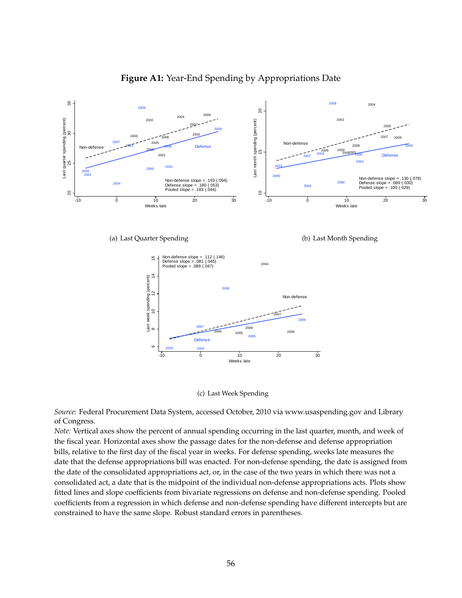<span id="page-57-0"></span>

### **Figure A1:** Year-End Spending by Appropriations Date

(a) Last Quarter Spending

(b) Last Month Spending





*Source:* Federal Procurement Data System, accessed October, 2010 via www.usaspending.gov and Library of Congress.

*Note:* Vertical axes show the percent of annual spending occurring in the last quarter, month, and week of the fiscal year. Horizontal axes show the passage dates for the non-defense and defense appropriation bills, relative to the first day of the fiscal year in weeks. For defense spending, weeks late measures the date that the defense appropriations bill was enacted. For non-defense spending, the date is assigned from the date of the consolidated appropriations act, or, in the case of the two years in which there was not a consolidated act, a date that is the midpoint of the individual non-defense appropriations acts. Plots show fitted lines and slope coefficients from bivariate regressions on defense and non-defense spending. Pooled coefficients from a regression in which defense and non-defense spending have different intercepts but are constrained to have the same slope. Robust standard errors in parentheses.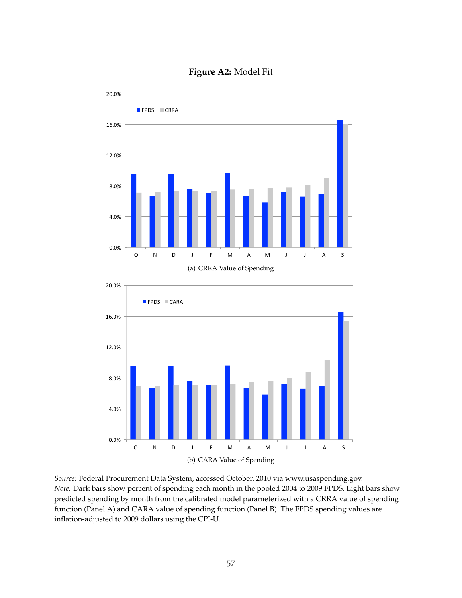<span id="page-58-0"></span>

**Figure A2:** Model Fit

*Source:* Federal Procurement Data System, accessed October, 2010 via www.usaspending.gov. *Note:* Dark bars show percent of spending each month in the pooled 2004 to 2009 FPDS. Light bars show predicted spending by month from the calibrated model parameterized with a CRRA value of spending function (Panel A) and CARA value of spending function (Panel B). The FPDS spending values are inflation-adjusted to 2009 dollars using the CPI-U.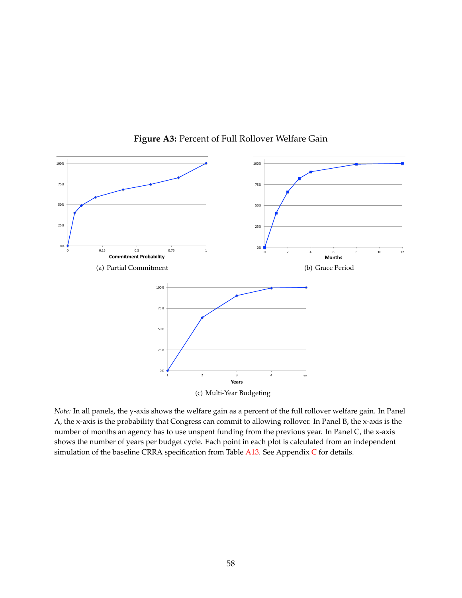<span id="page-59-0"></span>

**Figure A3:** Percent of Full Rollover Welfare Gain

*Note:* In all panels, the y-axis shows the welfare gain as a percent of the full rollover welfare gain. In Panel A, the x-axis is the probability that Congress can commit to allowing rollover. In Panel B, the x-axis is the number of months an agency has to use unspent funding from the previous year. In Panel C, the x-axis shows the number of years per budget cycle. Each point in each plot is calculated from an independent simulation of the baseline [C](#page-51-0)RRA specification from Table  $A13$ . See Appendix C for details.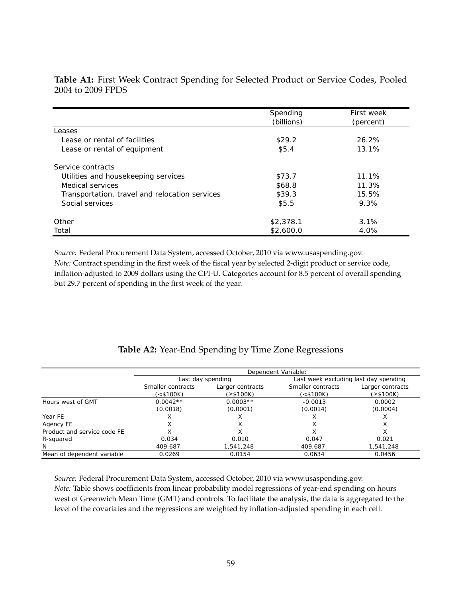|                                                | Spending   | First week |
|------------------------------------------------|------------|------------|
|                                                | (billions) | (percent)  |
| Leases                                         |            |            |
| Lease or rental of facilities                  | \$29.2     | 26.2%      |
| Lease or rental of equipment                   | \$5.4      | 13.1%      |
| Service contracts                              |            |            |
| Utilities and housekeeping services            | \$73.7     | 11.1%      |
| Medical services                               | \$68.8     | 11.3%      |
| Transportation, travel and relocation services | \$39.3     | 15.5%      |
| Social services                                | \$5.5      | 9.3%       |
| Other                                          | \$2,378.1  | 3.1%       |
| Total                                          | \$2,600.0  | 4.0%       |

<span id="page-60-0"></span>**Table A1:** First Week Contract Spending for Selected Product or Service Codes, Pooled 2004 to 2009 FPDS

*Source:* Federal Procurement Data System, accessed October, 2010 via www.usaspending.gov. *Note:* Contract spending in the first week of the fiscal year by selected 2-digit product or service code, inflation-adjusted to 2009 dollars using the CPI-U. Categories account for 8.5 percent of overall spending but 29.7 percent of spending in the first week of the year.

|  | ີ        | Dono:<br>.<br>Varial<br>ble:<br>ا دا دا دا<br>ا دا ۱ |          |  |
|--|----------|------------------------------------------------------|----------|--|
|  | $\cdots$ |                                                      | $\cdots$ |  |

**Table A2:** Year-End Spending by Time Zone Regressions

<span id="page-60-1"></span>

|                             | Dependent Variable: |                   |                   |                                       |  |
|-----------------------------|---------------------|-------------------|-------------------|---------------------------------------|--|
|                             |                     | Last day spending |                   | Last week excluding last day spending |  |
|                             | Smaller contracts   | Larger contracts  | Smaller contracts | Larger contracts                      |  |
|                             | $\leq$ \$100K)      | (≥\$100K)         | (<\$100K)         | (≥\$100K)                             |  |
| Hours west of GMT           | $0.0042**$          | $0.0003**$        | $-0.0013$         | 0.0002                                |  |
|                             | (0.0018)            | (0.0001)          | (0.0014)          | (0.0004)                              |  |
| Year FE                     |                     |                   |                   |                                       |  |
| Agency FE                   |                     |                   |                   |                                       |  |
| Product and service code FE |                     |                   |                   |                                       |  |
| R-squared                   | 0.034               | 0.010             | 0.047             | 0.021                                 |  |
| N                           | 409.687             | 1,541,248         | 409,687           | 1,541,248                             |  |
| Mean of dependent variable  | 0.0269              | 0.0154            | 0.0634            | 0.0456                                |  |

*Source:* Federal Procurement Data System, accessed October, 2010 via www.usaspending.gov. *Note:* Table shows coefficients from linear probability model regressions of year-end spending on hours west of Greenwich Mean Time (GMT) and controls. To facilitate the analysis, the data is aggregated to the level of the covariates and the regressions are weighted by inflation-adjusted spending in each cell.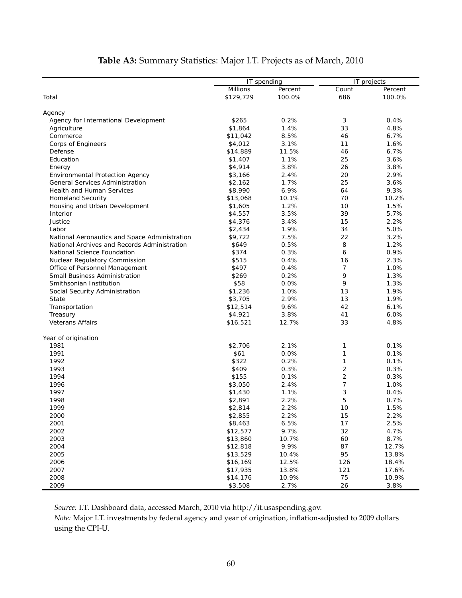<span id="page-61-0"></span>

|                                               | IT spending |         |                | IT projects |
|-----------------------------------------------|-------------|---------|----------------|-------------|
|                                               | Millions    | Percent | Count          | Percent     |
| Total                                         | \$129,729   | 100.0%  | 686            | 100.0%      |
|                                               |             |         |                |             |
| Agency                                        |             |         |                |             |
| Agency for International Development          | \$265       | 0.2%    | 3              | 0.4%        |
| Agriculture                                   | \$1,864     | 1.4%    | 33             | 4.8%        |
| Commerce                                      | \$11,042    | 8.5%    | 46             | 6.7%        |
| Corps of Engineers                            | \$4,012     | 3.1%    | 11             | 1.6%        |
| Defense                                       | \$14,889    | 11.5%   | 46             | 6.7%        |
| Education                                     | \$1,407     | 1.1%    | 25             | 3.6%        |
| Energy                                        | \$4,914     | 3.8%    | 26             | 3.8%        |
| Environmental Protection Agency               | \$3,166     | 2.4%    | 20             | 2.9%        |
| <b>General Services Administration</b>        | \$2,162     | 1.7%    | 25             | 3.6%        |
| Health and Human Services                     | \$8,990     | 6.9%    | 64             | 9.3%        |
| <b>Homeland Security</b>                      | \$13,068    | 10.1%   | 70             | 10.2%       |
| Housing and Urban Development                 | \$1,605     | 1.2%    | 10             | 1.5%        |
| Interior                                      | \$4,557     | 3.5%    | 39             | 5.7%        |
| Justice                                       | \$4,376     | 3.4%    | 15             | 2.2%        |
| Labor                                         | \$2,434     | 1.9%    | 34             | 5.0%        |
| National Aeronautics and Space Administration | \$9,722     | 7.5%    | 22             | 3.2%        |
| National Archives and Records Administration  | \$649       | 0.5%    | 8              | 1.2%        |
| National Science Foundation                   | \$374       | 0.3%    | 6              | 0.9%        |
| Nuclear Regulatory Commission                 | \$515       | 0.4%    | 16             | 2.3%        |
| Office of Personnel Management                | \$497       | 0.4%    | 7              | 1.0%        |
| Small Business Administration                 | \$269       | 0.2%    | 9              | 1.3%        |
| Smithsonian Institution                       | \$58        | 0.0%    | 9              | 1.3%        |
| Social Security Administration                | \$1,236     | 1.0%    | 13             | 1.9%        |
| State                                         | \$3,705     | 2.9%    | 13             | 1.9%        |
| Transportation                                | \$12,514    | 9.6%    | 42             | 6.1%        |
| Treasury                                      | \$4,921     | 3.8%    | 41             | 6.0%        |
| Veterans Affairs                              | \$16,521    | 12.7%   | 33             | 4.8%        |
|                                               |             |         |                |             |
| Year of origination                           |             |         |                |             |
| 1981                                          | \$2,706     | 2.1%    | 1              | 0.1%        |
| 1991                                          | \$61        | 0.0%    | $\mathbf{1}$   | 0.1%        |
| 1992                                          | \$322       | 0.2%    | $\mathbf{1}$   | 0.1%        |
| 1993                                          | \$409       | 0.3%    | $\overline{2}$ | 0.3%        |
| 1994                                          | \$155       | 0.1%    | $\overline{2}$ | 0.3%        |
| 1996                                          | \$3,050     | 2.4%    | $\overline{7}$ | 1.0%        |
| 1997                                          | \$1,430     | 1.1%    | 3              | 0.4%        |
| 1998                                          | \$2,891     | 2.2%    | 5              | 0.7%        |
| 1999                                          | \$2,814     | 2.2%    | 10             | 1.5%        |
| 2000                                          | \$2,855     | 2.2%    | 15             | 2.2%        |
| 2001                                          | \$8,463     | 6.5%    | 17             | 2.5%        |
| 2002                                          | \$12,577    | 9.7%    | 32             | 4.7%        |
| 2003                                          | \$13,860    | 10.7%   | 60             | 8.7%        |
| 2004                                          | \$12,818    | 9.9%    | 87             | 12.7%       |
| 2005                                          | \$13,529    | 10.4%   | 95             | 13.8%       |
| 2006                                          | \$16,169    | 12.5%   | 126            | 18.4%       |
| 2007                                          | \$17,935    | 13.8%   | 121            | 17.6%       |
| 2008                                          | \$14,176    | 10.9%   | 75             | 10.9%       |
| 2009                                          | \$3,508     | 2.7%    | 26             | 3.8%        |

# **Table A3:** Summary Statistics: Major I.T. Projects as of March, 2010

*Source:* I.T. Dashboard data, accessed March, 2010 via http://it.usaspending.gov.

*Note:* Major I.T. investments by federal agency and year of origination, inflation-adjusted to 2009 dollars using the CPI-U.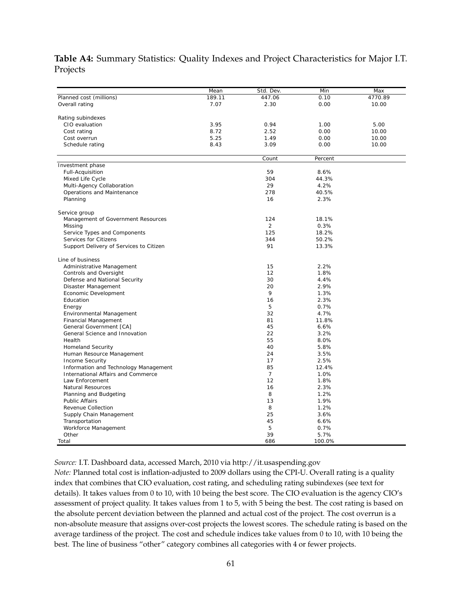## <span id="page-62-0"></span>**Table A4:** Summary Statistics: Quality Indexes and Project Characteristics for Major I.T. Projects

|                                         | Mean   | Std. Dev.      | Min     | Max     |
|-----------------------------------------|--------|----------------|---------|---------|
| Planned cost (millions)                 | 189.11 | 447.06         | 0.10    | 4770.89 |
| Overall rating                          | 7.07   | 2.30           | 0.00    | 10.00   |
|                                         |        |                |         |         |
| Rating subindexes                       |        |                |         |         |
| CIO evaluation                          | 3.95   | 0.94           | 1.00    | 5.00    |
| Cost rating                             | 8.72   | 2.52           | 0.00    | 10.00   |
| Cost overrun                            | 5.25   | 1.49           | 0.00    | 10.00   |
| Schedule rating                         | 8.43   | 3.09           | 0.00    | 10.00   |
|                                         |        | Count          | Percent |         |
| Investment phase                        |        |                |         |         |
| Full-Acquisition                        |        | 59             | 8.6%    |         |
| Mixed Life Cycle                        |        | 304            | 44.3%   |         |
| Multi-Agency Collaboration              |        | 29             | 4.2%    |         |
| Operations and Maintenance              |        | 278            | 40.5%   |         |
| Planning                                |        | 16             | 2.3%    |         |
|                                         |        |                |         |         |
| Service group                           |        |                |         |         |
| Management of Government Resources      |        | 124            | 18.1%   |         |
| Missing                                 |        | 2              | 0.3%    |         |
| Service Types and Components            |        | 125            | 18.2%   |         |
| Services for Citizens                   |        | 344            | 50.2%   |         |
| Support Delivery of Services to Citizen |        | 91             | 13.3%   |         |
| Line of business                        |        |                |         |         |
| Administrative Management               |        | 15             | 2.2%    |         |
| Controls and Oversight                  |        | 12             | 1.8%    |         |
|                                         |        | 30             | 4.4%    |         |
| Defense and National Security           |        | 20             | 2.9%    |         |
| Disaster Management                     |        | 9              |         |         |
| Economic Development                    |        | 16             | 1.3%    |         |
| Education                               |        |                | 2.3%    |         |
| Energy                                  |        | 5              | 0.7%    |         |
| Environmental Management                |        | 32             | 4.7%    |         |
| Financial Management                    |        | 81             | 11.8%   |         |
| General Government [CA]                 |        | 45             | 6.6%    |         |
| General Science and Innovation          |        | 22             | 3.2%    |         |
| Health                                  |        | 55             | 8.0%    |         |
| Homeland Security                       |        | 40             | 5.8%    |         |
| Human Resource Management               |        | 24             | 3.5%    |         |
| <b>Income Security</b>                  |        | 17             | 2.5%    |         |
| Information and Technology Management   |        | 85             | 12.4%   |         |
| International Affairs and Commerce      |        | $\overline{7}$ | 1.0%    |         |
| Law Enforcement                         |        | 12             | 1.8%    |         |
| Natural Resources                       |        | 16             | 2.3%    |         |
| Planning and Budgeting                  |        | 8              | 1.2%    |         |
| <b>Public Affairs</b>                   |        | 13             | 1.9%    |         |
| Revenue Collection                      |        | 8              | 1.2%    |         |
| Supply Chain Management                 |        | 25             | 3.6%    |         |
| Transportation                          |        | 45             | 6.6%    |         |
| Workforce Management                    |        | 5              | 0.7%    |         |
| Other                                   |        | 39             | 5.7%    |         |
| Total                                   |        | 686            | 100.0%  |         |

*Source:* I.T. Dashboard data, accessed March, 2010 via http://it.usaspending.gov

*Note:* Planned total cost is inflation-adjusted to 2009 dollars using the CPI-U. Overall rating is a quality index that combines that CIO evaluation, cost rating, and scheduling rating subindexes (see text for details). It takes values from 0 to 10, with 10 being the best score. The CIO evaluation is the agency CIO's assessment of project quality. It takes values from 1 to 5, with 5 being the best. The cost rating is based on the absolute percent deviation between the planned and actual cost of the project. The cost overrun is a non-absolute measure that assigns over-cost projects the lowest scores. The schedule rating is based on the average tardiness of the project. The cost and schedule indices take values from 0 to 10, with 10 being the best. The line of business "other" category combines all categories with 4 or fewer projects.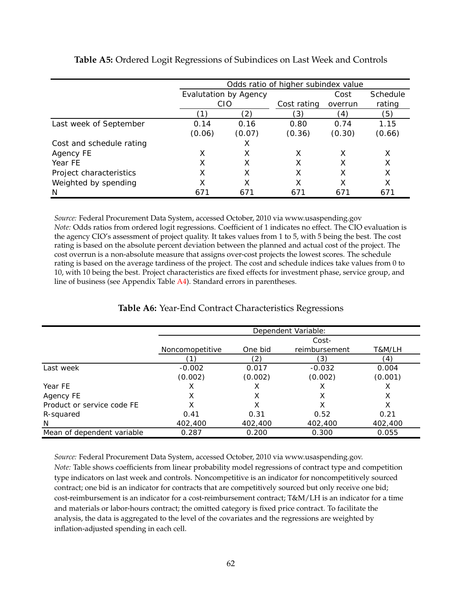|                          | Odds ratio of higher subindex value |                       |             |         |          |
|--------------------------|-------------------------------------|-----------------------|-------------|---------|----------|
|                          |                                     | Evalutation by Agency |             | Cost    | Schedule |
|                          |                                     | CIO                   | Cost rating | overrun | rating   |
|                          |                                     | $^{\prime}2)$         | 3)          | (4)     | (5)      |
| Last week of September   | 0.14                                | 0.16                  | 0.80        | 0.74    | 1.15     |
|                          | (0.06)                              | (0.07)                | (0.36)      | (0.30)  | (0.66)   |
| Cost and schedule rating |                                     | Χ                     |             |         |          |
| Agency FE                | X                                   | X                     | X           | X       | Χ        |
| Year FE                  | Χ                                   | X                     | X           | X       | Χ        |
| Project characteristics  | X                                   | X                     | X           | X       | Χ        |
| Weighted by spending     | Χ                                   | Χ                     | X           | X       | X        |
| N                        | 671                                 | 671                   | 671         | 671     | 671      |

<span id="page-63-0"></span>**Table A5:** Ordered Logit Regressions of Subindices on Last Week and Controls

*Source:* Federal Procurement Data System, accessed October, 2010 via www.usaspending.gov *Note:* Odds ratios from ordered logit regressions. Coefficient of 1 indicates no effect. The CIO evaluation is the agency CIO's assessment of project quality. It takes values from 1 to 5, with 5 being the best. The cost rating is based on the absolute percent deviation between the planned and actual cost of the project. The cost overrun is a non-absolute measure that assigns over-cost projects the lowest scores. The schedule rating is based on the average tardiness of the project. The cost and schedule indices take values from 0 to 10, with 10 being the best. Project characteristics are fixed effects for investment phase, service group, and line of business (see Appendix Table [A4\)](#page-62-0). Standard errors in parentheses.

|  | Table A6: Year-End Contract Characteristics Regressions |  |
|--|---------------------------------------------------------|--|
|  |                                                         |  |

<span id="page-63-1"></span>

|                            | Dependent Variable: |         |               |         |  |  |
|----------------------------|---------------------|---------|---------------|---------|--|--|
|                            |                     | Cost-   |               |         |  |  |
|                            | Noncomopetitive     | One bid | reimbursement | T&M/LH  |  |  |
|                            |                     | (2)     | 3)            | (4)     |  |  |
| Last week                  | $-0.002$            | 0.017   | $-0.032$      | 0.004   |  |  |
|                            | (0.002)             | (0.002) | (0.002)       | (0.001) |  |  |
| Year FE                    | х                   | х       |               | х       |  |  |
| Agency FE                  | Χ                   | Χ       | Χ             | X       |  |  |
| Product or service code FE |                     | Χ       |               | Χ       |  |  |
| R-squared                  | 0.41                | 0.31    | 0.52          | 0.21    |  |  |
| N.                         | 402,400             | 402,400 | 402,400       | 402,400 |  |  |
| Mean of dependent variable | 0.287               | 0.200   | 0.300         | 0.055   |  |  |

*Source:* Federal Procurement Data System, accessed October, 2010 via www.usaspending.gov. *Note:* Table shows coefficients from linear probability model regressions of contract type and competition type indicators on last week and controls. Noncompetitive is an indicator for noncompetitively sourced contract; one bid is an indicator for contracts that are competitively sourced but only receive one bid; cost-reimbursement is an indicator for a cost-reimbursement contract; T&M/LH is an indicator for a time and materials or labor-hours contract; the omitted category is fixed price contract. To facilitate the analysis, the data is aggregated to the level of the covariates and the regressions are weighted by inflation-adjusted spending in each cell.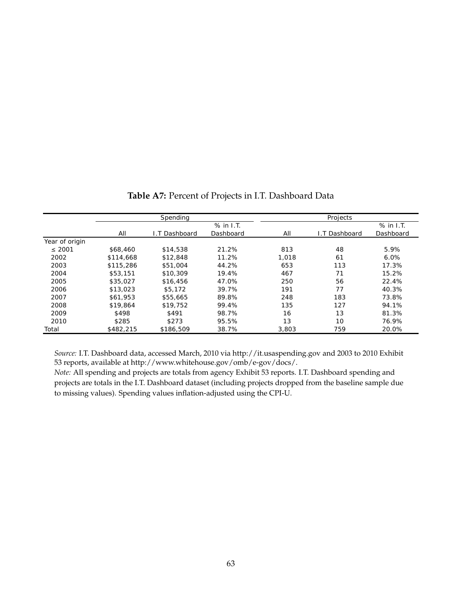|                |           | Spending     |             |       | Projects      |             |
|----------------|-----------|--------------|-------------|-------|---------------|-------------|
|                |           |              | $%$ in I.T. |       |               | $%$ in I.T. |
|                | All       | LT Dashboard | Dashboard   | All   | I.T Dashboard | Dashboard   |
| Year of origin |           |              |             |       |               |             |
| $\leq$ 2001    | \$68,460  | \$14,538     | 21.2%       | 813   | 48            | 5.9%        |
| 2002           | \$114,668 | \$12,848     | 11.2%       | 1,018 | 61            | $6.0\%$     |
| 2003           | \$115,286 | \$51,004     | 44.2%       | 653   | 113           | 17.3%       |
| 2004           | \$53,151  | \$10,309     | 19.4%       | 467   | 71            | 15.2%       |
| 2005           | \$35,027  | \$16,456     | 47.0%       | 250   | 56            | 22.4%       |
| 2006           | \$13,023  | \$5.172      | 39.7%       | 191   | 77            | 40.3%       |
| 2007           | \$61,953  | \$55,665     | 89.8%       | 248   | 183           | 73.8%       |
| 2008           | \$19,864  | \$19,752     | 99.4%       | 135   | 127           | 94.1%       |
| 2009           | \$498     | \$491        | 98.7%       | 16    | 13            | 81.3%       |
| 2010           | \$285     | \$273        | 95.5%       | 13    | 10            | 76.9%       |
| Total          | \$482,215 | \$186,509    | 38.7%       | 3,803 | 759           | 20.0%       |

**Table A7:** Percent of Projects in I.T. Dashboard Data

*Source:* I.T. Dashboard data, accessed March, 2010 via http://it.usaspending.gov and 2003 to 2010 Exhibit 53 reports, available at http://www.whitehouse.gov/omb/e-gov/docs/.

*Note:* All spending and projects are totals from agency Exhibit 53 reports. I.T. Dashboard spending and projects are totals in the I.T. Dashboard dataset (including projects dropped from the baseline sample due to missing values). Spending values inflation-adjusted using the CPI-U.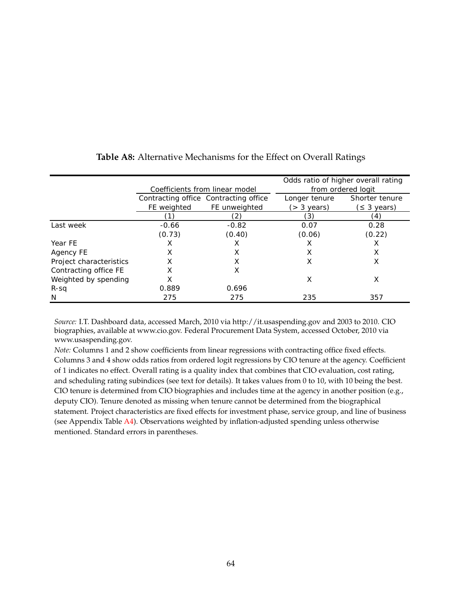<span id="page-65-0"></span>

|                         |             |                                       |               | Odds ratio of higher overall rating |
|-------------------------|-------------|---------------------------------------|---------------|-------------------------------------|
|                         |             | Coefficients from linear model        |               | from ordered logit                  |
|                         |             | Contracting office Contracting office | Longer tenure | Shorter tenure                      |
|                         | FE weighted | FE unweighted                         | (> 3 years)   | $(\leq 3 \text{ years})$            |
|                         |             | 2)                                    | 3)            | (4)                                 |
| Last week               | $-0.66$     | $-0.82$                               | 0.07          | 0.28                                |
|                         | (0.73)      | (0.40)                                | (0.06)        | (0.22)                              |
| Year FE                 |             |                                       |               |                                     |
| Agency FE               |             |                                       |               | X                                   |
| Project characteristics |             |                                       | х             | х                                   |
| Contracting office FE   |             | Χ                                     |               |                                     |
| Weighted by spending    |             |                                       | X             | X                                   |
| $R-Sq$                  | 0.889       | 0.696                                 |               |                                     |
| N                       | 275         | 275                                   | 235           | 357                                 |

### **Table A8:** Alternative Mechanisms for the Effect on Overall Ratings

*Source:* I.T. Dashboard data, accessed March, 2010 via http://it.usaspending.gov and 2003 to 2010. CIO biographies, available at www.cio.gov. Federal Procurement Data System, accessed October, 2010 via www.usaspending.gov.

*Note:* Columns 1 and 2 show coefficients from linear regressions with contracting office fixed effects. Columns 3 and 4 show odds ratios from ordered logit regressions by CIO tenure at the agency. Coefficient of 1 indicates no effect. Overall rating is a quality index that combines that CIO evaluation, cost rating, and scheduling rating subindices (see text for details). It takes values from 0 to 10, with 10 being the best. CIO tenure is determined from CIO biographies and includes time at the agency in another position (e.g., deputy CIO). Tenure denoted as missing when tenure cannot be determined from the biographical statement. Project characteristics are fixed effects for investment phase, service group, and line of business (see Appendix Table [A4\)](#page-62-0). Observations weighted by inflation-adjusted spending unless otherwise mentioned. Standard errors in parentheses.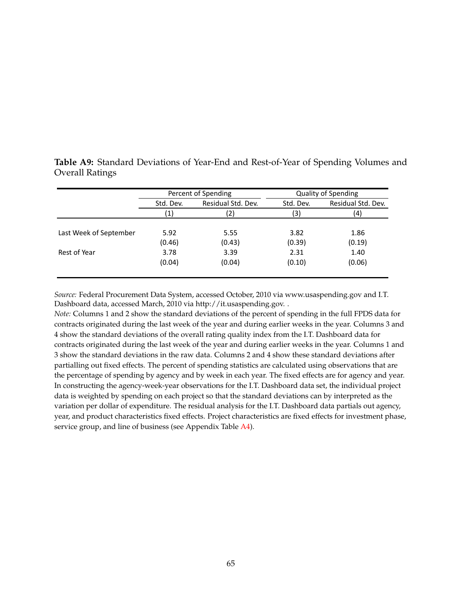|                        | Percent of Spending             |        |           | <b>Quality of Spending</b> |
|------------------------|---------------------------------|--------|-----------|----------------------------|
|                        | Residual Std. Dev.<br>Std. Dev. |        | Std. Dev. | Residual Std. Dev.         |
|                        | $\left( 1\right)$               | (2)    | (3)       | (4)                        |
|                        |                                 |        |           |                            |
| Last Week of September | 5.92                            | 5.55   | 3.82      | 1.86                       |
|                        | (0.46)                          | (0.43) | (0.39)    | (0.19)                     |
| Rest of Year           | 3.78                            | 3.39   | 2.31      | 1.40                       |
|                        | (0.04)                          | (0.04) | (0.10)    | (0.06)                     |
|                        |                                 |        |           |                            |

<span id="page-66-0"></span>**Table A9:** Standard Deviations of Year-End and Rest-of-Year of Spending Volumes and Overall Ratings

*Source:* Federal Procurement Data System, accessed October, 2010 via www.usaspending.gov and I.T. Dashboard data, accessed March, 2010 via http://it.usaspending.gov..

*Note:* Columns 1 and 2 show the standard deviations of the percent of spending in the full FPDS data for contracts originated during the last week of the year and during earlier weeks in the year. Columns 3 and 4 show the standard deviations of the overall rating quality index from the I.T. Dashboard data for contracts originated during the last week of the year and during earlier weeks in the year. Columns 1 and 3 show the standard deviations in the raw data. Columns 2 and 4 show these standard deviations after partialling out fixed effects. The percent of spending statistics are calculated using observations that are the percentage of spending by agency and by week in each year. The fixed effects are for agency and year. In constructing the agency-week-year observations for the I.T. Dashboard data set, the individual project data is weighted by spending on each project so that the standard deviations can by interpreted as the variation per dollar of expenditure. The residual analysis for the I.T. Dashboard data partials out agency, year, and product characteristics fixed effects. Project characteristics are fixed effects for investment phase, service group, and line of business (see Appendix Table [A4\)](#page-62-0).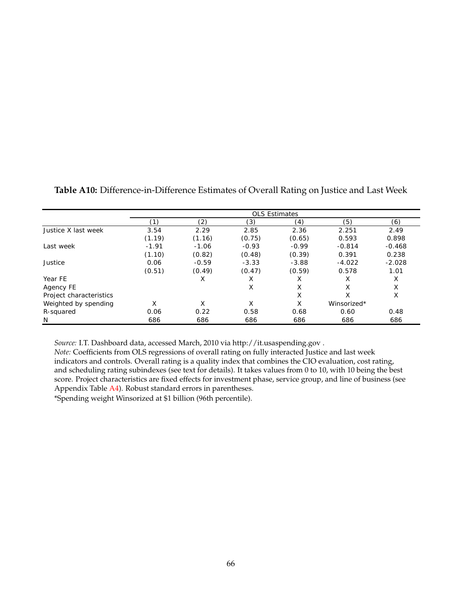|                         | <b>OLS Estimates</b> |         |         |         |             |          |
|-------------------------|----------------------|---------|---------|---------|-------------|----------|
|                         |                      | (2)     | 3)      | (4)     | (5)         | (6)      |
| Justice X last week     | 3.54                 | 2.29    | 2.85    | 2.36    | 2.251       | 2.49     |
|                         | (1.19)               | (1.16)  | (0.75)  | (0.65)  | 0.593       | 0.898    |
| Last week               | $-1.91$              | $-1.06$ | $-0.93$ | $-0.99$ | $-0.814$    | $-0.468$ |
|                         | (1.10)               | (0.82)  | (0.48)  | (0.39)  | 0.391       | 0.238    |
| Justice                 | 0.06                 | $-0.59$ | $-3.33$ | $-3.88$ | $-4.022$    | $-2.028$ |
|                         | (0.51)               | (0.49)  | (0.47)  | (0.59)  | 0.578       | 1.01     |
| Year FE                 |                      | X       | X       | X       | Χ           | X        |
| Agency FE               |                      |         | X       | X       | Χ           | X        |
| Project characteristics |                      |         |         | X       | Χ           | X        |
| Weighted by spending    | X                    | X       | X       | X       | Winsorized* |          |
| R-squared               | 0.06                 | 0.22    | 0.58    | 0.68    | 0.60        | 0.48     |
| N                       | 686                  | 686     | 686     | 686     | 686         | 686      |

<span id="page-67-0"></span>**Table A10:** Difference-in-Difference Estimates of Overall Rating on Justice and Last Week

*Source:* I.T. Dashboard data, accessed March, 2010 via http://it.usaspending.gov .

*Note:* Coefficients from OLS regressions of overall rating on fully interacted Justice and last week indicators and controls. Overall rating is a quality index that combines the CIO evaluation, cost rating, and scheduling rating subindexes (see text for details). It takes values from 0 to 10, with 10 being the best score. Project characteristics are fixed effects for investment phase, service group, and line of business (see Appendix Table [A4\)](#page-62-0). Robust standard errors in parentheses.

\*Spending weight Winsorized at \$1 billion (96th percentile).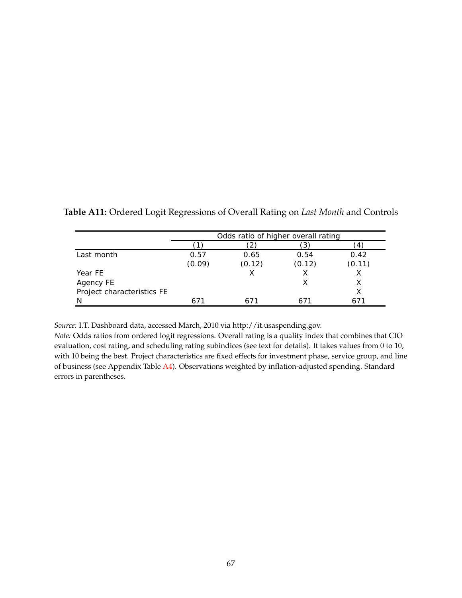|                            | Odds ratio of higher overall rating |        |        |        |  |
|----------------------------|-------------------------------------|--------|--------|--------|--|
|                            |                                     |        |        |        |  |
| Last month                 | 0.57                                | 0.65   | 0.54   | 0.42   |  |
|                            | (0.09)                              | (0.12) | (0.12) | (0.11) |  |
| Year FE                    |                                     | Χ      |        |        |  |
| Agency FE                  |                                     |        |        |        |  |
| Project characteristics FE |                                     |        |        |        |  |
|                            |                                     |        |        |        |  |

<span id="page-68-0"></span>**Table A11:** Ordered Logit Regressions of Overall Rating on *Last Month* and Controls

*Source:* I.T. Dashboard data, accessed March, 2010 via http://it.usaspending.gov.

*Note:* Odds ratios from ordered logit regressions. Overall rating is a quality index that combines that CIO evaluation, cost rating, and scheduling rating subindices (see text for details). It takes values from 0 to 10, with 10 being the best. Project characteristics are fixed effects for investment phase, service group, and line of business (see Appendix Table [A4\)](#page-62-0). Observations weighted by inflation-adjusted spending. Standard errors in parentheses.